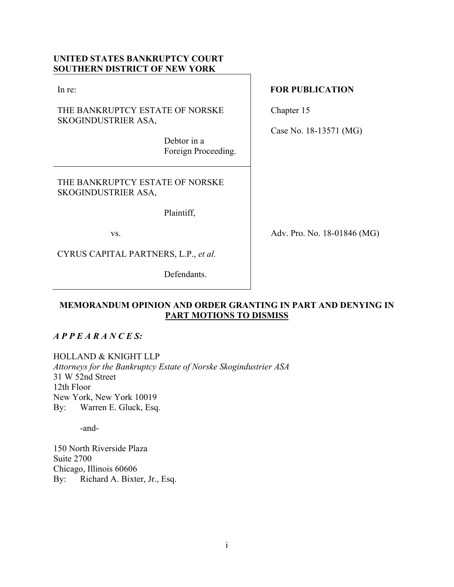# **UNITED STATES BANKRUPTCY COURT SOUTHERN DISTRICT OF NEW YORK**

In re:

THE BANKRUPTCY ESTATE OF NORSKE SKOGINDUSTRIER ASA,

> Debtor in a Foreign Proceeding.

THE BANKRUPTCY ESTATE OF NORSKE SKOGINDUSTRIER ASA,

Plaintiff,

vs.

CYRUS CAPITAL PARTNERS, L.P., *et al.* 

Defendants.

## **FOR PUBLICATION**

Chapter 15

Case No. 18-13571 (MG)

Adv. Pro. No. 18-01846 (MG)

# **MEMORANDUM OPINION AND ORDER GRANTING IN PART AND DENYING IN PART MOTIONS TO DISMISS**

# *A P P E A R A N C E S:*

HOLLAND & KNIGHT LLP

*Attorneys for the Bankruptcy Estate of Norske Skogindustrier ASA* 31 W 52nd Street 12th Floor New York, New York 10019 By: Warren E. Gluck, Esq.

-and-

150 North Riverside Plaza Suite 2700 Chicago, Illinois 60606 By: Richard A. Bixter, Jr., Esq.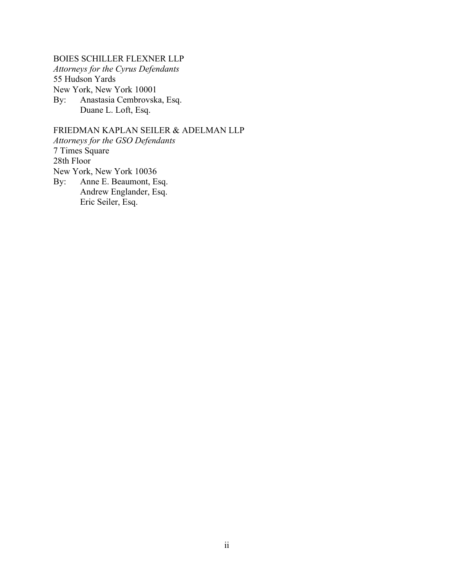BOIES SCHILLER FLEXNER LLP *Attorneys for the Cyrus Defendants*  55 Hudson Yards New York, New York 10001 By: Anastasia Cembrovska, Esq. Duane L. Loft, Esq.

FRIEDMAN KAPLAN SEILER & ADELMAN LLP *Attorneys for the GSO Defendants* 7 Times Square 28th Floor New York, New York 10036 By: Anne E. Beaumont, Esq. Andrew Englander, Esq. Eric Seiler, Esq.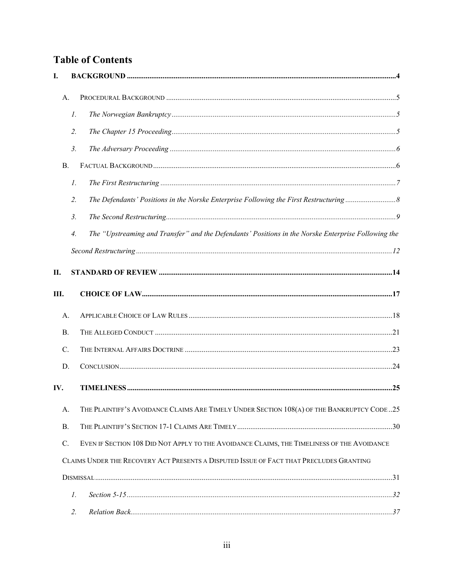# **Table of Contents**

| I.              |                    |                                                                                                     |  |
|-----------------|--------------------|-----------------------------------------------------------------------------------------------------|--|
|                 | А.                 |                                                                                                     |  |
|                 | $\mathcal{I}$ .    |                                                                                                     |  |
|                 | $\overline{2}$ .   |                                                                                                     |  |
|                 | 3 <sub>1</sub>     |                                                                                                     |  |
| <b>B.</b>       |                    |                                                                                                     |  |
|                 | $\mathcal{I}$ .    |                                                                                                     |  |
|                 | 2.                 |                                                                                                     |  |
|                 | 3.                 |                                                                                                     |  |
|                 | $\boldsymbol{4}$ . | The "Upstreaming and Transfer" and the Defendants' Positions in the Norske Enterprise Following the |  |
|                 |                    |                                                                                                     |  |
| П.              |                    |                                                                                                     |  |
| Ш.              |                    |                                                                                                     |  |
|                 | А.                 |                                                                                                     |  |
| <b>B.</b>       |                    |                                                                                                     |  |
| C.              |                    |                                                                                                     |  |
| D.              |                    |                                                                                                     |  |
| IV.             |                    |                                                                                                     |  |
|                 | А.                 | THE PLAINTIFF'S AVOIDANCE CLAIMS ARE TIMELY UNDER SECTION 108(A) OF THE BANKRUPTCY CODE25           |  |
| В.              |                    |                                                                                                     |  |
| $\mathcal{C}$ . |                    | EVEN IF SECTION 108 DID NOT APPLY TO THE AVOIDANCE CLAIMS, THE TIMELINESS OF THE AVOIDANCE          |  |
|                 |                    | CLAIMS UNDER THE RECOVERY ACT PRESENTS A DISPUTED ISSUE OF FACT THAT PRECLUDES GRANTING             |  |
|                 |                    |                                                                                                     |  |
|                 | 1.                 |                                                                                                     |  |
|                 | 2.                 |                                                                                                     |  |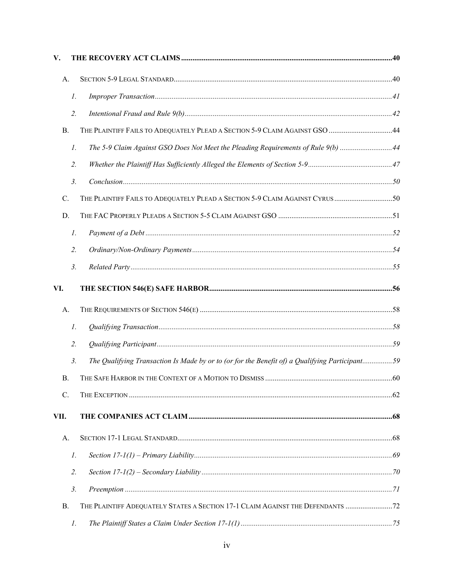| V.              |                 |                                                                                                |  |
|-----------------|-----------------|------------------------------------------------------------------------------------------------|--|
| A.              |                 |                                                                                                |  |
|                 | $\mathcal{I}.$  |                                                                                                |  |
|                 | 2.              |                                                                                                |  |
| <b>B.</b>       |                 | THE PLAINTIFF FAILS TO ADEQUATELY PLEAD A SECTION 5-9 CLAIM AGAINST GSO 44                     |  |
|                 | $\mathcal{I}$ . | The 5-9 Claim Against GSO Does Not Meet the Pleading Requirements of Rule 9(b)  44             |  |
|                 | 2.              |                                                                                                |  |
|                 | 3.              |                                                                                                |  |
| C.              |                 | THE PLAINTIFF FAILS TO ADEQUATELY PLEAD A SECTION 5-9 CLAIM AGAINST CYRUS50                    |  |
| D.              |                 |                                                                                                |  |
|                 | $\mathcal{I}$ . |                                                                                                |  |
|                 | 2.              |                                                                                                |  |
|                 | 3.              |                                                                                                |  |
| VI.             |                 |                                                                                                |  |
| A.              |                 |                                                                                                |  |
|                 | 1.              |                                                                                                |  |
|                 | 2.              |                                                                                                |  |
|                 | 3.              | The Qualifying Transaction Is Made by or to (or for the Benefit of) a Qualifying Participant59 |  |
| В.              |                 |                                                                                                |  |
| $\mathcal{C}$ . |                 |                                                                                                |  |
| VII.            |                 |                                                                                                |  |
| А.              |                 |                                                                                                |  |
|                 | $\mathcal{I}$ . |                                                                                                |  |
|                 | 2.              |                                                                                                |  |
|                 | 3.              |                                                                                                |  |
| В.              |                 | THE PLAINTIFF ADEQUATELY STATES A SECTION 17-1 CLAIM AGAINST THE DEFENDANTS  72                |  |
|                 | 1.              |                                                                                                |  |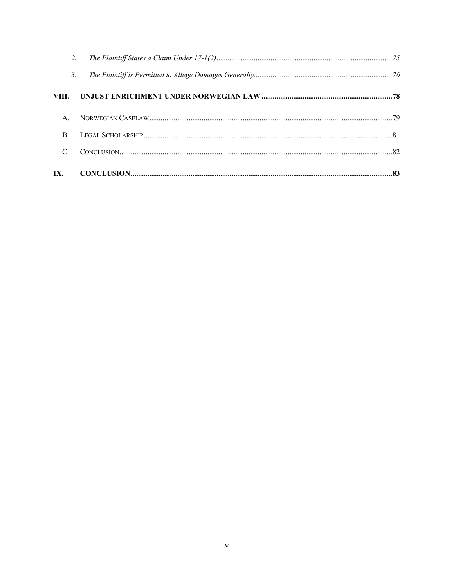| $\mathcal{C}$    |  |
|------------------|--|
| $\mathbf{B}$ .   |  |
| $A_{\cdot}$      |  |
|                  |  |
| $\mathfrak{Z}$ . |  |
| 2.               |  |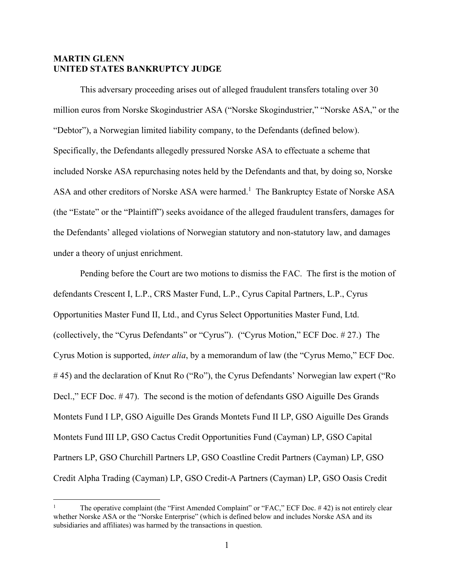## **MARTIN GLENN UNITED STATES BANKRUPTCY JUDGE**

This adversary proceeding arises out of alleged fraudulent transfers totaling over 30 million euros from Norske Skogindustrier ASA ("Norske Skogindustrier," "Norske ASA," or the "Debtor"), a Norwegian limited liability company, to the Defendants (defined below). Specifically, the Defendants allegedly pressured Norske ASA to effectuate a scheme that included Norske ASA repurchasing notes held by the Defendants and that, by doing so, Norske ASA and other creditors of Norske ASA were harmed.<sup>1</sup> The Bankruptcy Estate of Norske ASA (the "Estate" or the "Plaintiff") seeks avoidance of the alleged fraudulent transfers, damages for the Defendants' alleged violations of Norwegian statutory and non-statutory law, and damages under a theory of unjust enrichment.

Pending before the Court are two motions to dismiss the FAC. The first is the motion of defendants Crescent I, L.P., CRS Master Fund, L.P., Cyrus Capital Partners, L.P., Cyrus Opportunities Master Fund II, Ltd., and Cyrus Select Opportunities Master Fund, Ltd. (collectively, the "Cyrus Defendants" or "Cyrus"). ("Cyrus Motion," ECF Doc. # 27.) The Cyrus Motion is supported, *inter alia*, by a memorandum of law (the "Cyrus Memo," ECF Doc. # 45) and the declaration of Knut Ro ("Ro"), the Cyrus Defendants' Norwegian law expert ("Ro Decl.," ECF Doc. # 47). The second is the motion of defendants GSO Aiguille Des Grands Montets Fund I LP, GSO Aiguille Des Grands Montets Fund II LP, GSO Aiguille Des Grands Montets Fund III LP, GSO Cactus Credit Opportunities Fund (Cayman) LP, GSO Capital Partners LP, GSO Churchill Partners LP, GSO Coastline Credit Partners (Cayman) LP, GSO Credit Alpha Trading (Cayman) LP, GSO Credit-A Partners (Cayman) LP, GSO Oasis Credit

<sup>1</sup> The operative complaint (the "First Amended Complaint" or "FAC," ECF Doc. # 42) is not entirely clear whether Norske ASA or the "Norske Enterprise" (which is defined below and includes Norske ASA and its subsidiaries and affiliates) was harmed by the transactions in question.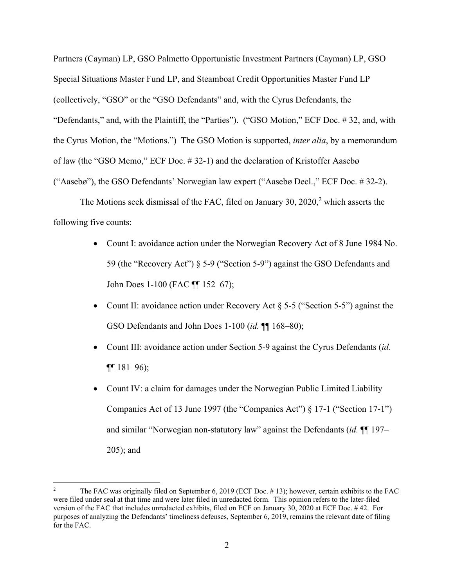Partners (Cayman) LP, GSO Palmetto Opportunistic Investment Partners (Cayman) LP, GSO Special Situations Master Fund LP, and Steamboat Credit Opportunities Master Fund LP (collectively, "GSO" or the "GSO Defendants" and, with the Cyrus Defendants, the "Defendants," and, with the Plaintiff, the "Parties"). ("GSO Motion," ECF Doc. # 32, and, with the Cyrus Motion, the "Motions.") The GSO Motion is supported, *inter alia*, by a memorandum of law (the "GSO Memo," ECF Doc. # 32-1) and the declaration of Kristoffer Aasebø ("Aasebø"), the GSO Defendants' Norwegian law expert ("Aasebø Decl.," ECF Doc. # 32-2).

The Motions seek dismissal of the FAC, filed on January 30, 2020, $2$  which asserts the following five counts:

- Count I: avoidance action under the Norwegian Recovery Act of 8 June 1984 No. 59 (the "Recovery Act") § 5-9 ("Section 5-9") against the GSO Defendants and John Does 1-100 (FAC ¶¶ 152–67);
- Count II: avoidance action under Recovery Act § 5-5 ("Section 5-5") against the GSO Defendants and John Does 1-100 (*id.* ¶¶ 168–80);
- Count III: avoidance action under Section 5-9 against the Cyrus Defendants (*id.*  $\P\P 181 - 96$ ;
- Count IV: a claim for damages under the Norwegian Public Limited Liability Companies Act of 13 June 1997 (the "Companies Act") § 17-1 ("Section 17-1") and similar "Norwegian non-statutory law" against the Defendants (*id.* ¶¶ 197– 205); and

<sup>2</sup> The FAC was originally filed on September 6, 2019 (ECF Doc. # 13); however, certain exhibits to the FAC were filed under seal at that time and were later filed in unredacted form. This opinion refers to the later-filed version of the FAC that includes unredacted exhibits, filed on ECF on January 30, 2020 at ECF Doc. # 42. For purposes of analyzing the Defendants' timeliness defenses, September 6, 2019, remains the relevant date of filing for the FAC.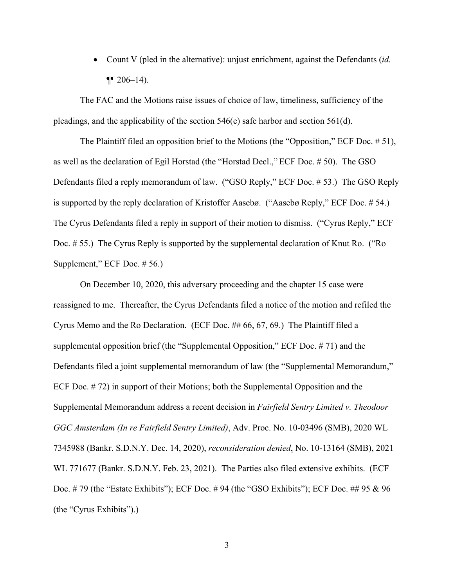Count V (pled in the alternative): unjust enrichment, against the Defendants (*id.*   $\P\P$  206–14).

The FAC and the Motions raise issues of choice of law, timeliness, sufficiency of the pleadings, and the applicability of the section 546(e) safe harbor and section 561(d).

The Plaintiff filed an opposition brief to the Motions (the "Opposition," ECF Doc. # 51), as well as the declaration of Egil Horstad (the "Horstad Decl.," ECF Doc. # 50). The GSO Defendants filed a reply memorandum of law. ("GSO Reply," ECF Doc. # 53.) The GSO Reply is supported by the reply declaration of Kristoffer Aasebø. ("Aasebø Reply," ECF Doc. # 54.) The Cyrus Defendants filed a reply in support of their motion to dismiss. ("Cyrus Reply," ECF Doc. # 55.) The Cyrus Reply is supported by the supplemental declaration of Knut Ro. ("Ro Supplement," ECF Doc. # 56.)

On December 10, 2020, this adversary proceeding and the chapter 15 case were reassigned to me. Thereafter, the Cyrus Defendants filed a notice of the motion and refiled the Cyrus Memo and the Ro Declaration. (ECF Doc. ## 66, 67, 69.) The Plaintiff filed a supplemental opposition brief (the "Supplemental Opposition," ECF Doc. # 71) and the Defendants filed a joint supplemental memorandum of law (the "Supplemental Memorandum," ECF Doc. # 72) in support of their Motions; both the Supplemental Opposition and the Supplemental Memorandum address a recent decision in *Fairfield Sentry Limited v. Theodoor GGC Amsterdam (In re Fairfield Sentry Limited)*, Adv. Proc. No. 10-03496 (SMB), 2020 WL 7345988 (Bankr. S.D.N.Y. Dec. 14, 2020), *reconsideration denied*, No. 10-13164 (SMB), 2021 WL 771677 (Bankr. S.D.N.Y. Feb. 23, 2021). The Parties also filed extensive exhibits. (ECF Doc. # 79 (the "Estate Exhibits"); ECF Doc. # 94 (the "GSO Exhibits"); ECF Doc. ## 95 & 96 (the "Cyrus Exhibits").)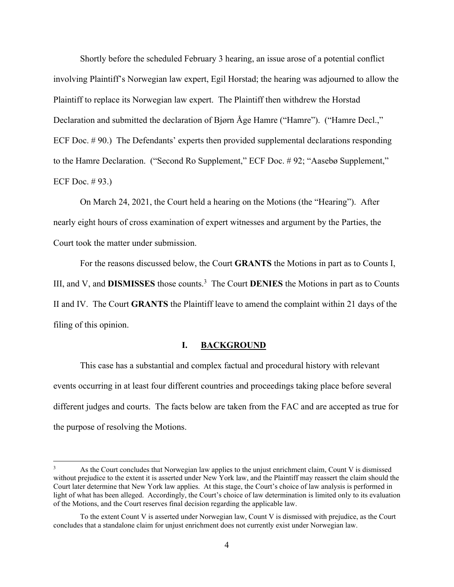Shortly before the scheduled February 3 hearing, an issue arose of a potential conflict involving Plaintiff's Norwegian law expert, Egil Horstad; the hearing was adjourned to allow the Plaintiff to replace its Norwegian law expert. The Plaintiff then withdrew the Horstad Declaration and submitted the declaration of Bjørn Åge Hamre ("Hamre"). ("Hamre Decl.," ECF Doc. #90.) The Defendants' experts then provided supplemental declarations responding to the Hamre Declaration. ("Second Ro Supplement," ECF Doc. # 92; "Aasebø Supplement," ECF Doc. # 93.)

On March 24, 2021, the Court held a hearing on the Motions (the "Hearing"). After nearly eight hours of cross examination of expert witnesses and argument by the Parties, the Court took the matter under submission.

For the reasons discussed below, the Court **GRANTS** the Motions in part as to Counts I, III, and V, and **DISMISSES** those counts.3 The Court **DENIES** the Motions in part as to Counts II and IV. The Court **GRANTS** the Plaintiff leave to amend the complaint within 21 days of the filing of this opinion.

## **I. BACKGROUND**

This case has a substantial and complex factual and procedural history with relevant events occurring in at least four different countries and proceedings taking place before several different judges and courts. The facts below are taken from the FAC and are accepted as true for the purpose of resolving the Motions.

<sup>3</sup> As the Court concludes that Norwegian law applies to the unjust enrichment claim, Count V is dismissed without prejudice to the extent it is asserted under New York law, and the Plaintiff may reassert the claim should the Court later determine that New York law applies. At this stage, the Court's choice of law analysis is performed in light of what has been alleged. Accordingly, the Court's choice of law determination is limited only to its evaluation of the Motions, and the Court reserves final decision regarding the applicable law.

To the extent Count V is asserted under Norwegian law, Count V is dismissed with prejudice, as the Court concludes that a standalone claim for unjust enrichment does not currently exist under Norwegian law.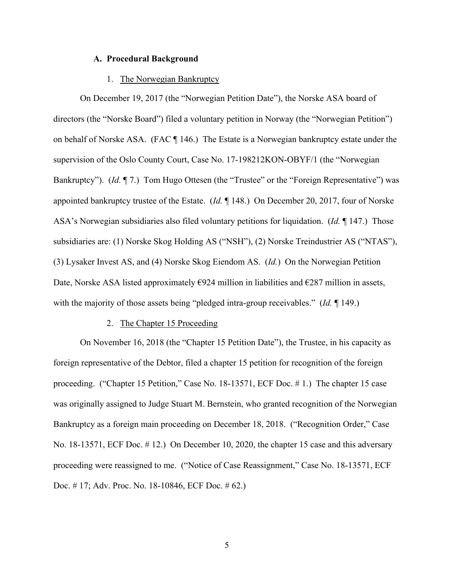## **A. Procedural Background**

### 1. The Norwegian Bankruptcy

On December 19, 2017 (the "Norwegian Petition Date"), the Norske ASA board of directors (the "Norske Board") filed a voluntary petition in Norway (the "Norwegian Petition") on behalf of Norske ASA. (FAC ¶ 146.) The Estate is a Norwegian bankruptcy estate under the supervision of the Oslo County Court, Case No. 17-198212KON-OBYF/1 (the "Norwegian Bankruptcy"). (*Id.* 17.) Tom Hugo Ottesen (the "Trustee" or the "Foreign Representative") was appointed bankruptcy trustee of the Estate. (*Id.* ¶ 148.) On December 20, 2017, four of Norske ASA's Norwegian subsidiaries also filed voluntary petitions for liquidation. (*Id.* ¶ 147.) Those subsidiaries are: (1) Norske Skog Holding AS ("NSH"), (2) Norske Treindustrier AS ("NTAS"), (3) Lysaker Invest AS, and (4) Norske Skog Eiendom AS. (*Id.*) On the Norwegian Petition Date, Norske ASA listed approximately  $\epsilon$ 924 million in liabilities and  $\epsilon$ 287 million in assets, with the majority of those assets being "pledged intra-group receivables." (*Id.* ¶ 149.)

#### 2. The Chapter 15 Proceeding

On November 16, 2018 (the "Chapter 15 Petition Date"), the Trustee, in his capacity as foreign representative of the Debtor, filed a chapter 15 petition for recognition of the foreign proceeding. ("Chapter 15 Petition," Case No. 18-13571, ECF Doc. # 1.) The chapter 15 case was originally assigned to Judge Stuart M. Bernstein, who granted recognition of the Norwegian Bankruptcy as a foreign main proceeding on December 18, 2018. ("Recognition Order," Case No. 18-13571, ECF Doc. # 12.) On December 10, 2020, the chapter 15 case and this adversary proceeding were reassigned to me. ("Notice of Case Reassignment," Case No. 18-13571, ECF Doc. # 17; Adv. Proc. No. 18-10846, ECF Doc. # 62.)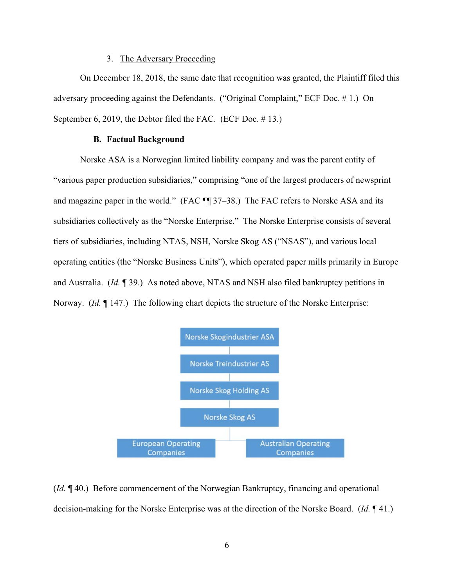## 3. The Adversary Proceeding

On December 18, 2018, the same date that recognition was granted, the Plaintiff filed this adversary proceeding against the Defendants. ("Original Complaint," ECF Doc. # 1.) On September 6, 2019, the Debtor filed the FAC. (ECF Doc. #13.)

## **B. Factual Background**

Norske ASA is a Norwegian limited liability company and was the parent entity of "various paper production subsidiaries," comprising "one of the largest producers of newsprint and magazine paper in the world." (FAC  $\P$  37–38.) The FAC refers to Norske ASA and its subsidiaries collectively as the "Norske Enterprise." The Norske Enterprise consists of several tiers of subsidiaries, including NTAS, NSH, Norske Skog AS ("NSAS"), and various local operating entities (the "Norske Business Units"), which operated paper mills primarily in Europe and Australia. (*Id.* ¶ 39.) As noted above, NTAS and NSH also filed bankruptcy petitions in Norway. (*Id.* ¶ 147.) The following chart depicts the structure of the Norske Enterprise:



(*Id.* ¶ 40.) Before commencement of the Norwegian Bankruptcy, financing and operational decision-making for the Norske Enterprise was at the direction of the Norske Board. (*Id.* ¶ 41.)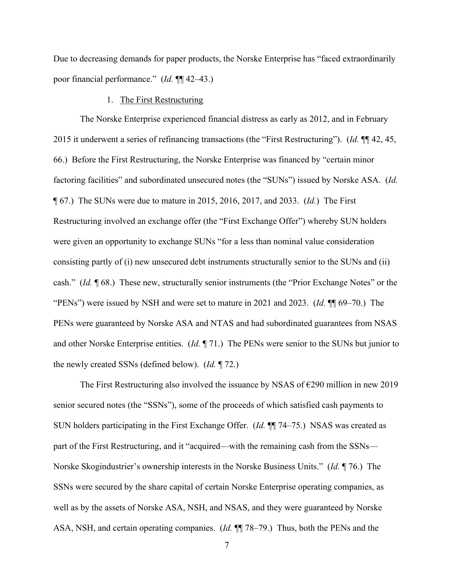Due to decreasing demands for paper products, the Norske Enterprise has "faced extraordinarily poor financial performance." (*Id.* ¶¶ 42–43.)

## 1. The First Restructuring

The Norske Enterprise experienced financial distress as early as 2012, and in February 2015 it underwent a series of refinancing transactions (the "First Restructuring"). (*Id.* ¶¶ 42, 45, 66.) Before the First Restructuring, the Norske Enterprise was financed by "certain minor factoring facilities" and subordinated unsecured notes (the "SUNs") issued by Norske ASA. (*Id.* ¶ 67.) The SUNs were due to mature in 2015, 2016, 2017, and 2033. (*Id.*) The First Restructuring involved an exchange offer (the "First Exchange Offer") whereby SUN holders were given an opportunity to exchange SUNs "for a less than nominal value consideration consisting partly of (i) new unsecured debt instruments structurally senior to the SUNs and (ii) cash." (*Id.* ¶ 68.) These new, structurally senior instruments (the "Prior Exchange Notes" or the "PENs") were issued by NSH and were set to mature in 2021 and 2023. (*Id.* ¶¶ 69–70.) The PENs were guaranteed by Norske ASA and NTAS and had subordinated guarantees from NSAS and other Norske Enterprise entities. (*Id.* ¶ 71.) The PENs were senior to the SUNs but junior to the newly created SSNs (defined below). (*Id.* ¶ 72.)

The First Restructuring also involved the issuance by NSAS of  $\epsilon$ 290 million in new 2019 senior secured notes (the "SSNs"), some of the proceeds of which satisfied cash payments to SUN holders participating in the First Exchange Offer. (*Id.* ¶¶ 74–75.) NSAS was created as part of the First Restructuring, and it "acquired—with the remaining cash from the SSNs— Norske Skogindustrier's ownership interests in the Norske Business Units." (*Id.* ¶ 76.) The SSNs were secured by the share capital of certain Norske Enterprise operating companies, as well as by the assets of Norske ASA, NSH, and NSAS, and they were guaranteed by Norske ASA, NSH, and certain operating companies. (*Id.* ¶¶ 78–79.) Thus, both the PENs and the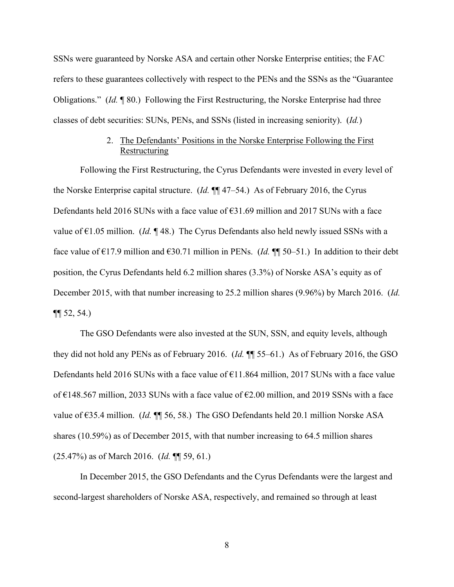SSNs were guaranteed by Norske ASA and certain other Norske Enterprise entities; the FAC refers to these guarantees collectively with respect to the PENs and the SSNs as the "Guarantee Obligations." (*Id.* ¶ 80.) Following the First Restructuring, the Norske Enterprise had three classes of debt securities: SUNs, PENs, and SSNs (listed in increasing seniority). (*Id.*)

# 2. The Defendants' Positions in the Norske Enterprise Following the First Restructuring

Following the First Restructuring, the Cyrus Defendants were invested in every level of the Norske Enterprise capital structure. (*Id.* ¶¶ 47–54.) As of February 2016, the Cyrus Defendants held 2016 SUNs with a face value of  $631.69$  million and 2017 SUNs with a face value of  $\epsilon$ 1.05 million. (*Id.* ¶ 48.) The Cyrus Defendants also held newly issued SSNs with a face value of  $\epsilon$ 17.9 million and  $\epsilon$ 30.71 million in PENs. (*Id.* ¶ 50–51.) In addition to their debt position, the Cyrus Defendants held 6.2 million shares (3.3%) of Norske ASA's equity as of December 2015, with that number increasing to 25.2 million shares (9.96%) by March 2016. (*Id.*  $\P\P$  52, 54.)

The GSO Defendants were also invested at the SUN, SSN, and equity levels, although they did not hold any PENs as of February 2016. (*Id.* ¶¶ 55–61.) As of February 2016, the GSO Defendants held 2016 SUNs with a face value of  $E11.864$  million, 2017 SUNs with a face value of  $\epsilon$ 148.567 million, 2033 SUNs with a face value of  $\epsilon$ 2.00 million, and 2019 SSNs with a face value of €35.4 million. (*Id.* ¶¶ 56, 58.) The GSO Defendants held 20.1 million Norske ASA shares (10.59%) as of December 2015, with that number increasing to 64.5 million shares (25.47%) as of March 2016. (*Id.* ¶¶ 59, 61.)

In December 2015, the GSO Defendants and the Cyrus Defendants were the largest and second-largest shareholders of Norske ASA, respectively, and remained so through at least

8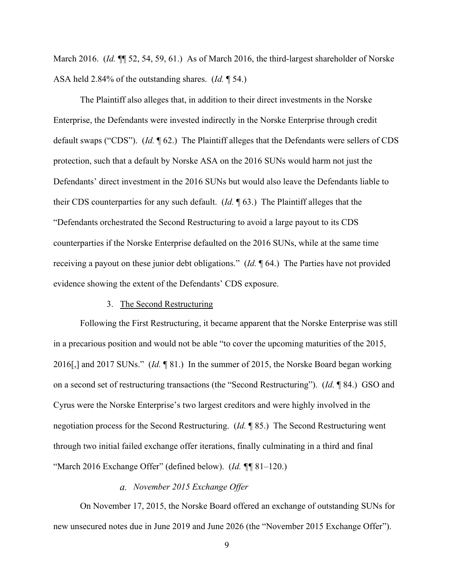March 2016. (*Id.* ¶¶ 52, 54, 59, 61.) As of March 2016, the third-largest shareholder of Norske ASA held 2.84% of the outstanding shares. (*Id.* ¶ 54.)

The Plaintiff also alleges that, in addition to their direct investments in the Norske Enterprise, the Defendants were invested indirectly in the Norske Enterprise through credit default swaps ("CDS"). (*Id.* ¶ 62.) The Plaintiff alleges that the Defendants were sellers of CDS protection, such that a default by Norske ASA on the 2016 SUNs would harm not just the Defendants' direct investment in the 2016 SUNs but would also leave the Defendants liable to their CDS counterparties for any such default. (*Id.* ¶ 63.) The Plaintiff alleges that the "Defendants orchestrated the Second Restructuring to avoid a large payout to its CDS counterparties if the Norske Enterprise defaulted on the 2016 SUNs, while at the same time receiving a payout on these junior debt obligations." (*Id.* ¶ 64.) The Parties have not provided evidence showing the extent of the Defendants' CDS exposure.

# 3. The Second Restructuring

Following the First Restructuring, it became apparent that the Norske Enterprise was still in a precarious position and would not be able "to cover the upcoming maturities of the 2015, 2016[,] and 2017 SUNs." (*Id.* ¶ 81.) In the summer of 2015, the Norske Board began working on a second set of restructuring transactions (the "Second Restructuring"). (*Id.* ¶ 84.) GSO and Cyrus were the Norske Enterprise's two largest creditors and were highly involved in the negotiation process for the Second Restructuring. (*Id.* ¶ 85.) The Second Restructuring went through two initial failed exchange offer iterations, finally culminating in a third and final "March 2016 Exchange Offer" (defined below). (*Id. ¶¶* 81–120.)

## *November 2015 Exchange Offer*

On November 17, 2015, the Norske Board offered an exchange of outstanding SUNs for new unsecured notes due in June 2019 and June 2026 (the "November 2015 Exchange Offer").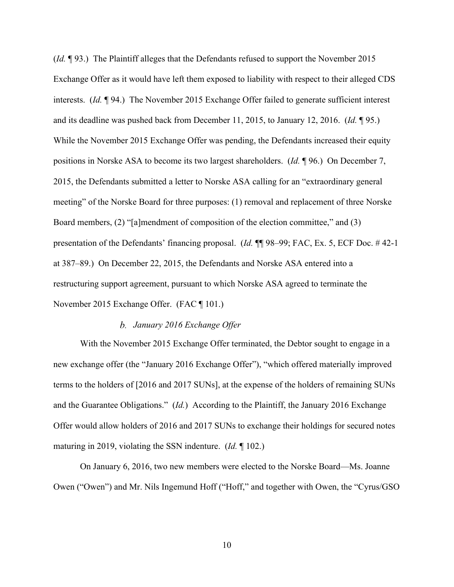(*Id.* ¶ 93.) The Plaintiff alleges that the Defendants refused to support the November 2015 Exchange Offer as it would have left them exposed to liability with respect to their alleged CDS interests. (*Id.* ¶ 94.) The November 2015 Exchange Offer failed to generate sufficient interest and its deadline was pushed back from December 11, 2015, to January 12, 2016. (*Id.* ¶ 95.) While the November 2015 Exchange Offer was pending, the Defendants increased their equity positions in Norske ASA to become its two largest shareholders. (*Id.* ¶ 96.) On December 7, 2015, the Defendants submitted a letter to Norske ASA calling for an "extraordinary general meeting" of the Norske Board for three purposes: (1) removal and replacement of three Norske Board members, (2) "[a]mendment of composition of the election committee," and (3) presentation of the Defendants' financing proposal. (*Id.* ¶¶ 98–99; FAC, Ex. 5, ECF Doc. # 42-1 at 387–89.) On December 22, 2015, the Defendants and Norske ASA entered into a restructuring support agreement, pursuant to which Norske ASA agreed to terminate the November 2015 Exchange Offer. (FAC ¶ 101.)

## *January 2016 Exchange Offer*

With the November 2015 Exchange Offer terminated, the Debtor sought to engage in a new exchange offer (the "January 2016 Exchange Offer"), "which offered materially improved terms to the holders of [2016 and 2017 SUNs], at the expense of the holders of remaining SUNs and the Guarantee Obligations." (*Id.*) According to the Plaintiff, the January 2016 Exchange Offer would allow holders of 2016 and 2017 SUNs to exchange their holdings for secured notes maturing in 2019, violating the SSN indenture. (*Id.* ¶ 102.)

On January 6, 2016, two new members were elected to the Norske Board—Ms. Joanne Owen ("Owen") and Mr. Nils Ingemund Hoff ("Hoff," and together with Owen, the "Cyrus/GSO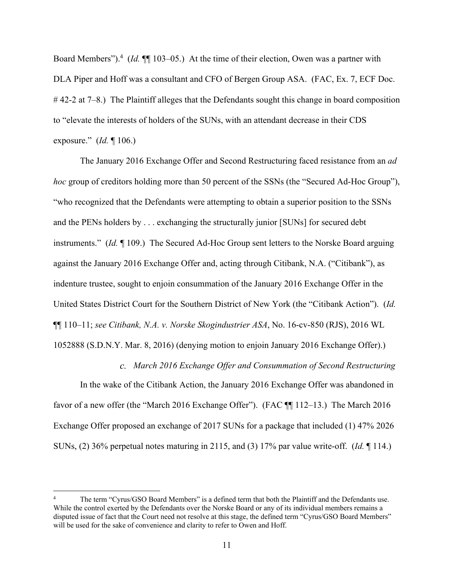Board Members").<sup>4</sup> (*Id.* ¶ 103–05.) At the time of their election, Owen was a partner with DLA Piper and Hoff was a consultant and CFO of Bergen Group ASA. (FAC, Ex. 7, ECF Doc. # 42-2 at 7–8.) The Plaintiff alleges that the Defendants sought this change in board composition to "elevate the interests of holders of the SUNs, with an attendant decrease in their CDS exposure." (*Id.* ¶ 106.)

The January 2016 Exchange Offer and Second Restructuring faced resistance from an *ad hoc* group of creditors holding more than 50 percent of the SSNs (the "Secured Ad-Hoc Group"), "who recognized that the Defendants were attempting to obtain a superior position to the SSNs and the PENs holders by . . . exchanging the structurally junior [SUNs] for secured debt instruments." (*Id.* ¶ 109.) The Secured Ad-Hoc Group sent letters to the Norske Board arguing against the January 2016 Exchange Offer and, acting through Citibank, N.A. ("Citibank"), as indenture trustee, sought to enjoin consummation of the January 2016 Exchange Offer in the United States District Court for the Southern District of New York (the "Citibank Action"). (*Id.*  ¶¶ 110–11; *see Citibank, N.A. v. Norske Skogindustrier ASA*, No. 16-cv-850 (RJS), 2016 WL 1052888 (S.D.N.Y. Mar. 8, 2016) (denying motion to enjoin January 2016 Exchange Offer).)

*March 2016 Exchange Offer and Consummation of Second Restructuring* 

In the wake of the Citibank Action, the January 2016 Exchange Offer was abandoned in favor of a new offer (the "March 2016 Exchange Offer"). (FAC  $\P$  112–13.) The March 2016 Exchange Offer proposed an exchange of 2017 SUNs for a package that included (1) 47% 2026 SUNs, (2) 36% perpetual notes maturing in 2115, and (3) 17% par value write-off. (*Id.* ¶ 114.)

<sup>4</sup> The term "Cyrus/GSO Board Members" is a defined term that both the Plaintiff and the Defendants use. While the control exerted by the Defendants over the Norske Board or any of its individual members remains a disputed issue of fact that the Court need not resolve at this stage, the defined term "Cyrus/GSO Board Members" will be used for the sake of convenience and clarity to refer to Owen and Hoff.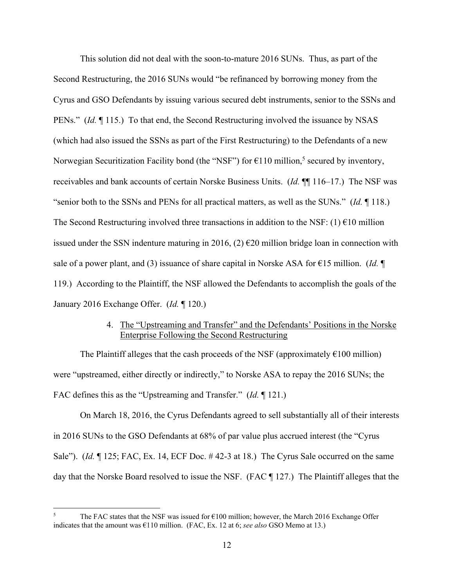This solution did not deal with the soon-to-mature 2016 SUNs. Thus, as part of the Second Restructuring, the 2016 SUNs would "be refinanced by borrowing money from the Cyrus and GSO Defendants by issuing various secured debt instruments, senior to the SSNs and PENs." *(Id.* ¶ 115.) To that end, the Second Restructuring involved the issuance by NSAS (which had also issued the SSNs as part of the First Restructuring) to the Defendants of a new Norwegian Securitization Facility bond (the "NSF") for  $\epsilon$ 110 million,<sup>5</sup> secured by inventory, receivables and bank accounts of certain Norske Business Units. (*Id.* ¶¶ 116–17.) The NSF was "senior both to the SSNs and PENs for all practical matters, as well as the SUNs." (*Id.* ¶ 118.) The Second Restructuring involved three transactions in addition to the NSF: (1)  $\epsilon$ 10 million issued under the SSN indenture maturing in 2016, (2)  $\epsilon$ 20 million bridge loan in connection with sale of a power plant, and (3) issuance of share capital in Norske ASA for  $\epsilon$ 15 million. *(Id.*  $\P$ 119.) According to the Plaintiff, the NSF allowed the Defendants to accomplish the goals of the January 2016 Exchange Offer. (*Id.* ¶ 120.)

# 4. The "Upstreaming and Transfer" and the Defendants' Positions in the Norske Enterprise Following the Second Restructuring

The Plaintiff alleges that the cash proceeds of the NSF (approximately  $\epsilon$ 100 million) were "upstreamed, either directly or indirectly," to Norske ASA to repay the 2016 SUNs; the FAC defines this as the "Upstreaming and Transfer." (*Id.* ¶ 121.)

On March 18, 2016, the Cyrus Defendants agreed to sell substantially all of their interests in 2016 SUNs to the GSO Defendants at 68% of par value plus accrued interest (the "Cyrus Sale"). (*Id.* 125; FAC, Ex. 14, ECF Doc. #42-3 at 18.) The Cyrus Sale occurred on the same day that the Norske Board resolved to issue the NSF. (FAC ¶ 127.) The Plaintiff alleges that the

<sup>5</sup> The FAC states that the NSF was issued for  $\epsilon$ 100 million; however, the March 2016 Exchange Offer indicates that the amount was €110 million. (FAC, Ex. 12 at 6; *see also* GSO Memo at 13.)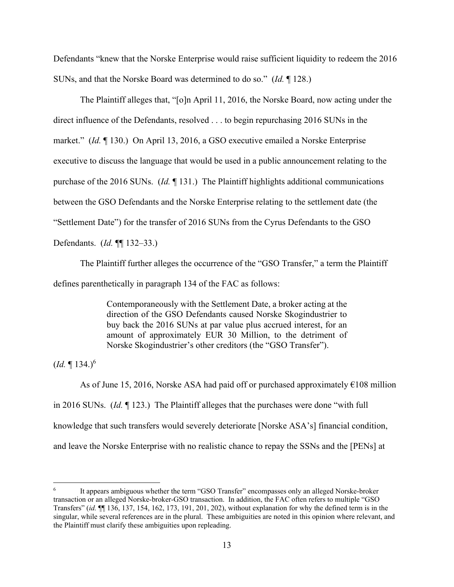Defendants "knew that the Norske Enterprise would raise sufficient liquidity to redeem the 2016 SUNs, and that the Norske Board was determined to do so." (*Id.* ¶ 128.)

The Plaintiff alleges that, "[o]n April 11, 2016, the Norske Board, now acting under the direct influence of the Defendants, resolved . . . to begin repurchasing 2016 SUNs in the market." (*Id.* ¶ 130.) On April 13, 2016, a GSO executive emailed a Norske Enterprise executive to discuss the language that would be used in a public announcement relating to the purchase of the 2016 SUNs. (*Id.* ¶ 131.) The Plaintiff highlights additional communications between the GSO Defendants and the Norske Enterprise relating to the settlement date (the "Settlement Date") for the transfer of 2016 SUNs from the Cyrus Defendants to the GSO Defendants. (*Id.* ¶¶ 132–33.)

The Plaintiff further alleges the occurrence of the "GSO Transfer," a term the Plaintiff defines parenthetically in paragraph 134 of the FAC as follows:

> Contemporaneously with the Settlement Date, a broker acting at the direction of the GSO Defendants caused Norske Skogindustrier to buy back the 2016 SUNs at par value plus accrued interest, for an amount of approximately EUR 30 Million, to the detriment of Norske Skogindustrier's other creditors (the "GSO Transfer").

 $(Id. \P 134.)^6$ 

As of June 15, 2016, Norske ASA had paid off or purchased approximately  $\epsilon$ 108 million in 2016 SUNs. (*Id.* ¶ 123.) The Plaintiff alleges that the purchases were done "with full knowledge that such transfers would severely deteriorate [Norske ASA's] financial condition, and leave the Norske Enterprise with no realistic chance to repay the SSNs and the [PENs] at

<sup>6</sup> It appears ambiguous whether the term "GSO Transfer" encompasses only an alleged Norske-broker transaction or an alleged Norske-broker-GSO transaction. In addition, the FAC often refers to multiple "GSO Transfers" (*id.* ¶¶ 136, 137, 154, 162, 173, 191, 201, 202), without explanation for why the defined term is in the singular, while several references are in the plural. These ambiguities are noted in this opinion where relevant, and the Plaintiff must clarify these ambiguities upon repleading.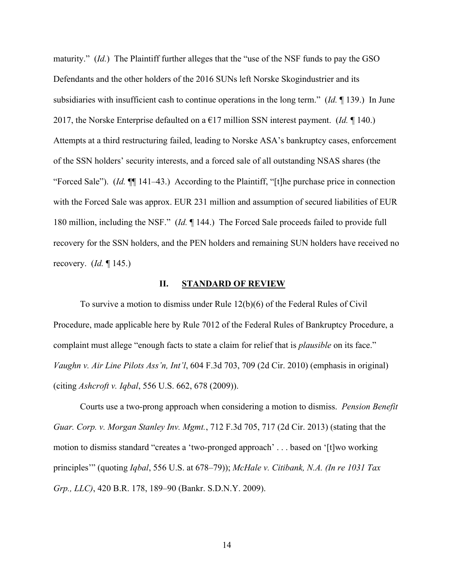maturity." (*Id.*) The Plaintiff further alleges that the "use of the NSF funds to pay the GSO Defendants and the other holders of the 2016 SUNs left Norske Skogindustrier and its subsidiaries with insufficient cash to continue operations in the long term." (*Id.* ¶ 139.) In June 2017, the Norske Enterprise defaulted on a  $E17$  million SSN interest payment. (*Id.* 140.) Attempts at a third restructuring failed, leading to Norske ASA's bankruptcy cases, enforcement of the SSN holders' security interests, and a forced sale of all outstanding NSAS shares (the "Forced Sale"). (*Id.* ¶¶ 141–43.) According to the Plaintiff, "[t]he purchase price in connection with the Forced Sale was approx. EUR 231 million and assumption of secured liabilities of EUR 180 million, including the NSF." (*Id.* ¶ 144.) The Forced Sale proceeds failed to provide full recovery for the SSN holders, and the PEN holders and remaining SUN holders have received no recovery. (*Id.* ¶ 145.)

#### **II. STANDARD OF REVIEW**

To survive a motion to dismiss under Rule 12(b)(6) of the Federal Rules of Civil Procedure, made applicable here by Rule 7012 of the Federal Rules of Bankruptcy Procedure, a complaint must allege "enough facts to state a claim for relief that is *plausible* on its face." *Vaughn v. Air Line Pilots Ass'n, Int'l*, 604 F.3d 703, 709 (2d Cir. 2010) (emphasis in original) (citing *Ashcroft v. Iqbal*, 556 U.S. 662, 678 (2009)).

Courts use a two-prong approach when considering a motion to dismiss. *Pension Benefit Guar. Corp. v. Morgan Stanley Inv. Mgmt.*, 712 F.3d 705, 717 (2d Cir. 2013) (stating that the motion to dismiss standard "creates a 'two-pronged approach' . . . based on '[t]wo working principles'" (quoting *Iqbal*, 556 U.S. at 678–79)); *McHale v. Citibank, N.A. (In re 1031 Tax Grp., LLC)*, 420 B.R. 178, 189–90 (Bankr. S.D.N.Y. 2009).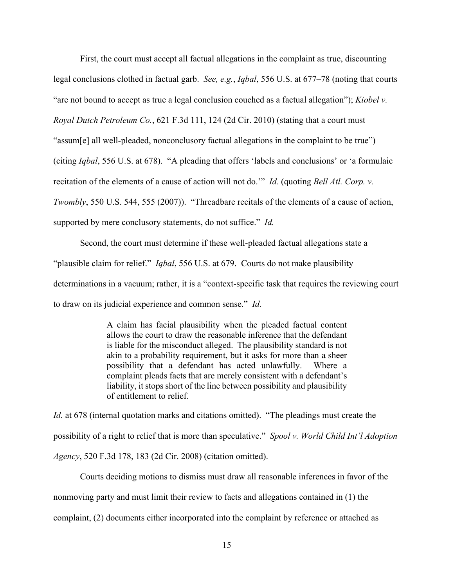First, the court must accept all factual allegations in the complaint as true, discounting legal conclusions clothed in factual garb. *See, e.g.*, *Iqbal*, 556 U.S. at 677–78 (noting that courts "are not bound to accept as true a legal conclusion couched as a factual allegation"); *Kiobel v. Royal Dutch Petroleum Co.*, 621 F.3d 111, 124 (2d Cir. 2010) (stating that a court must "assum[e] all well-pleaded, nonconclusory factual allegations in the complaint to be true") (citing *Iqbal*, 556 U.S. at 678). "A pleading that offers 'labels and conclusions' or 'a formulaic recitation of the elements of a cause of action will not do.'" *Id.* (quoting *Bell Atl. Corp. v. Twombly*, 550 U.S. 544, 555 (2007)). "Threadbare recitals of the elements of a cause of action, supported by mere conclusory statements, do not suffice." *Id.*

Second, the court must determine if these well-pleaded factual allegations state a "plausible claim for relief." *Iqbal*, 556 U.S. at 679. Courts do not make plausibility determinations in a vacuum; rather, it is a "context-specific task that requires the reviewing court to draw on its judicial experience and common sense." *Id.*

> A claim has facial plausibility when the pleaded factual content allows the court to draw the reasonable inference that the defendant is liable for the misconduct alleged. The plausibility standard is not akin to a probability requirement, but it asks for more than a sheer possibility that a defendant has acted unlawfully. Where a complaint pleads facts that are merely consistent with a defendant's liability, it stops short of the line between possibility and plausibility of entitlement to relief.

*Id.* at 678 (internal quotation marks and citations omitted). "The pleadings must create the possibility of a right to relief that is more than speculative." *Spool v. World Child Int'l Adoption Agency*, 520 F.3d 178, 183 (2d Cir. 2008) (citation omitted).

Courts deciding motions to dismiss must draw all reasonable inferences in favor of the nonmoving party and must limit their review to facts and allegations contained in (1) the complaint, (2) documents either incorporated into the complaint by reference or attached as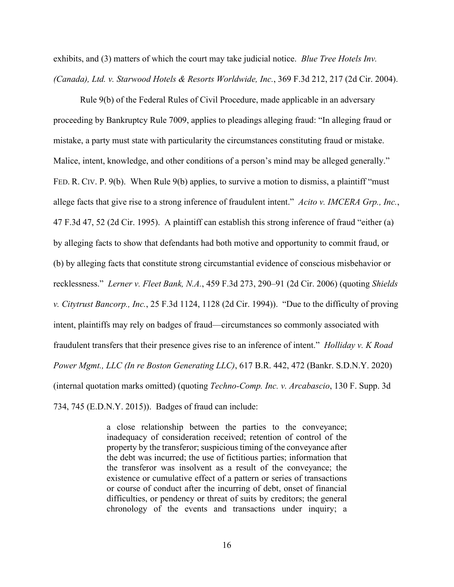exhibits, and (3) matters of which the court may take judicial notice. *Blue Tree Hotels Inv. (Canada), Ltd. v. Starwood Hotels & Resorts Worldwide, Inc.*, 369 F.3d 212, 217 (2d Cir. 2004).

Rule 9(b) of the Federal Rules of Civil Procedure, made applicable in an adversary proceeding by Bankruptcy Rule 7009, applies to pleadings alleging fraud: "In alleging fraud or mistake, a party must state with particularity the circumstances constituting fraud or mistake. Malice, intent, knowledge, and other conditions of a person's mind may be alleged generally." FED. R. CIV. P. 9(b). When Rule 9(b) applies, to survive a motion to dismiss, a plaintiff "must" allege facts that give rise to a strong inference of fraudulent intent." *Acito v. IMCERA Grp., Inc.*, 47 F.3d 47, 52 (2d Cir. 1995). A plaintiff can establish this strong inference of fraud "either (a) by alleging facts to show that defendants had both motive and opportunity to commit fraud, or (b) by alleging facts that constitute strong circumstantial evidence of conscious misbehavior or recklessness." *Lerner v. Fleet Bank, N.A.*, 459 F.3d 273, 290–91 (2d Cir. 2006) (quoting *Shields v. Citytrust Bancorp., Inc.*, 25 F.3d 1124, 1128 (2d Cir. 1994)). "Due to the difficulty of proving intent, plaintiffs may rely on badges of fraud—circumstances so commonly associated with fraudulent transfers that their presence gives rise to an inference of intent." *Holliday v. K Road Power Mgmt., LLC (In re Boston Generating LLC)*, 617 B.R. 442, 472 (Bankr. S.D.N.Y. 2020) (internal quotation marks omitted) (quoting *Techno-Comp. Inc. v. Arcabascio*, 130 F. Supp. 3d 734, 745 (E.D.N.Y. 2015)). Badges of fraud can include:

> a close relationship between the parties to the conveyance; inadequacy of consideration received; retention of control of the property by the transferor; suspicious timing of the conveyance after the debt was incurred; the use of fictitious parties; information that the transferor was insolvent as a result of the conveyance; the existence or cumulative effect of a pattern or series of transactions or course of conduct after the incurring of debt, onset of financial difficulties, or pendency or threat of suits by creditors; the general chronology of the events and transactions under inquiry; a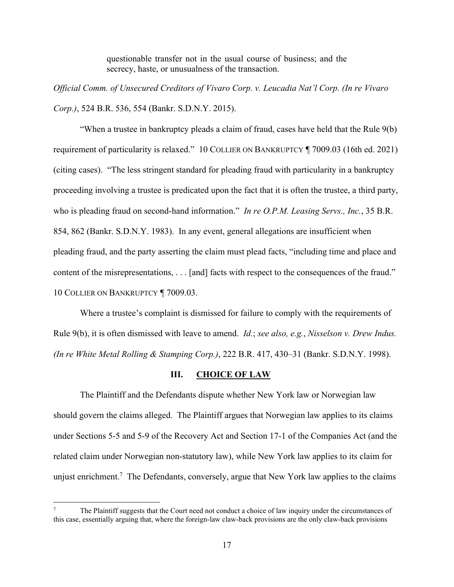questionable transfer not in the usual course of business; and the secrecy, haste, or unusualness of the transaction.

*Official Comm. of Unsecured Creditors of Vivaro Corp. v. Leucadia Nat'l Corp. (In re Vivaro Corp.)*, 524 B.R. 536, 554 (Bankr. S.D.N.Y. 2015).

"When a trustee in bankruptcy pleads a claim of fraud, cases have held that the Rule 9(b) requirement of particularity is relaxed." 10 COLLIER ON BANKRUPTCY ¶ 7009.03 (16th ed. 2021) (citing cases). "The less stringent standard for pleading fraud with particularity in a bankruptcy proceeding involving a trustee is predicated upon the fact that it is often the trustee, a third party, who is pleading fraud on second-hand information." *In re O.P.M. Leasing Servs., Inc.*, 35 B.R. 854, 862 (Bankr. S.D.N.Y. 1983). In any event, general allegations are insufficient when pleading fraud, and the party asserting the claim must plead facts, "including time and place and content of the misrepresentations, . . . [and] facts with respect to the consequences of the fraud." 10 COLLIER ON BANKRUPTCY ¶ 7009.03.

Where a trustee's complaint is dismissed for failure to comply with the requirements of Rule 9(b), it is often dismissed with leave to amend. *Id.*; *see also, e.g.*, *Nisselson v. Drew Indus. (In re White Metal Rolling & Stamping Corp.)*, 222 B.R. 417, 430–31 (Bankr. S.D.N.Y. 1998).

### **III. CHOICE OF LAW**

The Plaintiff and the Defendants dispute whether New York law or Norwegian law should govern the claims alleged. The Plaintiff argues that Norwegian law applies to its claims under Sections 5-5 and 5-9 of the Recovery Act and Section 17-1 of the Companies Act (and the related claim under Norwegian non-statutory law), while New York law applies to its claim for unjust enrichment.<sup>7</sup> The Defendants, conversely, argue that New York law applies to the claims

<sup>7</sup> The Plaintiff suggests that the Court need not conduct a choice of law inquiry under the circumstances of this case, essentially arguing that, where the foreign-law claw-back provisions are the only claw-back provisions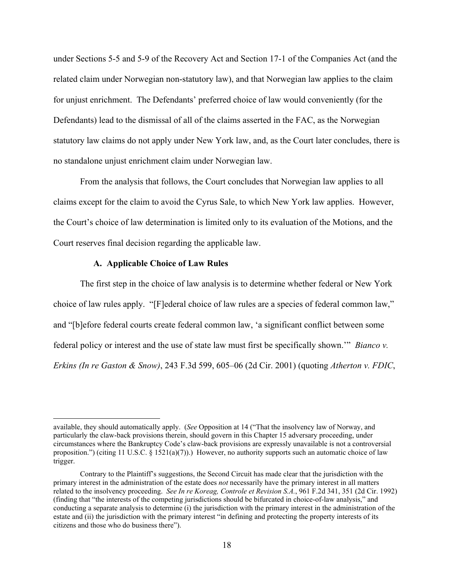under Sections 5-5 and 5-9 of the Recovery Act and Section 17-1 of the Companies Act (and the related claim under Norwegian non-statutory law), and that Norwegian law applies to the claim for unjust enrichment. The Defendants' preferred choice of law would conveniently (for the Defendants) lead to the dismissal of all of the claims asserted in the FAC, as the Norwegian statutory law claims do not apply under New York law, and, as the Court later concludes, there is no standalone unjust enrichment claim under Norwegian law.

From the analysis that follows, the Court concludes that Norwegian law applies to all claims except for the claim to avoid the Cyrus Sale, to which New York law applies. However, the Court's choice of law determination is limited only to its evaluation of the Motions, and the Court reserves final decision regarding the applicable law.

#### **A. Applicable Choice of Law Rules**

The first step in the choice of law analysis is to determine whether federal or New York choice of law rules apply. "[F]ederal choice of law rules are a species of federal common law," and "[b]efore federal courts create federal common law, 'a significant conflict between some federal policy or interest and the use of state law must first be specifically shown.'" *Bianco v. Erkins (In re Gaston & Snow)*, 243 F.3d 599, 605–06 (2d Cir. 2001) (quoting *Atherton v. FDIC*,

available, they should automatically apply. (*See* Opposition at 14 ("That the insolvency law of Norway, and particularly the claw-back provisions therein, should govern in this Chapter 15 adversary proceeding, under circumstances where the Bankruptcy Code's claw-back provisions are expressly unavailable is not a controversial proposition.") (citing 11 U.S.C.  $\S$  1521(a)(7)).) However, no authority supports such an automatic choice of law trigger.

Contrary to the Plaintiff's suggestions, the Second Circuit has made clear that the jurisdiction with the primary interest in the administration of the estate does *not* necessarily have the primary interest in all matters related to the insolvency proceeding. *See In re Koreag, Controle et Revision S.A.*, 961 F.2d 341, 351 (2d Cir. 1992) (finding that "the interests of the competing jurisdictions should be bifurcated in choice-of-law analysis," and conducting a separate analysis to determine (i) the jurisdiction with the primary interest in the administration of the estate and (ii) the jurisdiction with the primary interest "in defining and protecting the property interests of its citizens and those who do business there").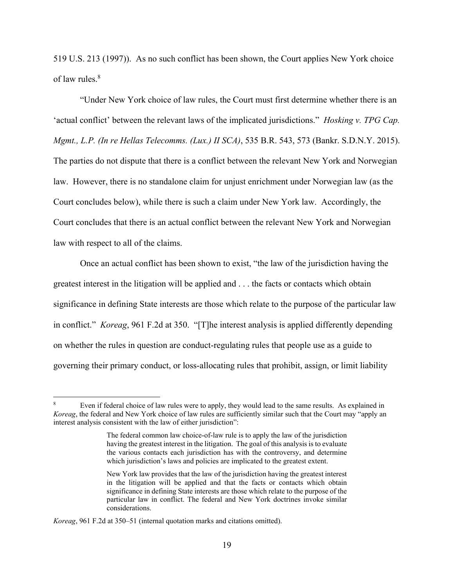519 U.S. 213 (1997)). As no such conflict has been shown, the Court applies New York choice of law rules.8

"Under New York choice of law rules, the Court must first determine whether there is an 'actual conflict' between the relevant laws of the implicated jurisdictions." *Hosking v. TPG Cap. Mgmt., L.P. (In re Hellas Telecomms. (Lux.) II SCA)*, 535 B.R. 543, 573 (Bankr. S.D.N.Y. 2015). The parties do not dispute that there is a conflict between the relevant New York and Norwegian law. However, there is no standalone claim for unjust enrichment under Norwegian law (as the Court concludes below), while there is such a claim under New York law. Accordingly, the Court concludes that there is an actual conflict between the relevant New York and Norwegian law with respect to all of the claims.

Once an actual conflict has been shown to exist, "the law of the jurisdiction having the greatest interest in the litigation will be applied and . . . the facts or contacts which obtain significance in defining State interests are those which relate to the purpose of the particular law in conflict." *Koreag*, 961 F.2d at 350. "[T]he interest analysis is applied differently depending on whether the rules in question are conduct-regulating rules that people use as a guide to governing their primary conduct, or loss-allocating rules that prohibit, assign, or limit liability

<sup>8</sup> Even if federal choice of law rules were to apply, they would lead to the same results. As explained in *Koreag*, the federal and New York choice of law rules are sufficiently similar such that the Court may "apply an interest analysis consistent with the law of either jurisdiction":

The federal common law choice-of-law rule is to apply the law of the jurisdiction having the greatest interest in the litigation. The goal of this analysis is to evaluate the various contacts each jurisdiction has with the controversy, and determine which jurisdiction's laws and policies are implicated to the greatest extent.

New York law provides that the law of the jurisdiction having the greatest interest in the litigation will be applied and that the facts or contacts which obtain significance in defining State interests are those which relate to the purpose of the particular law in conflict. The federal and New York doctrines invoke similar considerations.

*Koreag*, 961 F.2d at 350–51 (internal quotation marks and citations omitted).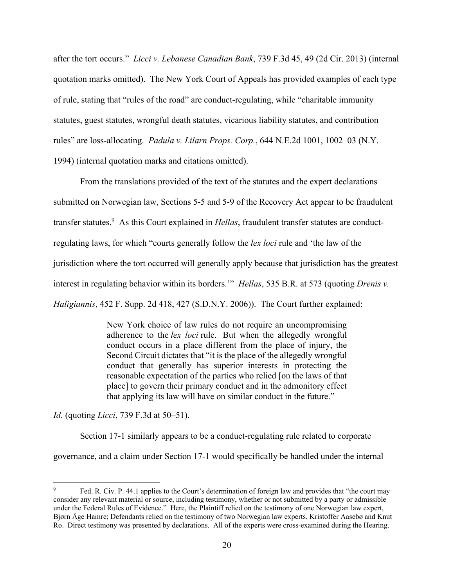after the tort occurs." *Licci v. Lebanese Canadian Bank*, 739 F.3d 45, 49 (2d Cir. 2013) (internal quotation marks omitted). The New York Court of Appeals has provided examples of each type of rule, stating that "rules of the road" are conduct-regulating, while "charitable immunity statutes, guest statutes, wrongful death statutes, vicarious liability statutes, and contribution rules" are loss-allocating. *Padula v. Lilarn Props. Corp.*, 644 N.E.2d 1001, 1002–03 (N.Y. 1994) (internal quotation marks and citations omitted).

From the translations provided of the text of the statutes and the expert declarations submitted on Norwegian law, Sections 5-5 and 5-9 of the Recovery Act appear to be fraudulent transfer statutes.9 As this Court explained in *Hellas*, fraudulent transfer statutes are conductregulating laws, for which "courts generally follow the *lex loci* rule and 'the law of the jurisdiction where the tort occurred will generally apply because that jurisdiction has the greatest interest in regulating behavior within its borders.'" *Hellas*, 535 B.R. at 573 (quoting *Drenis v. Haligiannis*, 452 F. Supp. 2d 418, 427 (S.D.N.Y. 2006)). The Court further explained:

> New York choice of law rules do not require an uncompromising adherence to the *lex loci* rule. But when the allegedly wrongful conduct occurs in a place different from the place of injury, the Second Circuit dictates that "it is the place of the allegedly wrongful conduct that generally has superior interests in protecting the reasonable expectation of the parties who relied [on the laws of that place] to govern their primary conduct and in the admonitory effect that applying its law will have on similar conduct in the future."

*Id.* (quoting *Licci*, 739 F.3d at 50–51).

Section 17-1 similarly appears to be a conduct-regulating rule related to corporate

governance, and a claim under Section 17-1 would specifically be handled under the internal

<sup>9</sup> Fed. R. Civ. P. 44.1 applies to the Court's determination of foreign law and provides that "the court may consider any relevant material or source, including testimony, whether or not submitted by a party or admissible under the Federal Rules of Evidence." Here, the Plaintiff relied on the testimony of one Norwegian law expert, Bjørn Åge Hamre; Defendants relied on the testimony of two Norwegian law experts, Kristoffer Aasebø and Knut Ro. Direct testimony was presented by declarations. All of the experts were cross-examined during the Hearing.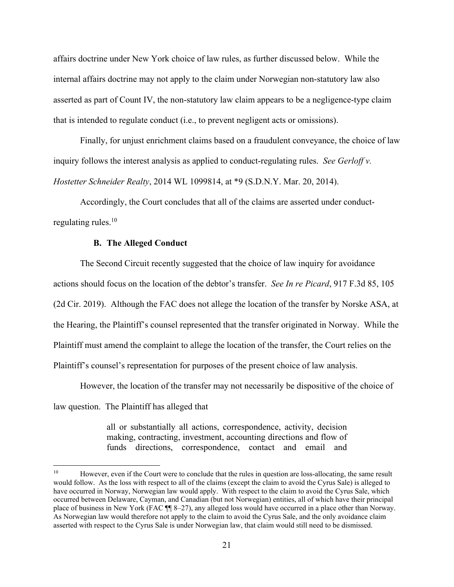affairs doctrine under New York choice of law rules, as further discussed below. While the internal affairs doctrine may not apply to the claim under Norwegian non-statutory law also asserted as part of Count IV, the non-statutory law claim appears to be a negligence-type claim that is intended to regulate conduct (i.e., to prevent negligent acts or omissions).

Finally, for unjust enrichment claims based on a fraudulent conveyance, the choice of law inquiry follows the interest analysis as applied to conduct-regulating rules. *See Gerloff v. Hostetter Schneider Realty*, 2014 WL 1099814, at \*9 (S.D.N.Y. Mar. 20, 2014).

Accordingly, the Court concludes that all of the claims are asserted under conductregulating rules. $10$ 

#### **B. The Alleged Conduct**

 The Second Circuit recently suggested that the choice of law inquiry for avoidance actions should focus on the location of the debtor's transfer. *See In re Picard*, 917 F.3d 85, 105 (2d Cir. 2019). Although the FAC does not allege the location of the transfer by Norske ASA, at the Hearing, the Plaintiff's counsel represented that the transfer originated in Norway. While the Plaintiff must amend the complaint to allege the location of the transfer, the Court relies on the Plaintiff's counsel's representation for purposes of the present choice of law analysis.

However, the location of the transfer may not necessarily be dispositive of the choice of law question. The Plaintiff has alleged that

> all or substantially all actions, correspondence, activity, decision making, contracting, investment, accounting directions and flow of funds directions, correspondence, contact and email and

<sup>&</sup>lt;sup>10</sup> However, even if the Court were to conclude that the rules in question are loss-allocating, the same result would follow. As the loss with respect to all of the claims (except the claim to avoid the Cyrus Sale) is alleged to have occurred in Norway, Norwegian law would apply. With respect to the claim to avoid the Cyrus Sale, which occurred between Delaware, Cayman, and Canadian (but not Norwegian) entities, all of which have their principal place of business in New York (FAC ¶¶ 8–27), any alleged loss would have occurred in a place other than Norway. As Norwegian law would therefore not apply to the claim to avoid the Cyrus Sale, and the only avoidance claim asserted with respect to the Cyrus Sale is under Norwegian law, that claim would still need to be dismissed.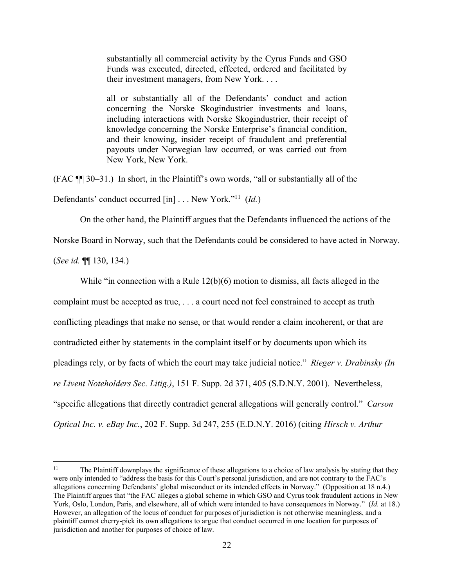substantially all commercial activity by the Cyrus Funds and GSO Funds was executed, directed, effected, ordered and facilitated by their investment managers, from New York. . . .

all or substantially all of the Defendants' conduct and action concerning the Norske Skogindustrier investments and loans, including interactions with Norske Skogindustrier, their receipt of knowledge concerning the Norske Enterprise's financial condition, and their knowing, insider receipt of fraudulent and preferential payouts under Norwegian law occurred, or was carried out from New York, New York.

(FAC ¶¶ 30–31.) In short, in the Plaintiff's own words, "all or substantially all of the

Defendants' conduct occurred [in] . . . New York."11 (*Id.*)

On the other hand, the Plaintiff argues that the Defendants influenced the actions of the

Norske Board in Norway, such that the Defendants could be considered to have acted in Norway.

(*See id.* ¶¶ 130, 134.)

While "in connection with a Rule 12(b)(6) motion to dismiss, all facts alleged in the

complaint must be accepted as true, . . . a court need not feel constrained to accept as truth

conflicting pleadings that make no sense, or that would render a claim incoherent, or that are

contradicted either by statements in the complaint itself or by documents upon which its

pleadings rely, or by facts of which the court may take judicial notice." *Rieger v. Drabinsky (In* 

*re Livent Noteholders Sec. Litig.)*, 151 F. Supp. 2d 371, 405 (S.D.N.Y. 2001). Nevertheless,

"specific allegations that directly contradict general allegations will generally control." *Carson* 

*Optical Inc. v. eBay Inc.*, 202 F. Supp. 3d 247, 255 (E.D.N.Y. 2016) (citing *Hirsch v. Arthur* 

<sup>&</sup>lt;sup>11</sup> The Plaintiff downplays the significance of these allegations to a choice of law analysis by stating that they were only intended to "address the basis for this Court's personal jurisdiction, and are not contrary to the FAC's allegations concerning Defendants' global misconduct or its intended effects in Norway." (Opposition at 18 n.4.) The Plaintiff argues that "the FAC alleges a global scheme in which GSO and Cyrus took fraudulent actions in New York, Oslo, London, Paris, and elsewhere, all of which were intended to have consequences in Norway." (*Id.* at 18.) However, an allegation of the locus of conduct for purposes of jurisdiction is not otherwise meaningless, and a plaintiff cannot cherry-pick its own allegations to argue that conduct occurred in one location for purposes of jurisdiction and another for purposes of choice of law.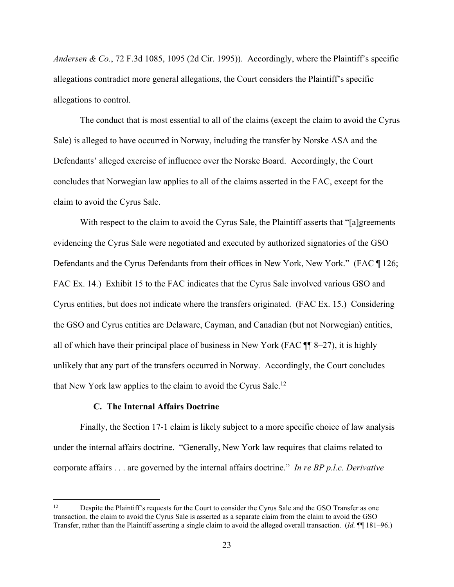*Andersen & Co.*, 72 F.3d 1085, 1095 (2d Cir. 1995)). Accordingly, where the Plaintiff's specific allegations contradict more general allegations, the Court considers the Plaintiff's specific allegations to control.

The conduct that is most essential to all of the claims (except the claim to avoid the Cyrus Sale) is alleged to have occurred in Norway, including the transfer by Norske ASA and the Defendants' alleged exercise of influence over the Norske Board. Accordingly, the Court concludes that Norwegian law applies to all of the claims asserted in the FAC, except for the claim to avoid the Cyrus Sale.

With respect to the claim to avoid the Cyrus Sale, the Plaintiff asserts that "[a]greements evidencing the Cyrus Sale were negotiated and executed by authorized signatories of the GSO Defendants and the Cyrus Defendants from their offices in New York, New York." (FAC ¶ 126; FAC Ex. 14.) Exhibit 15 to the FAC indicates that the Cyrus Sale involved various GSO and Cyrus entities, but does not indicate where the transfers originated. (FAC Ex. 15.) Considering the GSO and Cyrus entities are Delaware, Cayman, and Canadian (but not Norwegian) entities, all of which have their principal place of business in New York (FAC ¶¶ 8–27), it is highly unlikely that any part of the transfers occurred in Norway. Accordingly, the Court concludes that New York law applies to the claim to avoid the Cyrus Sale.<sup>12</sup>

## **C. The Internal Affairs Doctrine**

Finally, the Section 17-1 claim is likely subject to a more specific choice of law analysis under the internal affairs doctrine. "Generally, New York law requires that claims related to corporate affairs . . . are governed by the internal affairs doctrine." *In re BP p.l.c. Derivative* 

<sup>&</sup>lt;sup>12</sup> Despite the Plaintiff's requests for the Court to consider the Cyrus Sale and the GSO Transfer as one transaction, the claim to avoid the Cyrus Sale is asserted as a separate claim from the claim to avoid the GSO Transfer, rather than the Plaintiff asserting a single claim to avoid the alleged overall transaction. (*Id.* ¶¶ 181–96.)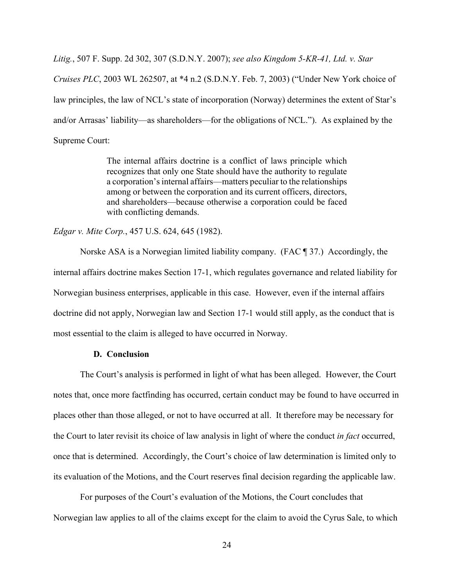*Litig.*, 507 F. Supp. 2d 302, 307 (S.D.N.Y. 2007); *see also Kingdom 5-KR-41, Ltd. v. Star* 

*Cruises PLC*, 2003 WL 262507, at \*4 n.2 (S.D.N.Y. Feb. 7, 2003) ("Under New York choice of law principles, the law of NCL's state of incorporation (Norway) determines the extent of Star's and/or Arrasas' liability—as shareholders—for the obligations of NCL."). As explained by the Supreme Court:

> The internal affairs doctrine is a conflict of laws principle which recognizes that only one State should have the authority to regulate a corporation's internal affairs—matters peculiar to the relationships among or between the corporation and its current officers, directors, and shareholders—because otherwise a corporation could be faced with conflicting demands.

*Edgar v. Mite Corp.*, 457 U.S. 624, 645 (1982).

Norske ASA is a Norwegian limited liability company. (FAC ¶ 37.) Accordingly, the internal affairs doctrine makes Section 17-1, which regulates governance and related liability for Norwegian business enterprises, applicable in this case. However, even if the internal affairs doctrine did not apply, Norwegian law and Section 17-1 would still apply, as the conduct that is most essential to the claim is alleged to have occurred in Norway.

#### **D. Conclusion**

The Court's analysis is performed in light of what has been alleged. However, the Court notes that, once more factfinding has occurred, certain conduct may be found to have occurred in places other than those alleged, or not to have occurred at all. It therefore may be necessary for the Court to later revisit its choice of law analysis in light of where the conduct *in fact* occurred, once that is determined. Accordingly, the Court's choice of law determination is limited only to its evaluation of the Motions, and the Court reserves final decision regarding the applicable law.

For purposes of the Court's evaluation of the Motions, the Court concludes that Norwegian law applies to all of the claims except for the claim to avoid the Cyrus Sale, to which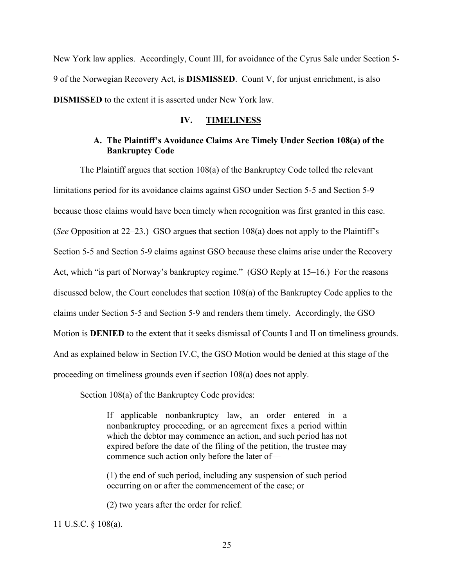New York law applies. Accordingly, Count III, for avoidance of the Cyrus Sale under Section 5- 9 of the Norwegian Recovery Act, is **DISMISSED**. Count V, for unjust enrichment, is also **DISMISSED** to the extent it is asserted under New York law.

#### **IV. TIMELINESS**

# **A. The Plaintiff's Avoidance Claims Are Timely Under Section 108(a) of the Bankruptcy Code**

The Plaintiff argues that section 108(a) of the Bankruptcy Code tolled the relevant limitations period for its avoidance claims against GSO under Section 5-5 and Section 5-9 because those claims would have been timely when recognition was first granted in this case. (*See* Opposition at 22–23.) GSO argues that section 108(a) does not apply to the Plaintiff's Section 5-5 and Section 5-9 claims against GSO because these claims arise under the Recovery Act, which "is part of Norway's bankruptcy regime." (GSO Reply at 15–16.) For the reasons discussed below, the Court concludes that section 108(a) of the Bankruptcy Code applies to the claims under Section 5-5 and Section 5-9 and renders them timely. Accordingly, the GSO Motion is **DENIED** to the extent that it seeks dismissal of Counts I and II on timeliness grounds. And as explained below in Section IV.C, the GSO Motion would be denied at this stage of the proceeding on timeliness grounds even if section 108(a) does not apply.

Section 108(a) of the Bankruptcy Code provides:

If applicable nonbankruptcy law, an order entered in a nonbankruptcy proceeding, or an agreement fixes a period within which the debtor may commence an action, and such period has not expired before the date of the filing of the petition, the trustee may commence such action only before the later of—

(1) the end of such period, including any suspension of such period occurring on or after the commencement of the case; or

(2) two years after the order for relief.

11 U.S.C. § 108(a).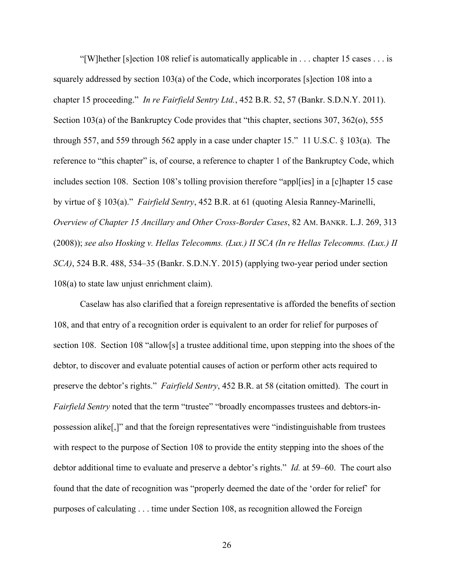"[W]hether [s]ection 108 relief is automatically applicable in . . . chapter 15 cases . . . is squarely addressed by section 103(a) of the Code, which incorporates [s]ection 108 into a chapter 15 proceeding." *In re Fairfield Sentry Ltd.*, 452 B.R. 52, 57 (Bankr. S.D.N.Y. 2011). Section 103(a) of the Bankruptcy Code provides that "this chapter, sections 307, 362(o), 555 through 557, and 559 through 562 apply in a case under chapter 15." 11 U.S.C. § 103(a). The reference to "this chapter" is, of course, a reference to chapter 1 of the Bankruptcy Code, which includes section 108. Section 108's tolling provision therefore "appl[ies] in a [c]hapter 15 case by virtue of § 103(a)." *Fairfield Sentry*, 452 B.R. at 61 (quoting Alesia Ranney-Marinelli, *Overview of Chapter 15 Ancillary and Other Cross-Border Cases*, 82 AM. BANKR. L.J. 269, 313 (2008)); *see also Hosking v. Hellas Telecomms. (Lux.) II SCA (In re Hellas Telecomms. (Lux.) II SCA)*, 524 B.R. 488, 534–35 (Bankr. S.D.N.Y. 2015) (applying two-year period under section 108(a) to state law unjust enrichment claim).

Caselaw has also clarified that a foreign representative is afforded the benefits of section 108, and that entry of a recognition order is equivalent to an order for relief for purposes of section 108. Section 108 "allow[s] a trustee additional time, upon stepping into the shoes of the debtor, to discover and evaluate potential causes of action or perform other acts required to preserve the debtor's rights." *Fairfield Sentry*, 452 B.R. at 58 (citation omitted). The court in *Fairfield Sentry* noted that the term "trustee" "broadly encompasses trustees and debtors-inpossession alike[,]" and that the foreign representatives were "indistinguishable from trustees with respect to the purpose of Section 108 to provide the entity stepping into the shoes of the debtor additional time to evaluate and preserve a debtor's rights." *Id.* at 59–60. The court also found that the date of recognition was "properly deemed the date of the 'order for relief' for purposes of calculating . . . time under Section 108, as recognition allowed the Foreign

26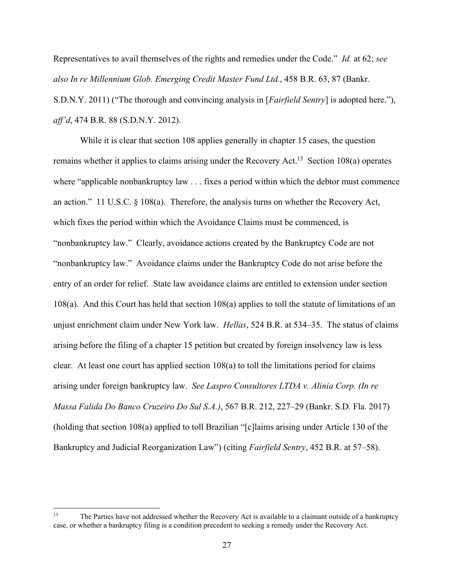Representatives to avail themselves of the rights and remedies under the Code." *Id.* at 62; *see also In re Millennium Glob. Emerging Credit Master Fund Ltd.*, 458 B.R. 63, 87 (Bankr. S.D.N.Y. 2011) ("The thorough and convincing analysis in [*Fairfield Sentry*] is adopted here."), *aff'd*, 474 B.R. 88 (S.D.N.Y. 2012).

While it is clear that section 108 applies generally in chapter 15 cases, the question remains whether it applies to claims arising under the Recovery Act.<sup>13</sup> Section 108(a) operates where "applicable nonbankruptcy law . . . fixes a period within which the debtor must commence an action." 11 U.S.C. § 108(a). Therefore, the analysis turns on whether the Recovery Act, which fixes the period within which the Avoidance Claims must be commenced, is "nonbankruptcy law." Clearly, avoidance actions created by the Bankruptcy Code are not "nonbankruptcy law." Avoidance claims under the Bankruptcy Code do not arise before the entry of an order for relief. State law avoidance claims are entitled to extension under section 108(a). And this Court has held that section 108(a) applies to toll the statute of limitations of an unjust enrichment claim under New York law. *Hellas*, 524 B.R. at 534–35. The status of claims arising before the filing of a chapter 15 petition but created by foreign insolvency law is less clear. At least one court has applied section 108(a) to toll the limitations period for claims arising under foreign bankruptcy law. *See Laspro Consultores LTDA v. Alinia Corp. (In re Massa Falida Do Banco Cruzeiro Do Sul S.A.)*, 567 B.R. 212, 227–29 (Bankr. S.D. Fla. 2017) (holding that section 108(a) applied to toll Brazilian "[c]laims arising under Article 130 of the Bankruptcy and Judicial Reorganization Law") (citing *Fairfield Sentry*, 452 B.R. at 57–58).

<sup>&</sup>lt;sup>13</sup> The Parties have not addressed whether the Recovery Act is available to a claimant outside of a bankruptcy case, or whether a bankruptcy filing is a condition precedent to seeking a remedy under the Recovery Act.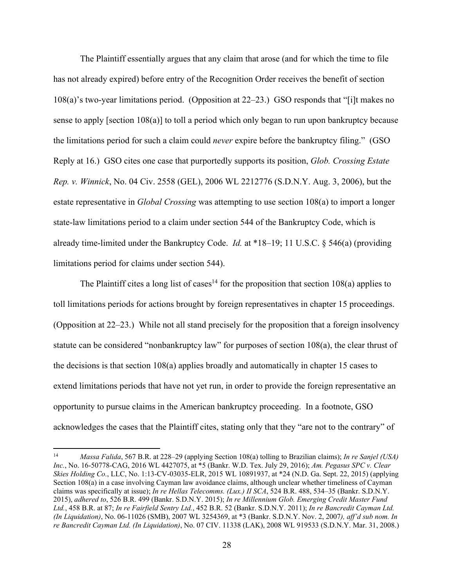The Plaintiff essentially argues that any claim that arose (and for which the time to file has not already expired) before entry of the Recognition Order receives the benefit of section 108(a)'s two-year limitations period. (Opposition at 22–23.) GSO responds that "[i]t makes no sense to apply [section 108(a)] to toll a period which only began to run upon bankruptcy because the limitations period for such a claim could *never* expire before the bankruptcy filing." (GSO Reply at 16.) GSO cites one case that purportedly supports its position, *Glob. Crossing Estate Rep. v. Winnick*, No. 04 Civ. 2558 (GEL), 2006 WL 2212776 (S.D.N.Y. Aug. 3, 2006), but the estate representative in *Global Crossing* was attempting to use section 108(a) to import a longer state-law limitations period to a claim under section 544 of the Bankruptcy Code, which is already time-limited under the Bankruptcy Code. *Id.* at \*18–19; 11 U.S.C. § 546(a) (providing limitations period for claims under section 544).

The Plaintiff cites a long list of cases<sup>14</sup> for the proposition that section 108(a) applies to toll limitations periods for actions brought by foreign representatives in chapter 15 proceedings. (Opposition at 22–23.) While not all stand precisely for the proposition that a foreign insolvency statute can be considered "nonbankruptcy law" for purposes of section 108(a), the clear thrust of the decisions is that section 108(a) applies broadly and automatically in chapter 15 cases to extend limitations periods that have not yet run, in order to provide the foreign representative an opportunity to pursue claims in the American bankruptcy proceeding. In a footnote, GSO acknowledges the cases that the Plaintiff cites, stating only that they "are not to the contrary" of

<sup>14</sup> *Massa Falida*, 567 B.R. at 228–29 (applying Section 108(a) tolling to Brazilian claims); *In re Sanjel (USA) Inc.*, No. 16-50778-CAG, 2016 WL 4427075, at \*5 (Bankr. W.D. Tex. July 29, 2016); *Am. Pegasus SPC v. Clear Skies Holding Co.*, LLC, No. 1:13-CV-03035-ELR, 2015 WL 10891937, at \*24 (N.D. Ga. Sept. 22, 2015) (applying Section 108(a) in a case involving Cayman law avoidance claims, although unclear whether timeliness of Cayman claims was specifically at issue); *In re Hellas Telecomms. (Lux.) II SCA*, 524 B.R. 488, 534–35 (Bankr. S.D.N.Y. 2015), *adhered to*, 526 B.R. 499 (Bankr. S.D.N.Y. 2015); *In re Millennium Glob. Emerging Credit Master Fund Ltd.*, 458 B.R. at 87; *In re Fairfield Sentry Ltd.*, 452 B.R. 52 (Bankr. S.D.N.Y. 2011); *In re Bancredit Cayman Ltd. (In Liquidation)*, No. 06-11026 (SMB), 2007 WL 3254369, at \*3 (Bankr. S.D.N.Y. Nov. 2, 2007*), aff'd sub nom. In re Bancredit Cayman Ltd. (In Liquidation)*, No. 07 CIV. 11338 (LAK), 2008 WL 919533 (S.D.N.Y. Mar. 31, 2008.)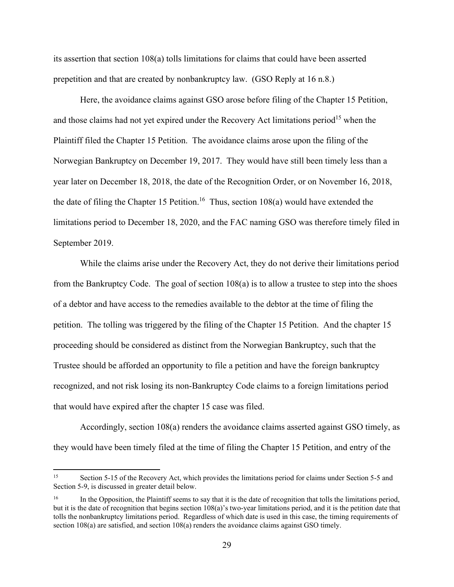its assertion that section 108(a) tolls limitations for claims that could have been asserted prepetition and that are created by nonbankruptcy law. (GSO Reply at 16 n.8.)

Here, the avoidance claims against GSO arose before filing of the Chapter 15 Petition, and those claims had not yet expired under the Recovery Act limitations period<sup>15</sup> when the Plaintiff filed the Chapter 15 Petition. The avoidance claims arose upon the filing of the Norwegian Bankruptcy on December 19, 2017. They would have still been timely less than a year later on December 18, 2018, the date of the Recognition Order, or on November 16, 2018, the date of filing the Chapter 15 Petition.<sup>16</sup> Thus, section 108(a) would have extended the limitations period to December 18, 2020, and the FAC naming GSO was therefore timely filed in September 2019.

While the claims arise under the Recovery Act, they do not derive their limitations period from the Bankruptcy Code. The goal of section 108(a) is to allow a trustee to step into the shoes of a debtor and have access to the remedies available to the debtor at the time of filing the petition. The tolling was triggered by the filing of the Chapter 15 Petition. And the chapter 15 proceeding should be considered as distinct from the Norwegian Bankruptcy, such that the Trustee should be afforded an opportunity to file a petition and have the foreign bankruptcy recognized, and not risk losing its non-Bankruptcy Code claims to a foreign limitations period that would have expired after the chapter 15 case was filed.

Accordingly, section 108(a) renders the avoidance claims asserted against GSO timely, as they would have been timely filed at the time of filing the Chapter 15 Petition, and entry of the

<sup>&</sup>lt;sup>15</sup> Section 5-15 of the Recovery Act, which provides the limitations period for claims under Section 5-5 and Section 5-9, is discussed in greater detail below.

<sup>16</sup> In the Opposition, the Plaintiff seems to say that it is the date of recognition that tolls the limitations period, but it is the date of recognition that begins section 108(a)'s two-year limitations period, and it is the petition date that tolls the nonbankruptcy limitations period. Regardless of which date is used in this case, the timing requirements of section 108(a) are satisfied, and section 108(a) renders the avoidance claims against GSO timely.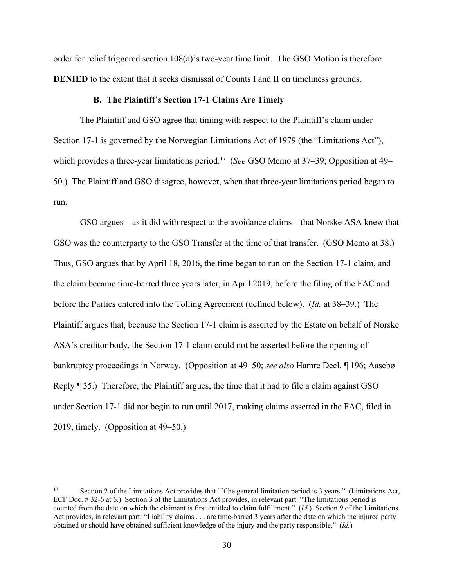order for relief triggered section 108(a)'s two-year time limit. The GSO Motion is therefore **DENIED** to the extent that it seeks dismissal of Counts I and II on timeliness grounds.

#### **B. The Plaintiff's Section 17-1 Claims Are Timely**

The Plaintiff and GSO agree that timing with respect to the Plaintiff's claim under Section 17-1 is governed by the Norwegian Limitations Act of 1979 (the "Limitations Act"), which provides a three-year limitations period.<sup>17</sup> (*See* GSO Memo at 37–39; Opposition at 49– 50.) The Plaintiff and GSO disagree, however, when that three-year limitations period began to run.

GSO argues—as it did with respect to the avoidance claims—that Norske ASA knew that GSO was the counterparty to the GSO Transfer at the time of that transfer. (GSO Memo at 38.) Thus, GSO argues that by April 18, 2016, the time began to run on the Section 17-1 claim, and the claim became time-barred three years later, in April 2019, before the filing of the FAC and before the Parties entered into the Tolling Agreement (defined below). (*Id.* at 38–39.) The Plaintiff argues that, because the Section 17-1 claim is asserted by the Estate on behalf of Norske ASA's creditor body, the Section 17-1 claim could not be asserted before the opening of bankruptcy proceedings in Norway. (Opposition at 49–50; *see also* Hamre Decl. ¶ 196; Aasebø Reply ¶ 35.) Therefore, the Plaintiff argues, the time that it had to file a claim against GSO under Section 17-1 did not begin to run until 2017, making claims asserted in the FAC, filed in 2019, timely. (Opposition at 49–50.)

<sup>17</sup> Section 2 of the Limitations Act provides that "[t]he general limitation period is 3 years." (Limitations Act, ECF Doc. # 32-6 at 6.) Section 3 of the Limitations Act provides, in relevant part: "The limitations period is counted from the date on which the claimant is first entitled to claim fulfillment." (*Id.*) Section 9 of the Limitations Act provides, in relevant part: "Liability claims . . . are time-barred 3 years after the date on which the injured party obtained or should have obtained sufficient knowledge of the injury and the party responsible." (*Id.*)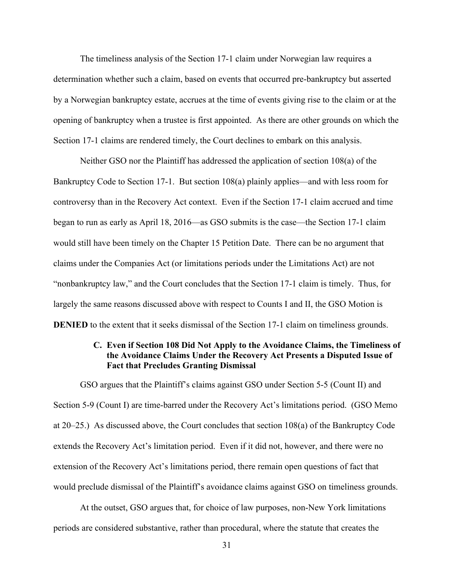The timeliness analysis of the Section 17-1 claim under Norwegian law requires a determination whether such a claim, based on events that occurred pre-bankruptcy but asserted by a Norwegian bankruptcy estate, accrues at the time of events giving rise to the claim or at the opening of bankruptcy when a trustee is first appointed. As there are other grounds on which the Section 17-1 claims are rendered timely, the Court declines to embark on this analysis.

Neither GSO nor the Plaintiff has addressed the application of section 108(a) of the Bankruptcy Code to Section 17-1. But section 108(a) plainly applies—and with less room for controversy than in the Recovery Act context. Even if the Section 17-1 claim accrued and time began to run as early as April 18, 2016—as GSO submits is the case—the Section 17-1 claim would still have been timely on the Chapter 15 Petition Date. There can be no argument that claims under the Companies Act (or limitations periods under the Limitations Act) are not "nonbankruptcy law," and the Court concludes that the Section 17-1 claim is timely. Thus, for largely the same reasons discussed above with respect to Counts I and II, the GSO Motion is **DENIED** to the extent that it seeks dismissal of the Section 17-1 claim on timeliness grounds.

# **C. Even if Section 108 Did Not Apply to the Avoidance Claims, the Timeliness of the Avoidance Claims Under the Recovery Act Presents a Disputed Issue of Fact that Precludes Granting Dismissal**

GSO argues that the Plaintiff's claims against GSO under Section 5-5 (Count II) and Section 5-9 (Count I) are time-barred under the Recovery Act's limitations period. (GSO Memo at 20–25.) As discussed above, the Court concludes that section 108(a) of the Bankruptcy Code extends the Recovery Act's limitation period. Even if it did not, however, and there were no extension of the Recovery Act's limitations period, there remain open questions of fact that would preclude dismissal of the Plaintiff's avoidance claims against GSO on timeliness grounds.

At the outset, GSO argues that, for choice of law purposes, non-New York limitations periods are considered substantive, rather than procedural, where the statute that creates the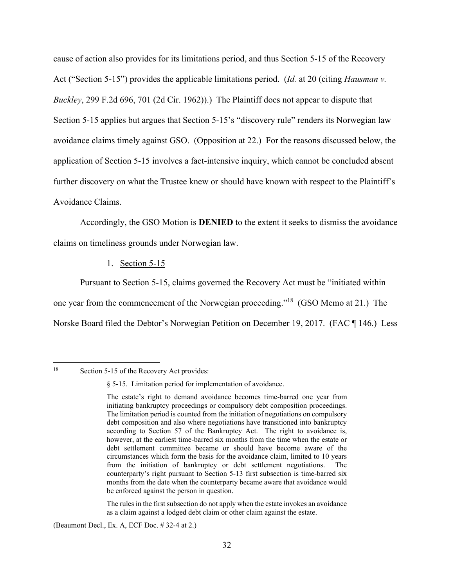cause of action also provides for its limitations period, and thus Section 5-15 of the Recovery Act ("Section 5-15") provides the applicable limitations period. (*Id.* at 20 (citing *Hausman v. Buckley*, 299 F.2d 696, 701 (2d Cir. 1962)).) The Plaintiff does not appear to dispute that Section 5-15 applies but argues that Section 5-15's "discovery rule" renders its Norwegian law avoidance claims timely against GSO. (Opposition at 22.) For the reasons discussed below, the application of Section 5-15 involves a fact-intensive inquiry, which cannot be concluded absent further discovery on what the Trustee knew or should have known with respect to the Plaintiff's Avoidance Claims.

Accordingly, the GSO Motion is **DENIED** to the extent it seeks to dismiss the avoidance claims on timeliness grounds under Norwegian law.

1. Section 5-15

Pursuant to Section 5-15, claims governed the Recovery Act must be "initiated within one year from the commencement of the Norwegian proceeding."18 (GSO Memo at 21.) The Norske Board filed the Debtor's Norwegian Petition on December 19, 2017. (FAC ¶ 146.) Less

The rules in the first subsection do not apply when the estate invokes an avoidance as a claim against a lodged debt claim or other claim against the estate.

(Beaumont Decl., Ex. A, ECF Doc. # 32-4 at 2.)

<sup>&</sup>lt;sup>18</sup> Section 5-15 of the Recovery Act provides:

<sup>§ 5-15.</sup> Limitation period for implementation of avoidance.

The estate's right to demand avoidance becomes time-barred one year from initiating bankruptcy proceedings or compulsory debt composition proceedings. The limitation period is counted from the initiation of negotiations on compulsory debt composition and also where negotiations have transitioned into bankruptcy according to Section 57 of the Bankruptcy Act. The right to avoidance is, however, at the earliest time-barred six months from the time when the estate or debt settlement committee became or should have become aware of the circumstances which form the basis for the avoidance claim, limited to 10 years from the initiation of bankruptcy or debt settlement negotiations. The counterparty's right pursuant to Section 5-13 first subsection is time-barred six months from the date when the counterparty became aware that avoidance would be enforced against the person in question.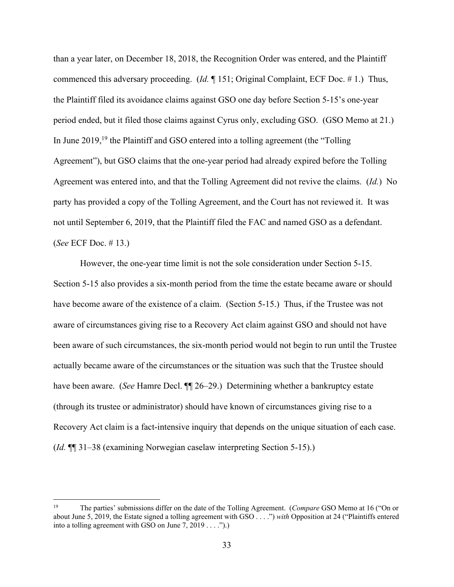than a year later, on December 18, 2018, the Recognition Order was entered, and the Plaintiff commenced this adversary proceeding. (*Id.* ¶ 151; Original Complaint, ECF Doc. # 1.) Thus, the Plaintiff filed its avoidance claims against GSO one day before Section 5-15's one-year period ended, but it filed those claims against Cyrus only, excluding GSO. (GSO Memo at 21.) In June 2019,<sup>19</sup> the Plaintiff and GSO entered into a tolling agreement (the "Tolling") Agreement"), but GSO claims that the one-year period had already expired before the Tolling Agreement was entered into, and that the Tolling Agreement did not revive the claims. (*Id.*) No party has provided a copy of the Tolling Agreement, and the Court has not reviewed it. It was not until September 6, 2019, that the Plaintiff filed the FAC and named GSO as a defendant. (*See* ECF Doc. # 13.)

However, the one-year time limit is not the sole consideration under Section 5-15. Section 5-15 also provides a six-month period from the time the estate became aware or should have become aware of the existence of a claim. (Section 5-15.) Thus, if the Trustee was not aware of circumstances giving rise to a Recovery Act claim against GSO and should not have been aware of such circumstances, the six-month period would not begin to run until the Trustee actually became aware of the circumstances or the situation was such that the Trustee should have been aware. (*See* Hamre Decl. ¶¶ 26–29.) Determining whether a bankruptcy estate (through its trustee or administrator) should have known of circumstances giving rise to a Recovery Act claim is a fact-intensive inquiry that depends on the unique situation of each case. (*Id.* ¶¶ 31–38 (examining Norwegian caselaw interpreting Section 5-15).)

<sup>19</sup> The parties' submissions differ on the date of the Tolling Agreement. (*Compare* GSO Memo at 16 ("On or about June 5, 2019, the Estate signed a tolling agreement with GSO . . . .") *with* Opposition at 24 ("Plaintiffs entered into a tolling agreement with GSO on June  $7, 2019 \ldots$ .").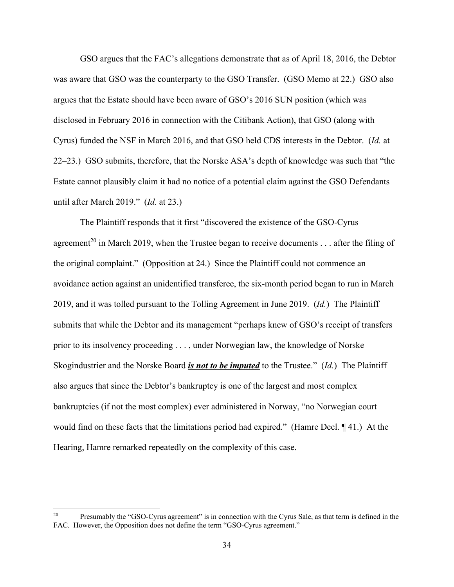GSO argues that the FAC's allegations demonstrate that as of April 18, 2016, the Debtor was aware that GSO was the counterparty to the GSO Transfer. (GSO Memo at 22.) GSO also argues that the Estate should have been aware of GSO's 2016 SUN position (which was disclosed in February 2016 in connection with the Citibank Action), that GSO (along with Cyrus) funded the NSF in March 2016, and that GSO held CDS interests in the Debtor. (*Id.* at 22–23.) GSO submits, therefore, that the Norske ASA's depth of knowledge was such that "the Estate cannot plausibly claim it had no notice of a potential claim against the GSO Defendants until after March 2019." (*Id.* at 23.)

The Plaintiff responds that it first "discovered the existence of the GSO-Cyrus agreement<sup>20</sup> in March 2019, when the Trustee began to receive documents  $\dots$  after the filing of the original complaint." (Opposition at 24.) Since the Plaintiff could not commence an avoidance action against an unidentified transferee, the six-month period began to run in March 2019, and it was tolled pursuant to the Tolling Agreement in June 2019. (*Id.*) The Plaintiff submits that while the Debtor and its management "perhaps knew of GSO's receipt of transfers prior to its insolvency proceeding . . . , under Norwegian law, the knowledge of Norske Skogindustrier and the Norske Board *is not to be imputed* to the Trustee." (*Id.*) The Plaintiff also argues that since the Debtor's bankruptcy is one of the largest and most complex bankruptcies (if not the most complex) ever administered in Norway, "no Norwegian court would find on these facts that the limitations period had expired." (Hamre Decl. ¶ 41.) At the Hearing, Hamre remarked repeatedly on the complexity of this case.

<sup>&</sup>lt;sup>20</sup> Presumably the "GSO-Cyrus agreement" is in connection with the Cyrus Sale, as that term is defined in the FAC. However, the Opposition does not define the term "GSO-Cyrus agreement."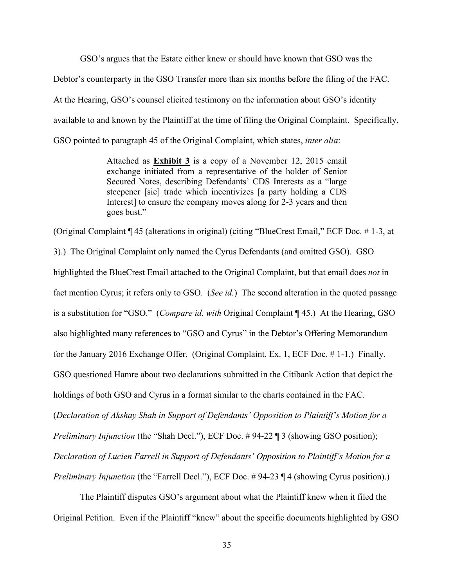GSO's argues that the Estate either knew or should have known that GSO was the

Debtor's counterparty in the GSO Transfer more than six months before the filing of the FAC.

At the Hearing, GSO's counsel elicited testimony on the information about GSO's identity

available to and known by the Plaintiff at the time of filing the Original Complaint. Specifically,

GSO pointed to paragraph 45 of the Original Complaint, which states, *inter alia*:

Attached as **Exhibit 3** is a copy of a November 12, 2015 email exchange initiated from a representative of the holder of Senior Secured Notes, describing Defendants' CDS Interests as a "large steepener [sic] trade which incentivizes [a party holding a CDS Interest] to ensure the company moves along for 2-3 years and then goes bust."

(Original Complaint ¶ 45 (alterations in original) (citing "BlueCrest Email," ECF Doc. # 1-3, at

3).) The Original Complaint only named the Cyrus Defendants (and omitted GSO). GSO highlighted the BlueCrest Email attached to the Original Complaint, but that email does *not* in fact mention Cyrus; it refers only to GSO. (*See id.*) The second alteration in the quoted passage is a substitution for "GSO." (*Compare id. with* Original Complaint ¶ 45.) At the Hearing, GSO also highlighted many references to "GSO and Cyrus" in the Debtor's Offering Memorandum for the January 2016 Exchange Offer. (Original Complaint, Ex. 1, ECF Doc. # 1-1.) Finally, GSO questioned Hamre about two declarations submitted in the Citibank Action that depict the holdings of both GSO and Cyrus in a format similar to the charts contained in the FAC. (*Declaration of Akshay Shah in Support of Defendants' Opposition to Plaintiff's Motion for a Preliminary Injunction* (the "Shah Decl."), ECF Doc. #94-22 ¶ 3 (showing GSO position); *Declaration of Lucien Farrell in Support of Defendants' Opposition to Plaintiff's Motion for a Preliminary Injunction* (the "Farrell Decl."), ECF Doc. #94-23 ¶ 4 (showing Cyrus position).)

 The Plaintiff disputes GSO's argument about what the Plaintiff knew when it filed the Original Petition. Even if the Plaintiff "knew" about the specific documents highlighted by GSO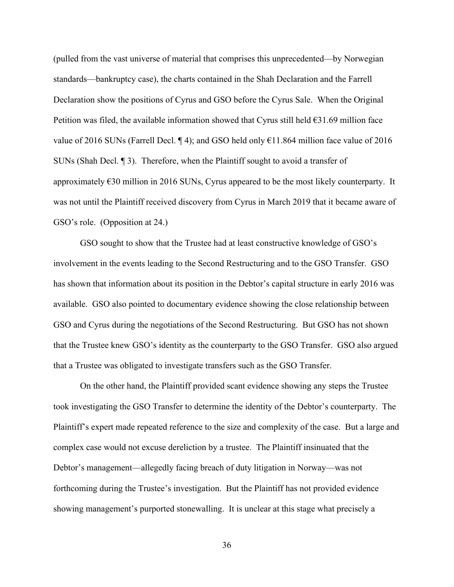(pulled from the vast universe of material that comprises this unprecedented—by Norwegian standards—bankruptcy case), the charts contained in the Shah Declaration and the Farrell Declaration show the positions of Cyrus and GSO before the Cyrus Sale. When the Original Petition was filed, the available information showed that Cyrus still held  $\epsilon$ 31.69 million face value of 2016 SUNs (Farrell Decl. ¶ 4); and GSO held only  $\epsilon$ 11.864 million face value of 2016 SUNs (Shah Decl. ¶ 3). Therefore, when the Plaintiff sought to avoid a transfer of approximately  $E30$  million in 2016 SUNs, Cyrus appeared to be the most likely counterparty. It was not until the Plaintiff received discovery from Cyrus in March 2019 that it became aware of GSO's role. (Opposition at 24.)

 GSO sought to show that the Trustee had at least constructive knowledge of GSO's involvement in the events leading to the Second Restructuring and to the GSO Transfer. GSO has shown that information about its position in the Debtor's capital structure in early 2016 was available. GSO also pointed to documentary evidence showing the close relationship between GSO and Cyrus during the negotiations of the Second Restructuring. But GSO has not shown that the Trustee knew GSO's identity as the counterparty to the GSO Transfer. GSO also argued that a Trustee was obligated to investigate transfers such as the GSO Transfer.

On the other hand, the Plaintiff provided scant evidence showing any steps the Trustee took investigating the GSO Transfer to determine the identity of the Debtor's counterparty. The Plaintiff's expert made repeated reference to the size and complexity of the case. But a large and complex case would not excuse dereliction by a trustee. The Plaintiff insinuated that the Debtor's management—allegedly facing breach of duty litigation in Norway—was not forthcoming during the Trustee's investigation. But the Plaintiff has not provided evidence showing management's purported stonewalling. It is unclear at this stage what precisely a

36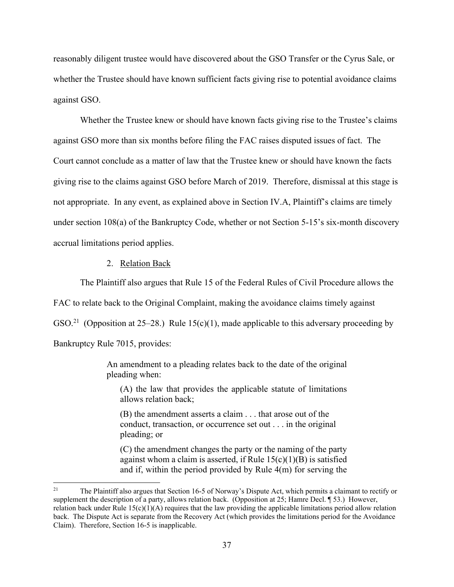reasonably diligent trustee would have discovered about the GSO Transfer or the Cyrus Sale, or whether the Trustee should have known sufficient facts giving rise to potential avoidance claims against GSO.

Whether the Trustee knew or should have known facts giving rise to the Trustee's claims against GSO more than six months before filing the FAC raises disputed issues of fact. The Court cannot conclude as a matter of law that the Trustee knew or should have known the facts giving rise to the claims against GSO before March of 2019. Therefore, dismissal at this stage is not appropriate. In any event, as explained above in Section IV.A, Plaintiff's claims are timely under section 108(a) of the Bankruptcy Code, whether or not Section 5-15's six-month discovery accrual limitations period applies.

#### 2. Relation Back

The Plaintiff also argues that Rule 15 of the Federal Rules of Civil Procedure allows the

FAC to relate back to the Original Complaint, making the avoidance claims timely against

GSO.<sup>21</sup> (Opposition at 25–28.) Rule 15(c)(1), made applicable to this adversary proceeding by

Bankruptcy Rule 7015, provides:

An amendment to a pleading relates back to the date of the original pleading when:

(A) the law that provides the applicable statute of limitations allows relation back;

(B) the amendment asserts a claim . . . that arose out of the conduct, transaction, or occurrence set out . . . in the original pleading; or

(C) the amendment changes the party or the naming of the party against whom a claim is asserted, if Rule  $15(c)(1)(B)$  is satisfied and if, within the period provided by Rule 4(m) for serving the

<sup>&</sup>lt;sup>21</sup> The Plaintiff also argues that Section 16-5 of Norway's Dispute Act, which permits a claimant to rectify or supplement the description of a party, allows relation back. (Opposition at 25; Hamre Decl. ¶ 53.) However, relation back under Rule  $15(c)(1)(A)$  requires that the law providing the applicable limitations period allow relation back. The Dispute Act is separate from the Recovery Act (which provides the limitations period for the Avoidance Claim). Therefore, Section 16-5 is inapplicable.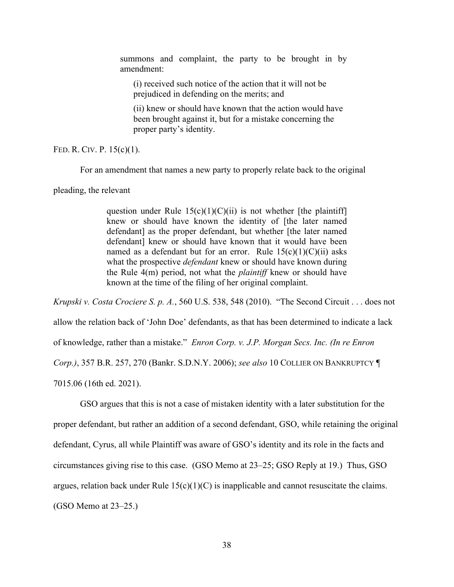summons and complaint, the party to be brought in by amendment:

(i) received such notice of the action that it will not be prejudiced in defending on the merits; and

(ii) knew or should have known that the action would have been brought against it, but for a mistake concerning the proper party's identity.

#### FED. R. CIV. P. 15(c)(1).

For an amendment that names a new party to properly relate back to the original

pleading, the relevant

question under Rule  $15(c)(1)(C)(ii)$  is not whether [the plaintiff] knew or should have known the identity of [the later named defendant] as the proper defendant, but whether [the later named defendant] knew or should have known that it would have been named as a defendant but for an error. Rule  $15(c)(1)(C)(ii)$  asks what the prospective *defendant* knew or should have known during the Rule 4(m) period, not what the *plaintiff* knew or should have known at the time of the filing of her original complaint.

*Krupski v. Costa Crociere S. p. A.*, 560 U.S. 538, 548 (2010). "The Second Circuit . . . does not allow the relation back of 'John Doe' defendants, as that has been determined to indicate a lack of knowledge, rather than a mistake." *Enron Corp. v. J.P. Morgan Secs. Inc. (In re Enron Corp.)*, 357 B.R. 257, 270 (Bankr. S.D.N.Y. 2006); *see also* 10 COLLIER ON BANKRUPTCY ¶ 7015.06 (16th ed. 2021).

GSO argues that this is not a case of mistaken identity with a later substitution for the proper defendant, but rather an addition of a second defendant, GSO, while retaining the original defendant, Cyrus, all while Plaintiff was aware of GSO's identity and its role in the facts and circumstances giving rise to this case. (GSO Memo at 23–25; GSO Reply at 19.) Thus, GSO argues, relation back under Rule  $15(c)(1)(C)$  is inapplicable and cannot resuscitate the claims. (GSO Memo at 23–25.)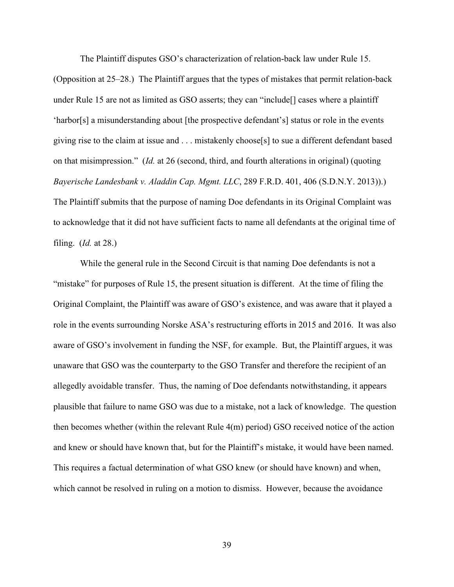The Plaintiff disputes GSO's characterization of relation-back law under Rule 15.

(Opposition at 25–28.) The Plaintiff argues that the types of mistakes that permit relation-back under Rule 15 are not as limited as GSO asserts; they can "include[] cases where a plaintiff 'harbor[s] a misunderstanding about [the prospective defendant's] status or role in the events giving rise to the claim at issue and . . . mistakenly choose[s] to sue a different defendant based on that misimpression." (*Id.* at 26 (second, third, and fourth alterations in original) (quoting *Bayerische Landesbank v. Aladdin Cap. Mgmt. LLC*, 289 F.R.D. 401, 406 (S.D.N.Y. 2013)).) The Plaintiff submits that the purpose of naming Doe defendants in its Original Complaint was to acknowledge that it did not have sufficient facts to name all defendants at the original time of filing. (*Id.* at 28.)

While the general rule in the Second Circuit is that naming Doe defendants is not a "mistake" for purposes of Rule 15, the present situation is different. At the time of filing the Original Complaint, the Plaintiff was aware of GSO's existence, and was aware that it played a role in the events surrounding Norske ASA's restructuring efforts in 2015 and 2016. It was also aware of GSO's involvement in funding the NSF, for example. But, the Plaintiff argues, it was unaware that GSO was the counterparty to the GSO Transfer and therefore the recipient of an allegedly avoidable transfer. Thus, the naming of Doe defendants notwithstanding, it appears plausible that failure to name GSO was due to a mistake, not a lack of knowledge. The question then becomes whether (within the relevant Rule 4(m) period) GSO received notice of the action and knew or should have known that, but for the Plaintiff's mistake, it would have been named. This requires a factual determination of what GSO knew (or should have known) and when, which cannot be resolved in ruling on a motion to dismiss. However, because the avoidance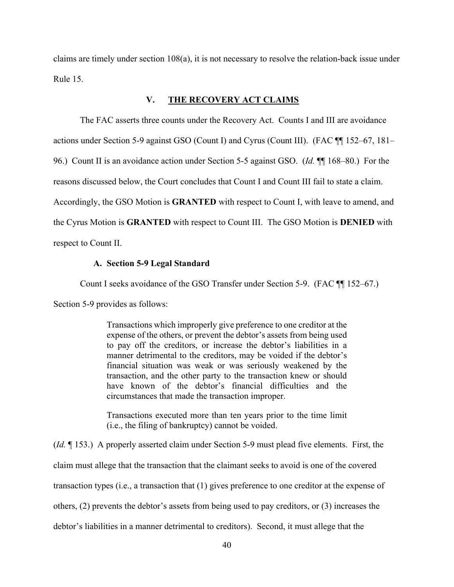claims are timely under section 108(a), it is not necessary to resolve the relation-back issue under Rule 15.

# **V. THE RECOVERY ACT CLAIMS**

The FAC asserts three counts under the Recovery Act. Counts I and III are avoidance

actions under Section 5-9 against GSO (Count I) and Cyrus (Count III). (FAC ¶¶ 152–67, 181–

96.) Count II is an avoidance action under Section 5-5 against GSO. (*Id.* ¶¶ 168–80.) For the

reasons discussed below, the Court concludes that Count I and Count III fail to state a claim.

Accordingly, the GSO Motion is **GRANTED** with respect to Count I, with leave to amend, and

the Cyrus Motion is **GRANTED** with respect to Count III. The GSO Motion is **DENIED** with

respect to Count II.

#### **A. Section 5-9 Legal Standard**

Count I seeks avoidance of the GSO Transfer under Section 5-9. (FAC ¶¶ 152–67.)

Section 5-9 provides as follows:

Transactions which improperly give preference to one creditor at the expense of the others, or prevent the debtor's assets from being used to pay off the creditors, or increase the debtor's liabilities in a manner detrimental to the creditors, may be voided if the debtor's financial situation was weak or was seriously weakened by the transaction, and the other party to the transaction knew or should have known of the debtor's financial difficulties and the circumstances that made the transaction improper.

Transactions executed more than ten years prior to the time limit (i.e., the filing of bankruptcy) cannot be voided.

(*Id.* ¶ 153.) A properly asserted claim under Section 5-9 must plead five elements. First, the claim must allege that the transaction that the claimant seeks to avoid is one of the covered transaction types (i.e., a transaction that (1) gives preference to one creditor at the expense of others, (2) prevents the debtor's assets from being used to pay creditors, or (3) increases the debtor's liabilities in a manner detrimental to creditors). Second, it must allege that the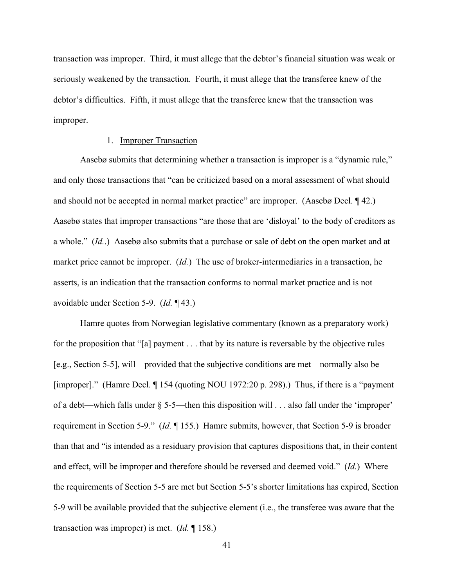transaction was improper. Third, it must allege that the debtor's financial situation was weak or seriously weakened by the transaction. Fourth, it must allege that the transferee knew of the debtor's difficulties. Fifth, it must allege that the transferee knew that the transaction was improper.

#### 1. Improper Transaction

 Aasebø submits that determining whether a transaction is improper is a "dynamic rule," and only those transactions that "can be criticized based on a moral assessment of what should and should not be accepted in normal market practice" are improper. (Aasebø Decl. ¶ 42.) Aasebø states that improper transactions "are those that are 'disloyal' to the body of creditors as a whole." (*Id.*.) Aasebø also submits that a purchase or sale of debt on the open market and at market price cannot be improper. (*Id.*) The use of broker-intermediaries in a transaction, he asserts, is an indication that the transaction conforms to normal market practice and is not avoidable under Section 5-9. (*Id.* ¶ 43.)

Hamre quotes from Norwegian legislative commentary (known as a preparatory work) for the proposition that "[a] payment . . . that by its nature is reversable by the objective rules [e.g., Section 5-5], will—provided that the subjective conditions are met—normally also be [improper]." (Hamre Decl. ¶ 154 (quoting NOU 1972:20 p. 298).) Thus, if there is a "payment of a debt—which falls under § 5-5—then this disposition will . . . also fall under the 'improper' requirement in Section 5-9." (*Id.* ¶ 155.) Hamre submits, however, that Section 5-9 is broader than that and "is intended as a residuary provision that captures dispositions that, in their content and effect, will be improper and therefore should be reversed and deemed void." (*Id.*) Where the requirements of Section 5-5 are met but Section 5-5's shorter limitations has expired, Section 5-9 will be available provided that the subjective element (i.e., the transferee was aware that the transaction was improper) is met. (*Id.* ¶ 158.)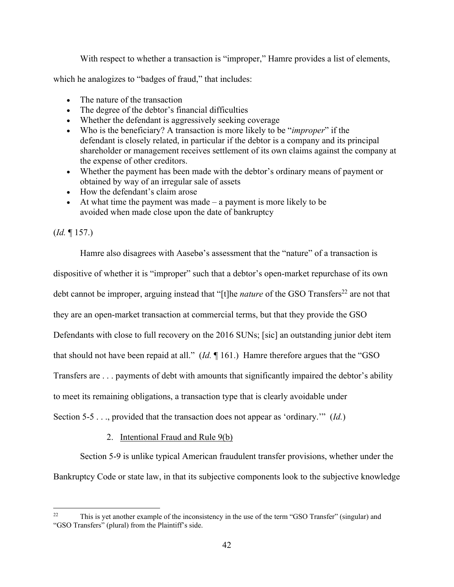With respect to whether a transaction is "improper," Hamre provides a list of elements,

which he analogizes to "badges of fraud," that includes:

- The nature of the transaction
- The degree of the debtor's financial difficulties
- Whether the defendant is aggressively seeking coverage
- Who is the beneficiary? A transaction is more likely to be "*improper*" if the defendant is closely related, in particular if the debtor is a company and its principal shareholder or management receives settlement of its own claims against the company at the expense of other creditors.
- Whether the payment has been made with the debtor's ordinary means of payment or obtained by way of an irregular sale of assets
- How the defendant's claim arose
- $\bullet$  At what time the payment was made a payment is more likely to be avoided when made close upon the date of bankruptcy

(*Id.* ¶ 157.)

Hamre also disagrees with Aasebø's assessment that the "nature" of a transaction is dispositive of whether it is "improper" such that a debtor's open-market repurchase of its own debt cannot be improper, arguing instead that "[t]he *nature* of the GSO Transfers<sup>22</sup> are not that they are an open-market transaction at commercial terms, but that they provide the GSO Defendants with close to full recovery on the 2016 SUNs; [sic] an outstanding junior debt item that should not have been repaid at all." (*Id.* ¶ 161.) Hamre therefore argues that the "GSO Transfers are . . . payments of debt with amounts that significantly impaired the debtor's ability to meet its remaining obligations, a transaction type that is clearly avoidable under Section 5-5 . . ., provided that the transaction does not appear as 'ordinary.'" (*Id.*)

2. Intentional Fraud and Rule 9(b)

Section 5-9 is unlike typical American fraudulent transfer provisions, whether under the Bankruptcy Code or state law, in that its subjective components look to the subjective knowledge

<sup>&</sup>lt;sup>22</sup> This is yet another example of the inconsistency in the use of the term "GSO Transfer" (singular) and "GSO Transfers" (plural) from the Plaintiff's side.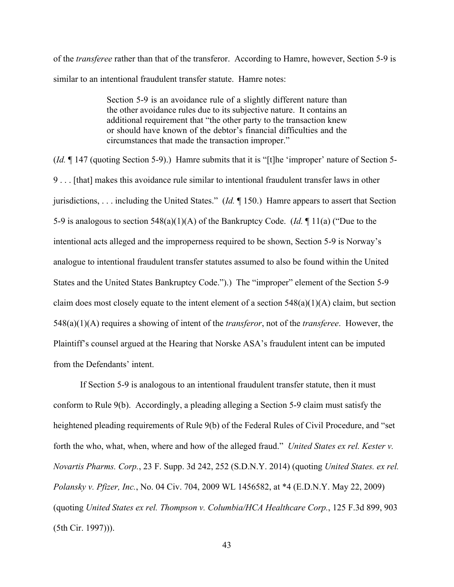of the *transferee* rather than that of the transferor. According to Hamre, however, Section 5-9 is similar to an intentional fraudulent transfer statute. Hamre notes:

> Section 5-9 is an avoidance rule of a slightly different nature than the other avoidance rules due to its subjective nature. It contains an additional requirement that "the other party to the transaction knew or should have known of the debtor's financial difficulties and the circumstances that made the transaction improper."

(*Id.* ¶ 147 (quoting Section 5-9).) Hamre submits that it is "[t]he 'improper' nature of Section 5- 9 . . . [that] makes this avoidance rule similar to intentional fraudulent transfer laws in other jurisdictions, . . . including the United States." (*Id.* ¶ 150.) Hamre appears to assert that Section 5-9 is analogous to section 548(a)(1)(A) of the Bankruptcy Code. (*Id.* ¶ 11(a) ("Due to the intentional acts alleged and the improperness required to be shown, Section 5-9 is Norway's analogue to intentional fraudulent transfer statutes assumed to also be found within the United States and the United States Bankruptcy Code.").) The "improper" element of the Section 5-9 claim does most closely equate to the intent element of a section  $548(a)(1)(A)$  claim, but section 548(a)(1)(A) requires a showing of intent of the *transferor*, not of the *transferee*. However, the Plaintiff's counsel argued at the Hearing that Norske ASA's fraudulent intent can be imputed from the Defendants' intent.

If Section 5-9 is analogous to an intentional fraudulent transfer statute, then it must conform to Rule 9(b). Accordingly, a pleading alleging a Section 5-9 claim must satisfy the heightened pleading requirements of Rule 9(b) of the Federal Rules of Civil Procedure, and "set forth the who, what, when, where and how of the alleged fraud." *United States ex rel. Kester v. Novartis Pharms. Corp.*, 23 F. Supp. 3d 242, 252 (S.D.N.Y. 2014) (quoting *United States. ex rel. Polansky v. Pfizer, Inc.*, No. 04 Civ. 704, 2009 WL 1456582, at \*4 (E.D.N.Y. May 22, 2009) (quoting *United States ex rel. Thompson v. Columbia/HCA Healthcare Corp.*, 125 F.3d 899, 903 (5th Cir. 1997))).

43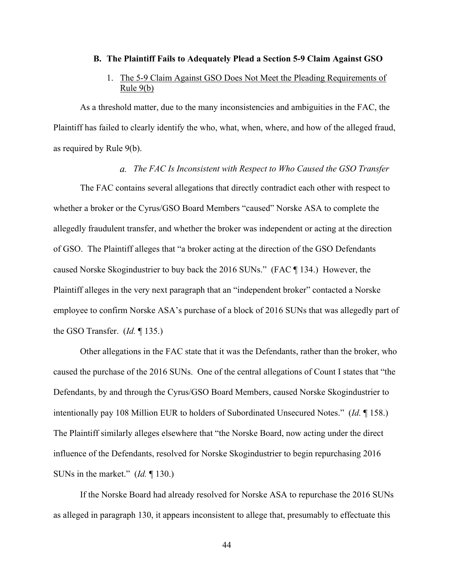#### **B. The Plaintiff Fails to Adequately Plead a Section 5-9 Claim Against GSO**

# 1. The 5-9 Claim Against GSO Does Not Meet the Pleading Requirements of Rule 9(b)

As a threshold matter, due to the many inconsistencies and ambiguities in the FAC, the Plaintiff has failed to clearly identify the who, what, when, where, and how of the alleged fraud, as required by Rule 9(b).

#### *The FAC Is Inconsistent with Respect to Who Caused the GSO Transfer*

The FAC contains several allegations that directly contradict each other with respect to whether a broker or the Cyrus/GSO Board Members "caused" Norske ASA to complete the allegedly fraudulent transfer, and whether the broker was independent or acting at the direction of GSO. The Plaintiff alleges that "a broker acting at the direction of the GSO Defendants caused Norske Skogindustrier to buy back the 2016 SUNs." (FAC ¶ 134.) However, the Plaintiff alleges in the very next paragraph that an "independent broker" contacted a Norske employee to confirm Norske ASA's purchase of a block of 2016 SUNs that was allegedly part of the GSO Transfer. (*Id.* ¶ 135.)

Other allegations in the FAC state that it was the Defendants, rather than the broker, who caused the purchase of the 2016 SUNs. One of the central allegations of Count I states that "the Defendants, by and through the Cyrus/GSO Board Members, caused Norske Skogindustrier to intentionally pay 108 Million EUR to holders of Subordinated Unsecured Notes." (*Id.* ¶ 158.) The Plaintiff similarly alleges elsewhere that "the Norske Board, now acting under the direct influence of the Defendants, resolved for Norske Skogindustrier to begin repurchasing 2016 SUNs in the market." (*Id.* ¶ 130.)

If the Norske Board had already resolved for Norske ASA to repurchase the 2016 SUNs as alleged in paragraph 130, it appears inconsistent to allege that, presumably to effectuate this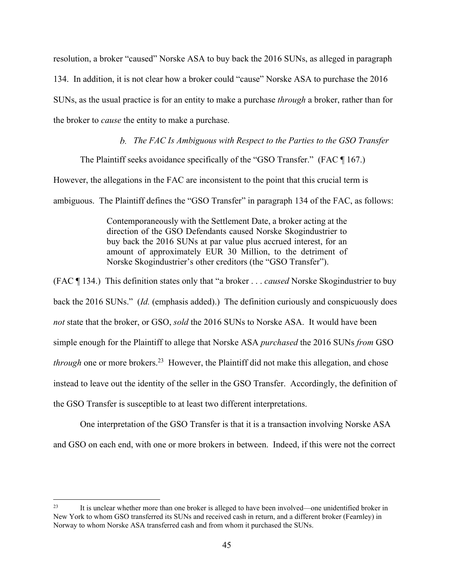resolution, a broker "caused" Norske ASA to buy back the 2016 SUNs, as alleged in paragraph 134. In addition, it is not clear how a broker could "cause" Norske ASA to purchase the 2016 SUNs, as the usual practice is for an entity to make a purchase *through* a broker, rather than for the broker to *cause* the entity to make a purchase.

*The FAC Is Ambiguous with Respect to the Parties to the GSO Transfer* 

The Plaintiff seeks avoidance specifically of the "GSO Transfer." (FAC ¶ 167.)

However, the allegations in the FAC are inconsistent to the point that this crucial term is

ambiguous. The Plaintiff defines the "GSO Transfer" in paragraph 134 of the FAC, as follows:

Contemporaneously with the Settlement Date, a broker acting at the direction of the GSO Defendants caused Norske Skogindustrier to buy back the 2016 SUNs at par value plus accrued interest, for an amount of approximately EUR 30 Million, to the detriment of Norske Skogindustrier's other creditors (the "GSO Transfer").

(FAC ¶ 134.) This definition states only that "a broker . . . *caused* Norske Skogindustrier to buy back the 2016 SUNs." (*Id.* (emphasis added).) The definition curiously and conspicuously does *not* state that the broker, or GSO, *sold* the 2016 SUNs to Norske ASA. It would have been simple enough for the Plaintiff to allege that Norske ASA *purchased* the 2016 SUNs *from* GSO *through* one or more brokers.<sup>23</sup> However, the Plaintiff did not make this allegation, and chose instead to leave out the identity of the seller in the GSO Transfer. Accordingly, the definition of the GSO Transfer is susceptible to at least two different interpretations.

 One interpretation of the GSO Transfer is that it is a transaction involving Norske ASA and GSO on each end, with one or more brokers in between. Indeed, if this were not the correct

<sup>&</sup>lt;sup>23</sup> It is unclear whether more than one broker is alleged to have been involved—one unidentified broker in New York to whom GSO transferred its SUNs and received cash in return, and a different broker (Fearnley) in Norway to whom Norske ASA transferred cash and from whom it purchased the SUNs.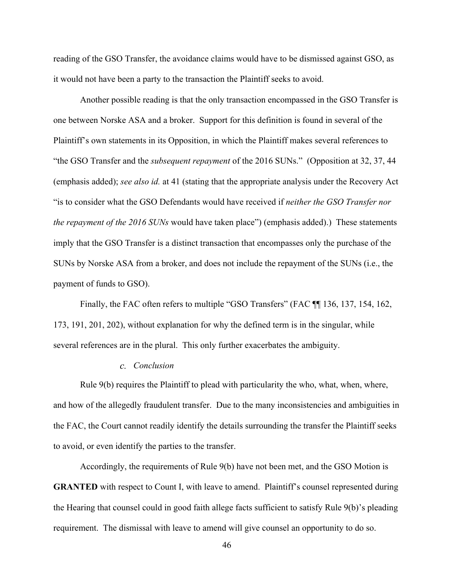reading of the GSO Transfer, the avoidance claims would have to be dismissed against GSO, as it would not have been a party to the transaction the Plaintiff seeks to avoid.

Another possible reading is that the only transaction encompassed in the GSO Transfer is one between Norske ASA and a broker. Support for this definition is found in several of the Plaintiff's own statements in its Opposition, in which the Plaintiff makes several references to "the GSO Transfer and the *subsequent repayment* of the 2016 SUNs." (Opposition at 32, 37, 44 (emphasis added); *see also id.* at 41 (stating that the appropriate analysis under the Recovery Act "is to consider what the GSO Defendants would have received if *neither the GSO Transfer nor the repayment of the 2016 SUNs* would have taken place") (emphasis added).) These statements imply that the GSO Transfer is a distinct transaction that encompasses only the purchase of the SUNs by Norske ASA from a broker, and does not include the repayment of the SUNs (i.e., the payment of funds to GSO).

Finally, the FAC often refers to multiple "GSO Transfers" (FAC ¶¶ 136, 137, 154, 162, 173, 191, 201, 202), without explanation for why the defined term is in the singular, while several references are in the plural. This only further exacerbates the ambiguity.

## *Conclusion*

Rule 9(b) requires the Plaintiff to plead with particularity the who, what, when, where, and how of the allegedly fraudulent transfer. Due to the many inconsistencies and ambiguities in the FAC, the Court cannot readily identify the details surrounding the transfer the Plaintiff seeks to avoid, or even identify the parties to the transfer.

Accordingly, the requirements of Rule 9(b) have not been met, and the GSO Motion is **GRANTED** with respect to Count I, with leave to amend. Plaintiff's counsel represented during the Hearing that counsel could in good faith allege facts sufficient to satisfy Rule 9(b)'s pleading requirement. The dismissal with leave to amend will give counsel an opportunity to do so.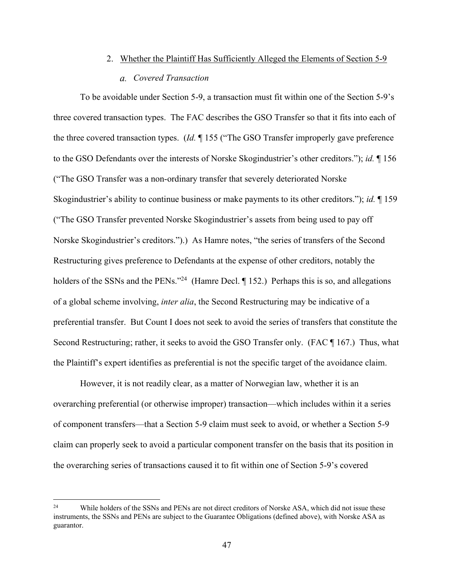# 2. Whether the Plaintiff Has Sufficiently Alleged the Elements of Section 5-9 *Covered Transaction*

To be avoidable under Section 5-9, a transaction must fit within one of the Section 5-9's three covered transaction types. The FAC describes the GSO Transfer so that it fits into each of the three covered transaction types. (*Id.* ¶ 155 ("The GSO Transfer improperly gave preference to the GSO Defendants over the interests of Norske Skogindustrier's other creditors."); *id.* ¶ 156 ("The GSO Transfer was a non-ordinary transfer that severely deteriorated Norske Skogindustrier's ability to continue business or make payments to its other creditors."); *id.* ¶ 159 ("The GSO Transfer prevented Norske Skogindustrier's assets from being used to pay off Norske Skogindustrier's creditors.").) As Hamre notes, "the series of transfers of the Second Restructuring gives preference to Defendants at the expense of other creditors, notably the holders of the SSNs and the PENs."<sup>24</sup> (Hamre Decl. ¶ 152.) Perhaps this is so, and allegations of a global scheme involving, *inter alia*, the Second Restructuring may be indicative of a preferential transfer. But Count I does not seek to avoid the series of transfers that constitute the Second Restructuring; rather, it seeks to avoid the GSO Transfer only. (FAC ¶ 167.) Thus, what the Plaintiff's expert identifies as preferential is not the specific target of the avoidance claim.

However, it is not readily clear, as a matter of Norwegian law, whether it is an overarching preferential (or otherwise improper) transaction—which includes within it a series of component transfers—that a Section 5-9 claim must seek to avoid, or whether a Section 5-9 claim can properly seek to avoid a particular component transfer on the basis that its position in the overarching series of transactions caused it to fit within one of Section 5-9's covered

<sup>&</sup>lt;sup>24</sup> While holders of the SSNs and PENs are not direct creditors of Norske ASA, which did not issue these instruments, the SSNs and PENs are subject to the Guarantee Obligations (defined above), with Norske ASA as guarantor.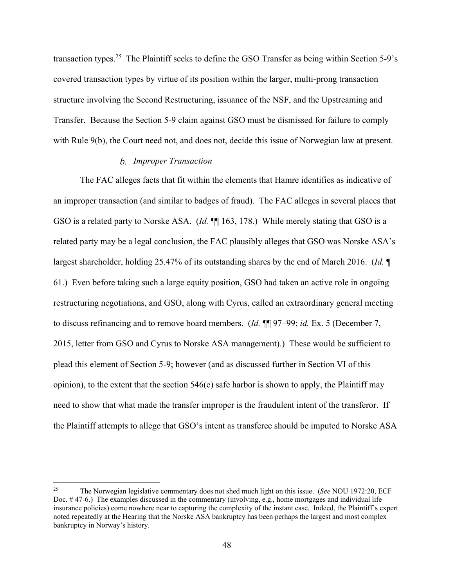transaction types.<sup>25</sup> The Plaintiff seeks to define the GSO Transfer as being within Section 5-9's covered transaction types by virtue of its position within the larger, multi-prong transaction structure involving the Second Restructuring, issuance of the NSF, and the Upstreaming and Transfer. Because the Section 5-9 claim against GSO must be dismissed for failure to comply with Rule 9(b), the Court need not, and does not, decide this issue of Norwegian law at present.

#### *Improper Transaction*

The FAC alleges facts that fit within the elements that Hamre identifies as indicative of an improper transaction (and similar to badges of fraud). The FAC alleges in several places that GSO is a related party to Norske ASA. (*Id.* ¶¶ 163, 178.) While merely stating that GSO is a related party may be a legal conclusion, the FAC plausibly alleges that GSO was Norske ASA's largest shareholder, holding 25.47% of its outstanding shares by the end of March 2016. (*Id.* ¶ 61.) Even before taking such a large equity position, GSO had taken an active role in ongoing restructuring negotiations, and GSO, along with Cyrus, called an extraordinary general meeting to discuss refinancing and to remove board members. (*Id.* ¶¶ 97–99; *id.* Ex. 5 (December 7, 2015, letter from GSO and Cyrus to Norske ASA management).) These would be sufficient to plead this element of Section 5-9; however (and as discussed further in Section VI of this opinion), to the extent that the section 546(e) safe harbor is shown to apply, the Plaintiff may need to show that what made the transfer improper is the fraudulent intent of the transferor. If the Plaintiff attempts to allege that GSO's intent as transferee should be imputed to Norske ASA

<sup>25</sup> The Norwegian legislative commentary does not shed much light on this issue. (*See* NOU 1972:20, ECF Doc. # 47-6.) The examples discussed in the commentary (involving, e.g., home mortgages and individual life insurance policies) come nowhere near to capturing the complexity of the instant case. Indeed, the Plaintiff's expert noted repeatedly at the Hearing that the Norske ASA bankruptcy has been perhaps the largest and most complex bankruptcy in Norway's history.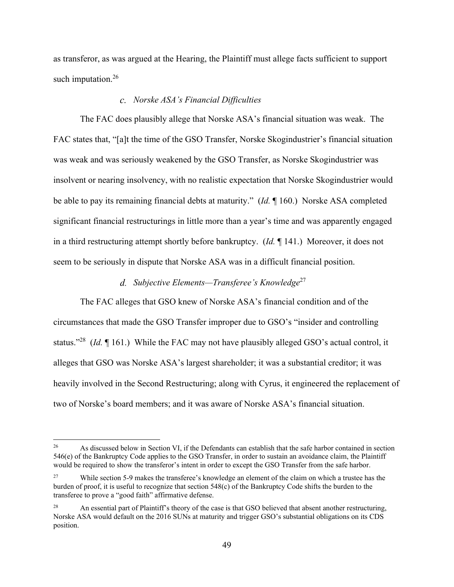as transferor, as was argued at the Hearing, the Plaintiff must allege facts sufficient to support such imputation.<sup>26</sup>

#### *Norske ASA's Financial Difficulties*

The FAC does plausibly allege that Norske ASA's financial situation was weak. The FAC states that, "[a]t the time of the GSO Transfer, Norske Skogindustrier's financial situation was weak and was seriously weakened by the GSO Transfer, as Norske Skogindustrier was insolvent or nearing insolvency, with no realistic expectation that Norske Skogindustrier would be able to pay its remaining financial debts at maturity." (*Id.* ¶ 160.) Norske ASA completed significant financial restructurings in little more than a year's time and was apparently engaged in a third restructuring attempt shortly before bankruptcy. (*Id.* ¶ 141.) Moreover, it does not seem to be seriously in dispute that Norske ASA was in a difficult financial position.

## *Subjective Elements—Transferee's Knowledge*<sup>27</sup>

The FAC alleges that GSO knew of Norske ASA's financial condition and of the circumstances that made the GSO Transfer improper due to GSO's "insider and controlling status."28 (*Id.* ¶ 161.) While the FAC may not have plausibly alleged GSO's actual control, it alleges that GSO was Norske ASA's largest shareholder; it was a substantial creditor; it was heavily involved in the Second Restructuring; along with Cyrus, it engineered the replacement of two of Norske's board members; and it was aware of Norske ASA's financial situation.

<sup>&</sup>lt;sup>26</sup> As discussed below in Section VI, if the Defendants can establish that the safe harbor contained in section 546(e) of the Bankruptcy Code applies to the GSO Transfer, in order to sustain an avoidance claim, the Plaintiff would be required to show the transferor's intent in order to except the GSO Transfer from the safe harbor.

<sup>&</sup>lt;sup>27</sup> While section 5-9 makes the transferee's knowledge an element of the claim on which a trustee has the burden of proof, it is useful to recognize that section 548(c) of the Bankruptcy Code shifts the burden to the transferee to prove a "good faith" affirmative defense.

<sup>&</sup>lt;sup>28</sup> An essential part of Plaintiff's theory of the case is that GSO believed that absent another restructuring, Norske ASA would default on the 2016 SUNs at maturity and trigger GSO's substantial obligations on its CDS position.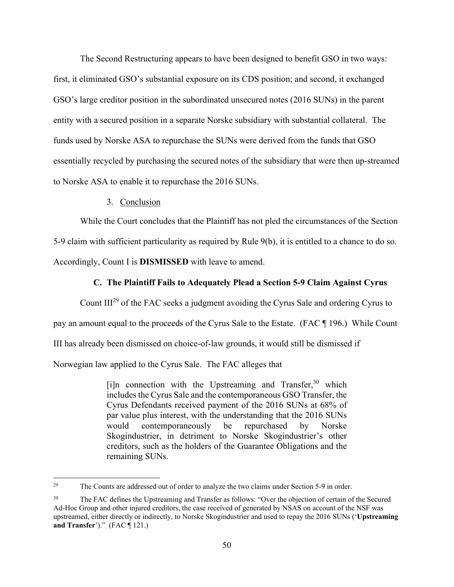The Second Restructuring appears to have been designed to benefit GSO in two ways: first, it eliminated GSO's substantial exposure on its CDS position; and second, it exchanged GSO's large creditor position in the subordinated unsecured notes (2016 SUNs) in the parent entity with a secured position in a separate Norske subsidiary with substantial collateral. The funds used by Norske ASA to repurchase the SUNs were derived from the funds that GSO essentially recycled by purchasing the secured notes of the subsidiary that were then up-streamed to Norske ASA to enable it to repurchase the 2016 SUNs.

#### 3. Conclusion

While the Court concludes that the Plaintiff has not pled the circumstances of the Section 5-9 claim with sufficient particularity as required by Rule 9(b), it is entitled to a chance to do so.

Accordingly, Count I is **DISMISSED** with leave to amend.

## **C. The Plaintiff Fails to Adequately Plead a Section 5-9 Claim Against Cyrus**

Count III29 of the FAC seeks a judgment avoiding the Cyrus Sale and ordering Cyrus to

pay an amount equal to the proceeds of the Cyrus Sale to the Estate. (FAC ¶ 196.) While Count

III has already been dismissed on choice-of-law grounds, it would still be dismissed if

Norwegian law applied to the Cyrus Sale. The FAC alleges that

 $[i]$ n connection with the Upstreaming and Transfer,  $30$  which includes the Cyrus Sale and the contemporaneous GSO Transfer, the Cyrus Defendants received payment of the 2016 SUNs at 68% of par value plus interest, with the understanding that the 2016 SUNs would contemporaneously be repurchased by Norske Skogindustrier, in detriment to Norske Skogindustrier's other creditors, such as the holders of the Guarantee Obligations and the remaining SUNs.

<sup>&</sup>lt;sup>29</sup> The Counts are addressed out of order to analyze the two claims under Section 5-9 in order.

<sup>&</sup>lt;sup>30</sup> The FAC defines the Upstreaming and Transfer as follows: "Over the objection of certain of the Secured Ad-Hoc Group and other injured creditors, the case received of generated by NSAS on account of the NSF was upstreamed, either directly or indirectly, to Norske Skogindustrier and used to repay the 2016 SUNs ('**Upstreaming and Transfer**')." (FAC ¶ 121.)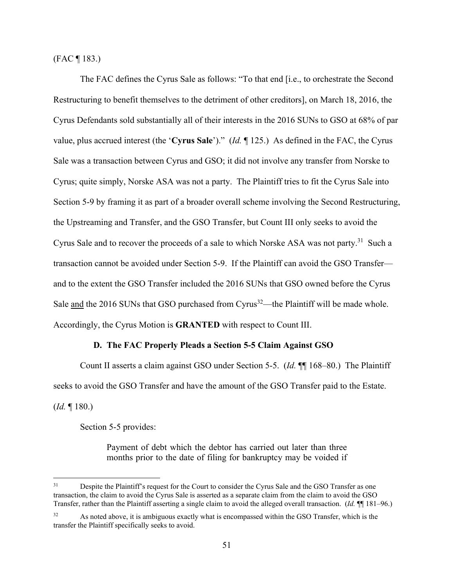(FAC ¶ 183.)

The FAC defines the Cyrus Sale as follows: "To that end [i.e., to orchestrate the Second Restructuring to benefit themselves to the detriment of other creditors], on March 18, 2016, the Cyrus Defendants sold substantially all of their interests in the 2016 SUNs to GSO at 68% of par value, plus accrued interest (the '**Cyrus Sale**')." (*Id.* ¶ 125.) As defined in the FAC, the Cyrus Sale was a transaction between Cyrus and GSO; it did not involve any transfer from Norske to Cyrus; quite simply, Norske ASA was not a party. The Plaintiff tries to fit the Cyrus Sale into Section 5-9 by framing it as part of a broader overall scheme involving the Second Restructuring, the Upstreaming and Transfer, and the GSO Transfer, but Count III only seeks to avoid the Cyrus Sale and to recover the proceeds of a sale to which Norske ASA was not party.<sup>31</sup> Such a transaction cannot be avoided under Section 5-9. If the Plaintiff can avoid the GSO Transfer and to the extent the GSO Transfer included the 2016 SUNs that GSO owned before the Cyrus Sale and the 2016 SUNs that GSO purchased from Cyrus<sup>32</sup>—the Plaintiff will be made whole. Accordingly, the Cyrus Motion is **GRANTED** with respect to Count III.

## **D. The FAC Properly Pleads a Section 5-5 Claim Against GSO**

Count II asserts a claim against GSO under Section 5-5. (*Id.* ¶¶ 168–80.) The Plaintiff seeks to avoid the GSO Transfer and have the amount of the GSO Transfer paid to the Estate. (*Id.* ¶ 180.)

Section 5-5 provides:

Payment of debt which the debtor has carried out later than three months prior to the date of filing for bankruptcy may be voided if

<sup>&</sup>lt;sup>31</sup> Despite the Plaintiff's request for the Court to consider the Cyrus Sale and the GSO Transfer as one transaction, the claim to avoid the Cyrus Sale is asserted as a separate claim from the claim to avoid the GSO Transfer, rather than the Plaintiff asserting a single claim to avoid the alleged overall transaction. (*Id.* ¶¶ 181–96.)

As noted above, it is ambiguous exactly what is encompassed within the GSO Transfer, which is the transfer the Plaintiff specifically seeks to avoid.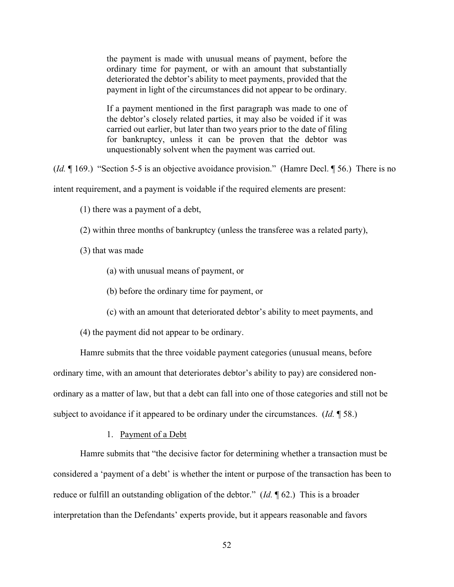the payment is made with unusual means of payment, before the ordinary time for payment, or with an amount that substantially deteriorated the debtor's ability to meet payments, provided that the payment in light of the circumstances did not appear to be ordinary.

If a payment mentioned in the first paragraph was made to one of the debtor's closely related parties, it may also be voided if it was carried out earlier, but later than two years prior to the date of filing for bankruptcy, unless it can be proven that the debtor was unquestionably solvent when the payment was carried out.

(*Id.* ¶ 169.) "Section 5-5 is an objective avoidance provision." (Hamre Decl. ¶ 56.) There is no intent requirement, and a payment is voidable if the required elements are present:

(1) there was a payment of a debt,

(2) within three months of bankruptcy (unless the transferee was a related party),

(3) that was made

(a) with unusual means of payment, or

(b) before the ordinary time for payment, or

(c) with an amount that deteriorated debtor's ability to meet payments, and

(4) the payment did not appear to be ordinary.

Hamre submits that the three voidable payment categories (unusual means, before ordinary time, with an amount that deteriorates debtor's ability to pay) are considered nonordinary as a matter of law, but that a debt can fall into one of those categories and still not be subject to avoidance if it appeared to be ordinary under the circumstances. (*Id.* ¶ 58.)

#### 1. Payment of a Debt

Hamre submits that "the decisive factor for determining whether a transaction must be considered a 'payment of a debt' is whether the intent or purpose of the transaction has been to reduce or fulfill an outstanding obligation of the debtor." (*Id.* ¶ 62.) This is a broader interpretation than the Defendants' experts provide, but it appears reasonable and favors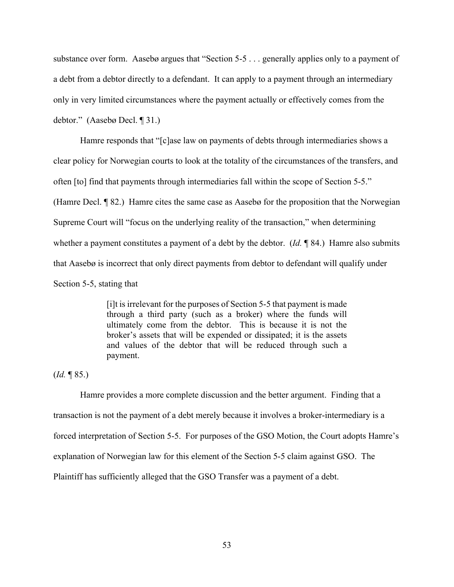substance over form. Aasebø argues that "Section 5-5 . . . generally applies only to a payment of a debt from a debtor directly to a defendant. It can apply to a payment through an intermediary only in very limited circumstances where the payment actually or effectively comes from the debtor." (Aasebø Decl. ¶ 31.)

Hamre responds that "[c]ase law on payments of debts through intermediaries shows a clear policy for Norwegian courts to look at the totality of the circumstances of the transfers, and often [to] find that payments through intermediaries fall within the scope of Section 5-5." (Hamre Decl. ¶ 82.) Hamre cites the same case as Aasebø for the proposition that the Norwegian Supreme Court will "focus on the underlying reality of the transaction," when determining whether a payment constitutes a payment of a debt by the debtor. (*Id.* ¶ 84.) Hamre also submits that Aasebø is incorrect that only direct payments from debtor to defendant will qualify under Section 5-5, stating that

> [i]t is irrelevant for the purposes of Section 5-5 that payment is made through a third party (such as a broker) where the funds will ultimately come from the debtor. This is because it is not the broker's assets that will be expended or dissipated; it is the assets and values of the debtor that will be reduced through such a payment.

(*Id.* ¶ 85.)

Hamre provides a more complete discussion and the better argument. Finding that a transaction is not the payment of a debt merely because it involves a broker-intermediary is a forced interpretation of Section 5-5. For purposes of the GSO Motion, the Court adopts Hamre's explanation of Norwegian law for this element of the Section 5-5 claim against GSO. The Plaintiff has sufficiently alleged that the GSO Transfer was a payment of a debt.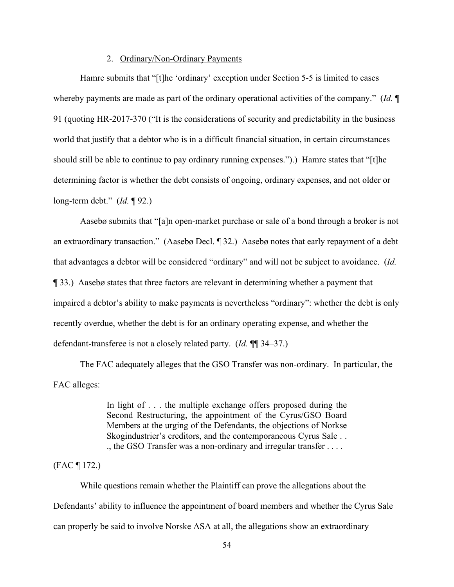#### 2. Ordinary/Non-Ordinary Payments

Hamre submits that "[t]he 'ordinary' exception under Section 5-5 is limited to cases whereby payments are made as part of the ordinary operational activities of the company." (*Id.* ¶ 91 (quoting HR-2017-370 ("It is the considerations of security and predictability in the business world that justify that a debtor who is in a difficult financial situation, in certain circumstances should still be able to continue to pay ordinary running expenses.").) Hamre states that "[t]he determining factor is whether the debt consists of ongoing, ordinary expenses, and not older or long-term debt." (*Id.* ¶ 92.)

Aasebø submits that "[a]n open-market purchase or sale of a bond through a broker is not an extraordinary transaction." (Aasebø Decl. ¶ 32.) Aasebø notes that early repayment of a debt that advantages a debtor will be considered "ordinary" and will not be subject to avoidance. (*Id.* ¶ 33.) Aasebø states that three factors are relevant in determining whether a payment that impaired a debtor's ability to make payments is nevertheless "ordinary": whether the debt is only recently overdue, whether the debt is for an ordinary operating expense, and whether the defendant-transferee is not a closely related party. (*Id.* ¶¶ 34–37.)

The FAC adequately alleges that the GSO Transfer was non-ordinary. In particular, the FAC alleges:

> In light of . . . the multiple exchange offers proposed during the Second Restructuring, the appointment of the Cyrus/GSO Board Members at the urging of the Defendants, the objections of Norkse Skogindustrier's creditors, and the contemporaneous Cyrus Sale . . ., the GSO Transfer was a non-ordinary and irregular transfer . . . .

## (FAC ¶ 172.)

While questions remain whether the Plaintiff can prove the allegations about the Defendants' ability to influence the appointment of board members and whether the Cyrus Sale can properly be said to involve Norske ASA at all, the allegations show an extraordinary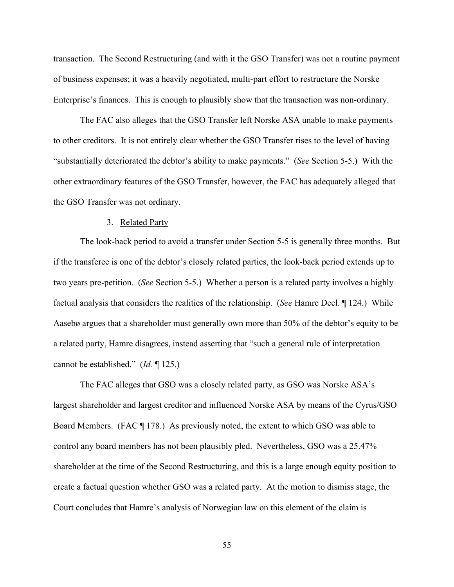transaction. The Second Restructuring (and with it the GSO Transfer) was not a routine payment of business expenses; it was a heavily negotiated, multi-part effort to restructure the Norske Enterprise's finances. This is enough to plausibly show that the transaction was non-ordinary.

The FAC also alleges that the GSO Transfer left Norske ASA unable to make payments to other creditors. It is not entirely clear whether the GSO Transfer rises to the level of having "substantially deteriorated the debtor's ability to make payments." (*See* Section 5-5.) With the other extraordinary features of the GSO Transfer, however, the FAC has adequately alleged that the GSO Transfer was not ordinary.

#### 3. Related Party

The look-back period to avoid a transfer under Section 5-5 is generally three months. But if the transferee is one of the debtor's closely related parties, the look-back period extends up to two years pre-petition. (*See* Section 5-5.) Whether a person is a related party involves a highly factual analysis that considers the realities of the relationship. (*See* Hamre Decl. ¶ 124.) While Aasebø argues that a shareholder must generally own more than 50% of the debtor's equity to be a related party, Hamre disagrees, instead asserting that "such a general rule of interpretation cannot be established." (*Id.* ¶ 125.)

The FAC alleges that GSO was a closely related party, as GSO was Norske ASA's largest shareholder and largest creditor and influenced Norske ASA by means of the Cyrus/GSO Board Members. (FAC ¶ 178.) As previously noted, the extent to which GSO was able to control any board members has not been plausibly pled. Nevertheless, GSO was a 25.47% shareholder at the time of the Second Restructuring, and this is a large enough equity position to create a factual question whether GSO was a related party. At the motion to dismiss stage, the Court concludes that Hamre's analysis of Norwegian law on this element of the claim is

55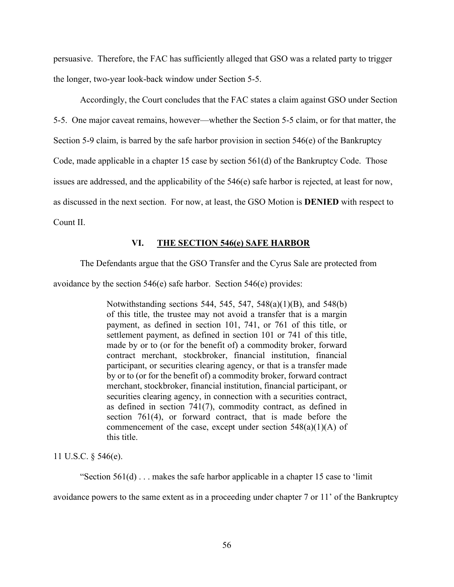persuasive. Therefore, the FAC has sufficiently alleged that GSO was a related party to trigger the longer, two-year look-back window under Section 5-5.

Accordingly, the Court concludes that the FAC states a claim against GSO under Section 5-5. One major caveat remains, however—whether the Section 5-5 claim, or for that matter, the Section 5-9 claim, is barred by the safe harbor provision in section 546(e) of the Bankruptcy Code, made applicable in a chapter 15 case by section 561(d) of the Bankruptcy Code. Those issues are addressed, and the applicability of the 546(e) safe harbor is rejected, at least for now, as discussed in the next section. For now, at least, the GSO Motion is **DENIED** with respect to Count II.

## **VI. THE SECTION 546(e) SAFE HARBOR**

The Defendants argue that the GSO Transfer and the Cyrus Sale are protected from

avoidance by the section  $546(e)$  safe harbor. Section  $546(e)$  provides:

Notwithstanding sections 544, 545, 547, 548(a)(1)(B), and 548(b) of this title, the trustee may not avoid a transfer that is a margin payment, as defined in section 101, 741, or 761 of this title, or settlement payment, as defined in section 101 or 741 of this title, made by or to (or for the benefit of) a commodity broker, forward contract merchant, stockbroker, financial institution, financial participant, or securities clearing agency, or that is a transfer made by or to (or for the benefit of) a commodity broker, forward contract merchant, stockbroker, financial institution, financial participant, or securities clearing agency, in connection with a securities contract, as defined in section 741(7), commodity contract, as defined in section 761(4), or forward contract, that is made before the commencement of the case, except under section  $548(a)(1)(A)$  of this title.

11 U.S.C. § 546(e).

"Section  $561(d)$ ... makes the safe harbor applicable in a chapter 15 case to 'limit'

avoidance powers to the same extent as in a proceeding under chapter 7 or 11' of the Bankruptcy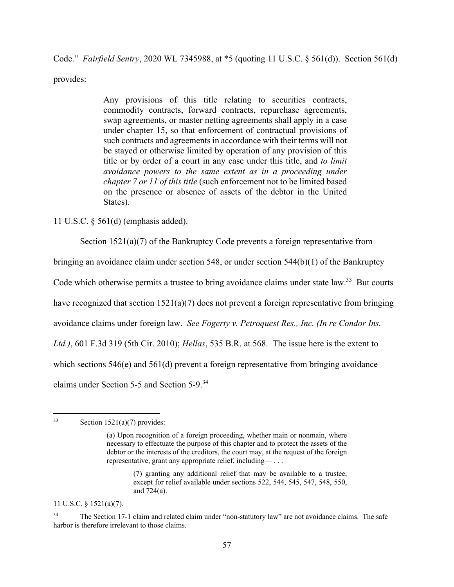Code." *Fairfield Sentry*, 2020 WL 7345988, at \*5 (quoting 11 U.S.C. § 561(d)). Section 561(d)

provides:

Any provisions of this title relating to securities contracts, commodity contracts, forward contracts, repurchase agreements, swap agreements, or master netting agreements shall apply in a case under chapter 15, so that enforcement of contractual provisions of such contracts and agreements in accordance with their terms will not be stayed or otherwise limited by operation of any provision of this title or by order of a court in any case under this title, and *to limit avoidance powers to the same extent as in a proceeding under chapter 7 or 11 of this title* (such enforcement not to be limited based on the presence or absence of assets of the debtor in the United States).

11 U.S.C. § 561(d) (emphasis added).

Section  $1521(a)(7)$  of the Bankruptcy Code prevents a foreign representative from

bringing an avoidance claim under section 548, or under section 544(b)(1) of the Bankruptcy

Code which otherwise permits a trustee to bring avoidance claims under state  $law<sup>33</sup>$  But courts

have recognized that section  $1521(a)(7)$  does not prevent a foreign representative from bringing

avoidance claims under foreign law. *See Fogerty v. Petroquest Res., Inc. (In re Condor Ins.* 

*Ltd.)*, 601 F.3d 319 (5th Cir. 2010); *Hellas*, 535 B.R. at 568. The issue here is the extent to

which sections 546(e) and 561(d) prevent a foreign representative from bringing avoidance

claims under Section 5-5 and Section 5-9.<sup>34</sup>

11 U.S.C. § 1521(a)(7).

 $33$  Section 1521(a)(7) provides:

<sup>(</sup>a) Upon recognition of a foreign proceeding, whether main or nonmain, where necessary to effectuate the purpose of this chapter and to protect the assets of the debtor or the interests of the creditors, the court may, at the request of the foreign representative, grant any appropriate relief, including— . . .

<sup>(7)</sup> granting any additional relief that may be available to a trustee, except for relief available under sections 522, 544, 545, 547, 548, 550, and 724(a).

<sup>&</sup>lt;sup>34</sup> The Section 17-1 claim and related claim under "non-statutory law" are not avoidance claims. The safe harbor is therefore irrelevant to those claims.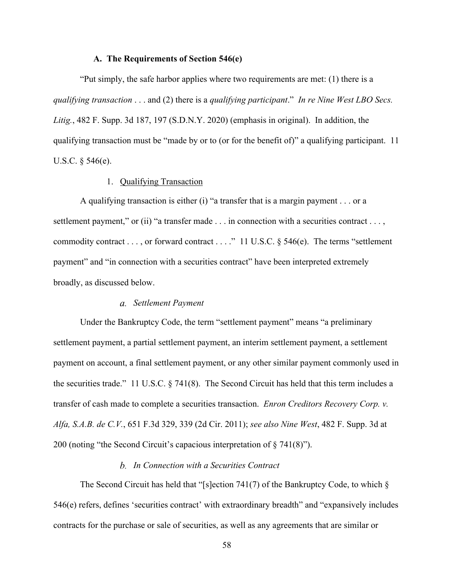#### **A. The Requirements of Section 546(e)**

"Put simply, the safe harbor applies where two requirements are met: (1) there is a *qualifying transaction* . . . and (2) there is a *qualifying participant*." *In re Nine West LBO Secs. Litig.*, 482 F. Supp. 3d 187, 197 (S.D.N.Y. 2020) (emphasis in original). In addition, the qualifying transaction must be "made by or to (or for the benefit of)" a qualifying participant. 11 U.S.C. § 546(e).

## 1. Qualifying Transaction

A qualifying transaction is either (i) "a transfer that is a margin payment . . . or a settlement payment," or (ii) "a transfer made . . . in connection with a securities contract . . . , commodity contract . . . , or forward contract . . . ." 11 U.S.C. § 546(e). The terms "settlement payment" and "in connection with a securities contract" have been interpreted extremely broadly, as discussed below.

## *Settlement Payment*

Under the Bankruptcy Code, the term "settlement payment" means "a preliminary settlement payment, a partial settlement payment, an interim settlement payment, a settlement payment on account, a final settlement payment, or any other similar payment commonly used in the securities trade." 11 U.S.C. § 741(8). The Second Circuit has held that this term includes a transfer of cash made to complete a securities transaction. *Enron Creditors Recovery Corp. v. Alfa, S.A.B. de C.V.*, 651 F.3d 329, 339 (2d Cir. 2011); *see also Nine West*, 482 F. Supp. 3d at 200 (noting "the Second Circuit's capacious interpretation of § 741(8)").

## *In Connection with a Securities Contract*

The Second Circuit has held that "[s]ection 741(7) of the Bankruptcy Code, to which § 546(e) refers, defines 'securities contract' with extraordinary breadth" and "expansively includes contracts for the purchase or sale of securities, as well as any agreements that are similar or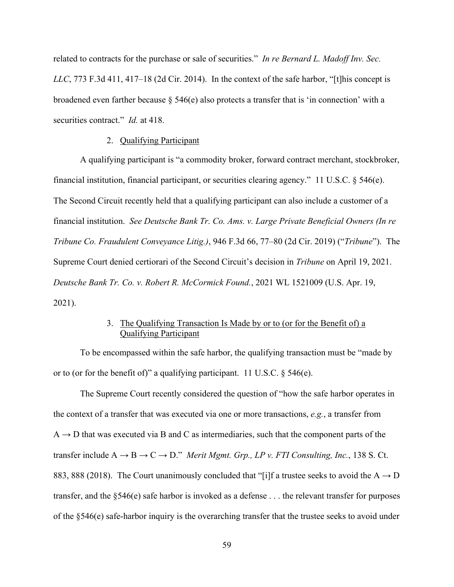related to contracts for the purchase or sale of securities." *In re Bernard L. Madoff Inv. Sec. LLC*, 773 F.3d 411, 417–18 (2d Cir. 2014). In the context of the safe harbor, "[t]his concept is broadened even farther because  $\S$  546(e) also protects a transfer that is 'in connection' with a securities contract." *Id.* at 418.

## 2. Qualifying Participant

A qualifying participant is "a commodity broker, forward contract merchant, stockbroker, financial institution, financial participant, or securities clearing agency." 11 U.S.C. § 546(e). The Second Circuit recently held that a qualifying participant can also include a customer of a financial institution. *See Deutsche Bank Tr. Co. Ams. v. Large Private Beneficial Owners (In re Tribune Co. Fraudulent Conveyance Litig.)*, 946 F.3d 66, 77–80 (2d Cir. 2019) ("*Tribune*"). The Supreme Court denied certiorari of the Second Circuit's decision in *Tribune* on April 19, 2021. *Deutsche Bank Tr. Co. v. Robert R. McCormick Found.*, 2021 WL 1521009 (U.S. Apr. 19, 2021).

# 3. The Qualifying Transaction Is Made by or to (or for the Benefit of) a Qualifying Participant

To be encompassed within the safe harbor, the qualifying transaction must be "made by or to (or for the benefit of)" a qualifying participant. 11 U.S.C.  $\S$  546(e).

The Supreme Court recently considered the question of "how the safe harbor operates in the context of a transfer that was executed via one or more transactions, *e.g.*, a transfer from  $A \rightarrow D$  that was executed via B and C as intermediaries, such that the component parts of the transfer include  $A \rightarrow B \rightarrow C \rightarrow D$ ." *Merit Mgmt. Grp., LP v. FTI Consulting, Inc.*, 138 S. Ct. 883, 888 (2018). The Court unanimously concluded that "[i]f a trustee seeks to avoid the A  $\rightarrow$  D transfer, and the §546(e) safe harbor is invoked as a defense . . . the relevant transfer for purposes of the §546(e) safe-harbor inquiry is the overarching transfer that the trustee seeks to avoid under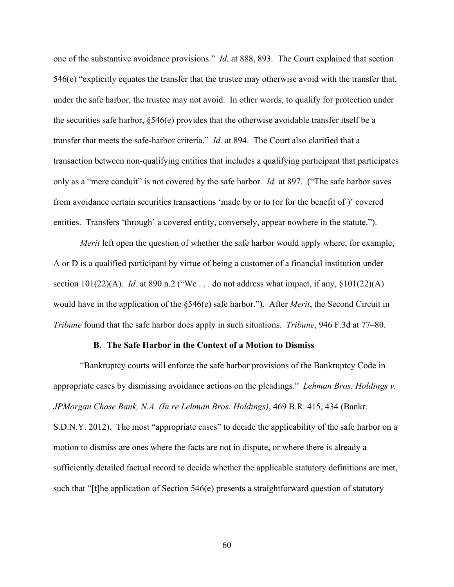one of the substantive avoidance provisions." *Id.* at 888, 893. The Court explained that section 546(e) "explicitly equates the transfer that the trustee may otherwise avoid with the transfer that, under the safe harbor, the trustee may not avoid. In other words, to qualify for protection under the securities safe harbor, §546(e) provides that the otherwise avoidable transfer itself be a transfer that meets the safe-harbor criteria." *Id.* at 894. The Court also clarified that a transaction between non-qualifying entities that includes a qualifying participant that participates only as a "mere conduit" is not covered by the safe harbor. *Id.* at 897. ("The safe harbor saves from avoidance certain securities transactions 'made by or to (or for the benefit of )' covered entities. Transfers 'through' a covered entity, conversely, appear nowhere in the statute.").

*Merit* left open the question of whether the safe harbor would apply where, for example, A or D is a qualified participant by virtue of being a customer of a financial institution under section  $101(22)(A)$ . *Id.* at 890 n.2 ("We ... do not address what impact, if any,  $\S 101(22)(A)$ would have in the application of the §546(e) safe harbor."). After *Merit*, the Second Circuit in *Tribune* found that the safe harbor does apply in such situations. *Tribune*, 946 F.3d at 77–80.

#### **B. The Safe Harbor in the Context of a Motion to Dismiss**

"Bankruptcy courts will enforce the safe harbor provisions of the Bankruptcy Code in appropriate cases by dismissing avoidance actions on the pleadings." *Lehman Bros. Holdings v. JPMorgan Chase Bank, N.A. (In re Lehman Bros. Holdings)*, 469 B.R. 415, 434 (Bankr. S.D.N.Y. 2012). The most "appropriate cases" to decide the applicability of the safe harbor on a motion to dismiss are ones where the facts are not in dispute, or where there is already a sufficiently detailed factual record to decide whether the applicable statutory definitions are met, such that "[t]he application of Section 546(e) presents a straightforward question of statutory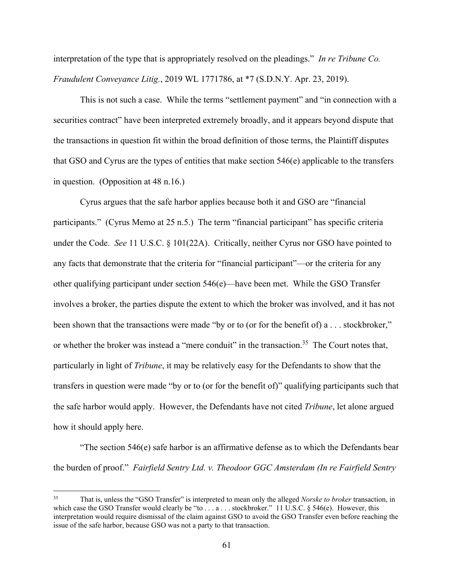interpretation of the type that is appropriately resolved on the pleadings." *In re Tribune Co. Fraudulent Conveyance Litig.*, 2019 WL 1771786, at \*7 (S.D.N.Y. Apr. 23, 2019).

This is not such a case. While the terms "settlement payment" and "in connection with a securities contract" have been interpreted extremely broadly, and it appears beyond dispute that the transactions in question fit within the broad definition of those terms, the Plaintiff disputes that GSO and Cyrus are the types of entities that make section 546(e) applicable to the transfers in question. (Opposition at 48 n.16.)

Cyrus argues that the safe harbor applies because both it and GSO are "financial participants." (Cyrus Memo at 25 n.5.) The term "financial participant" has specific criteria under the Code. *See* 11 U.S.C. § 101(22A). Critically, neither Cyrus nor GSO have pointed to any facts that demonstrate that the criteria for "financial participant"—or the criteria for any other qualifying participant under section 546(e)—have been met. While the GSO Transfer involves a broker, the parties dispute the extent to which the broker was involved, and it has not been shown that the transactions were made "by or to (or for the benefit of) a . . . stockbroker," or whether the broker was instead a "mere conduit" in the transaction.<sup>35</sup> The Court notes that, particularly in light of *Tribune*, it may be relatively easy for the Defendants to show that the transfers in question were made "by or to (or for the benefit of)" qualifying participants such that the safe harbor would apply. However, the Defendants have not cited *Tribune*, let alone argued how it should apply here.

"The section  $546(e)$  safe harbor is an affirmative defense as to which the Defendants bear the burden of proof." *Fairfield Sentry Ltd. v. Theodoor GGC Amsterdam (In re Fairfield Sentry* 

<sup>35</sup> That is, unless the "GSO Transfer" is interpreted to mean only the alleged *Norske to broker* transaction, in which case the GSO Transfer would clearly be "to . . . a . . . stockbroker." 11 U.S.C. § 546(e). However, this interpretation would require dismissal of the claim against GSO to avoid the GSO Transfer even before reaching the issue of the safe harbor, because GSO was not a party to that transaction.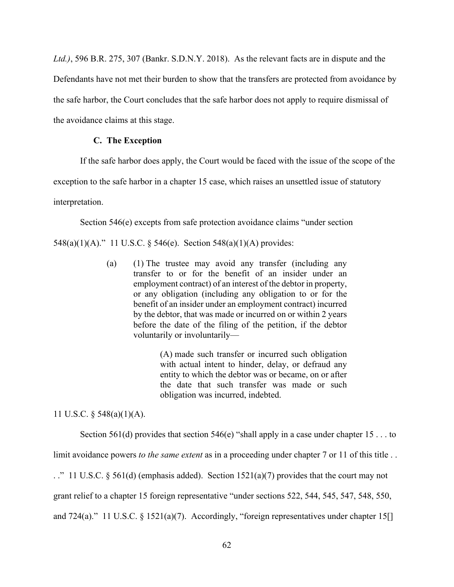*Ltd.)*, 596 B.R. 275, 307 (Bankr. S.D.N.Y. 2018). As the relevant facts are in dispute and the Defendants have not met their burden to show that the transfers are protected from avoidance by the safe harbor, the Court concludes that the safe harbor does not apply to require dismissal of the avoidance claims at this stage.

## **C. The Exception**

If the safe harbor does apply, the Court would be faced with the issue of the scope of the

exception to the safe harbor in a chapter 15 case, which raises an unsettled issue of statutory

interpretation.

Section 546(e) excepts from safe protection avoidance claims "under section

548(a)(1)(A)." 11 U.S.C. § 546(e). Section 548(a)(1)(A) provides:

(a) (1) The trustee may avoid any transfer (including any transfer to or for the benefit of an insider under an employment contract) of an interest of the debtor in property, or any obligation (including any obligation to or for the benefit of an insider under an employment contract) incurred by the debtor, that was made or incurred on or within 2 years before the date of the filing of the petition, if the debtor voluntarily or involuntarily—

> (A) made such transfer or incurred such obligation with actual intent to hinder, delay, or defraud any entity to which the debtor was or became, on or after the date that such transfer was made or such obligation was incurred, indebted.

11 U.S.C. § 548(a)(1)(A).

Section 561(d) provides that section 546(e) "shall apply in a case under chapter  $15 \dots$  to

limit avoidance powers *to the same extent* as in a proceeding under chapter 7 or 11 of this title . .

. ." 11 U.S.C. § 561(d) (emphasis added). Section 1521(a)(7) provides that the court may not

grant relief to a chapter 15 foreign representative "under sections 522, 544, 545, 547, 548, 550,

and 724(a)." 11 U.S.C. § 1521(a)(7). Accordingly, "foreign representatives under chapter 15<sup>[]</sup>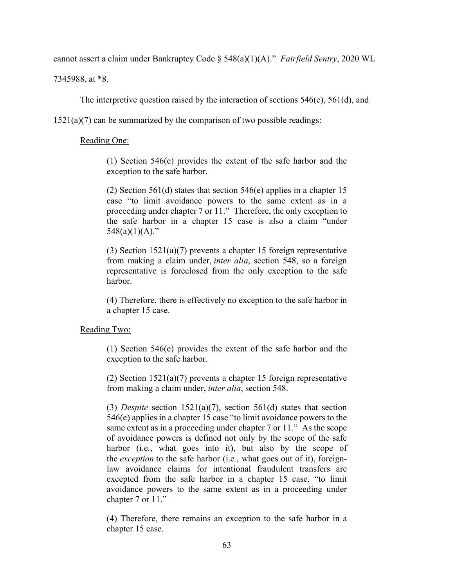cannot assert a claim under Bankruptcy Code § 548(a)(1)(A)." *Fairfield Sentry*, 2020 WL

7345988, at \*8.

The interpretive question raised by the interaction of sections  $546(e)$ ,  $561(d)$ , and

1521(a)(7) can be summarized by the comparison of two possible readings:

## Reading One:

(1) Section 546(e) provides the extent of the safe harbor and the exception to the safe harbor.

(2) Section 561(d) states that section 546(e) applies in a chapter 15 case "to limit avoidance powers to the same extent as in a proceeding under chapter 7 or 11." Therefore, the only exception to the safe harbor in a chapter 15 case is also a claim "under  $548(a)(1)(A)$ ."

(3) Section 1521(a)(7) prevents a chapter 15 foreign representative from making a claim under, *inter alia*, section 548, so a foreign representative is foreclosed from the only exception to the safe harbor.

(4) Therefore, there is effectively no exception to the safe harbor in a chapter 15 case.

#### Reading Two:

(1) Section 546(e) provides the extent of the safe harbor and the exception to the safe harbor.

(2) Section 1521(a)(7) prevents a chapter 15 foreign representative from making a claim under, *inter alia*, section 548.

(3) *Despite* section 1521(a)(7), section 561(d) states that section 546(e) applies in a chapter 15 case "to limit avoidance powers to the same extent as in a proceeding under chapter 7 or 11." As the scope of avoidance powers is defined not only by the scope of the safe harbor (i.e*.*, what goes into it), but also by the scope of the *exception* to the safe harbor (i.e*.*, what goes out of it), foreignlaw avoidance claims for intentional fraudulent transfers are excepted from the safe harbor in a chapter 15 case, "to limit avoidance powers to the same extent as in a proceeding under chapter 7 or 11."

(4) Therefore, there remains an exception to the safe harbor in a chapter 15 case.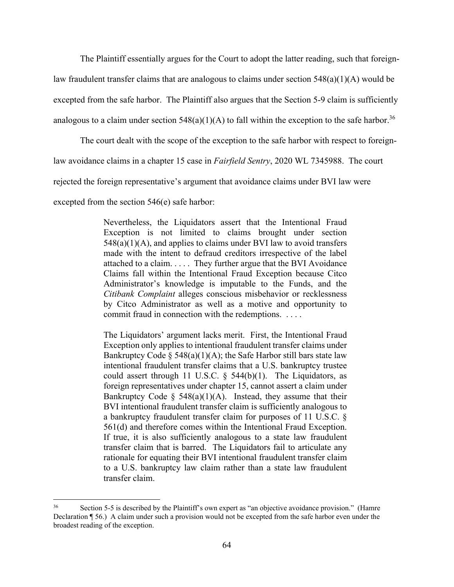The Plaintiff essentially argues for the Court to adopt the latter reading, such that foreign-

law fraudulent transfer claims that are analogous to claims under section 548(a)(1)(A) would be

excepted from the safe harbor. The Plaintiff also argues that the Section 5-9 claim is sufficiently

analogous to a claim under section  $548(a)(1)(A)$  to fall within the exception to the safe harbor.<sup>36</sup>

The court dealt with the scope of the exception to the safe harbor with respect to foreign-

law avoidance claims in a chapter 15 case in *Fairfield Sentry*, 2020 WL 7345988. The court

rejected the foreign representative's argument that avoidance claims under BVI law were

excepted from the section 546(e) safe harbor:

Nevertheless, the Liquidators assert that the Intentional Fraud Exception is not limited to claims brought under section  $548(a)(1)(A)$ , and applies to claims under BVI law to avoid transfers made with the intent to defraud creditors irrespective of the label attached to a claim. . . . . They further argue that the BVI Avoidance Claims fall within the Intentional Fraud Exception because Citco Administrator's knowledge is imputable to the Funds, and the *Citibank Complaint* alleges conscious misbehavior or recklessness by Citco Administrator as well as a motive and opportunity to commit fraud in connection with the redemptions. . . . .

The Liquidators' argument lacks merit. First, the Intentional Fraud Exception only applies to intentional fraudulent transfer claims under Bankruptcy Code  $\S$  548(a)(1)(A); the Safe Harbor still bars state law intentional fraudulent transfer claims that a U.S. bankruptcy trustee could assert through 11 U.S.C.  $\S$  544(b)(1). The Liquidators, as foreign representatives under chapter 15, cannot assert a claim under Bankruptcy Code §  $548(a)(1)(A)$ . Instead, they assume that their BVI intentional fraudulent transfer claim is sufficiently analogous to a bankruptcy fraudulent transfer claim for purposes of 11 U.S.C. § 561(d) and therefore comes within the Intentional Fraud Exception. If true, it is also sufficiently analogous to a state law fraudulent transfer claim that is barred. The Liquidators fail to articulate any rationale for equating their BVI intentional fraudulent transfer claim to a U.S. bankruptcy law claim rather than a state law fraudulent transfer claim.

<sup>36</sup> Section 5-5 is described by the Plaintiff's own expert as "an objective avoidance provision." (Hamre Declaration ¶ 56.) A claim under such a provision would not be excepted from the safe harbor even under the broadest reading of the exception.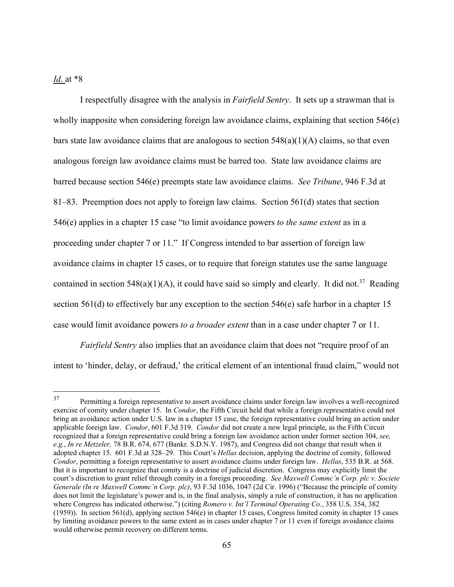# *Id.* at \*8

I respectfully disagree with the analysis in *Fairfield Sentry*. It sets up a strawman that is wholly inapposite when considering foreign law avoidance claims, explaining that section 546(e) bars state law avoidance claims that are analogous to section  $548(a)(1)(A)$  claims, so that even analogous foreign law avoidance claims must be barred too. State law avoidance claims are barred because section 546(e) preempts state law avoidance claims. *See Tribune*, 946 F.3d at 81–83. Preemption does not apply to foreign law claims. Section 561(d) states that section 546(e) applies in a chapter 15 case "to limit avoidance powers *to the same extent* as in a proceeding under chapter 7 or 11." If Congress intended to bar assertion of foreign law avoidance claims in chapter 15 cases, or to require that foreign statutes use the same language contained in section 548(a)(1)(A), it could have said so simply and clearly. It did not.<sup>37</sup> Reading section 561(d) to effectively bar any exception to the section 546(e) safe harbor in a chapter 15 case would limit avoidance powers *to a broader extent* than in a case under chapter 7 or 11.

*Fairfield Sentry* also implies that an avoidance claim that does not "require proof of an intent to 'hinder, delay, or defraud,' the critical element of an intentional fraud claim," would not

<sup>&</sup>lt;sup>37</sup> Permitting a foreign representative to assert avoidance claims under foreign law involves a well-recognized exercise of comity under chapter 15. In *Condor*, the Fifth Circuit held that while a foreign representative could not bring an avoidance action under U.S. law in a chapter 15 case, the foreign representative could bring an action under applicable foreign law. *Condor*, 601 F.3d 319. *Condor* did not create a new legal principle, as the Fifth Circuit recognized that a foreign representative could bring a foreign law avoidance action under former section 304, *see, e.g.*, *In re Metzeler,* 78 B.R. 674, 677 (Bankr. S.D.N.Y. 1987), and Congress did not change that result when it adopted chapter 15. 601 F.3d at 328–29. This Court's *Hellas* decision, applying the doctrine of comity, followed *Condor*, permitting a foreign representative to assert avoidance claims under foreign law. *Hellas*, 535 B.R. at 568. But it is important to recognize that comity is a doctrine of judicial discretion. Congress may explicitly limit the court's discretion to grant relief through comity in a foreign proceeding. *See Maxwell Commc'n Corp. plc v. Societe Generale (In re Maxwell Commc'n Corp. plc)*, 93 F.3d 1036, 1047 (2d Cir. 1996) ("Because the principle of comity does not limit the legislature's power and is, in the final analysis, simply a rule of construction, it has no application where Congress has indicated otherwise.") (citing *Romero v. Int'l Terminal Operating Co.*, 358 U.S. 354, 382 (1959)). In section 561(d), applying section 546(e) in chapter 15 cases, Congress limited comity in chapter 15 cases by limiting avoidance powers to the same extent as in cases under chapter 7 or 11 even if foreign avoidance claims would otherwise permit recovery on different terms.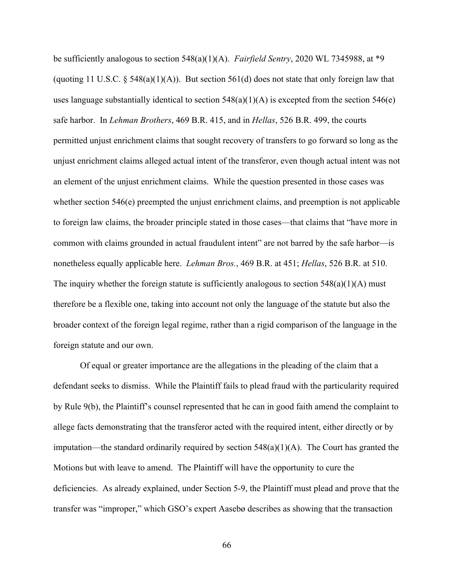be sufficiently analogous to section 548(a)(1)(A). *Fairfield Sentry*, 2020 WL 7345988, at \*9 (quoting 11 U.S.C.  $\S$  548(a)(1)(A)). But section 561(d) does not state that only foreign law that uses language substantially identical to section  $548(a)(1)(A)$  is excepted from the section  $546(e)$ safe harbor. In *Lehman Brothers*, 469 B.R. 415, and in *Hellas*, 526 B.R. 499, the courts permitted unjust enrichment claims that sought recovery of transfers to go forward so long as the unjust enrichment claims alleged actual intent of the transferor, even though actual intent was not an element of the unjust enrichment claims. While the question presented in those cases was whether section 546(e) preempted the unjust enrichment claims, and preemption is not applicable to foreign law claims, the broader principle stated in those cases—that claims that "have more in common with claims grounded in actual fraudulent intent" are not barred by the safe harbor—is nonetheless equally applicable here. *Lehman Bros.*, 469 B.R. at 451; *Hellas*, 526 B.R. at 510. The inquiry whether the foreign statute is sufficiently analogous to section  $548(a)(1)(A)$  must therefore be a flexible one, taking into account not only the language of the statute but also the broader context of the foreign legal regime, rather than a rigid comparison of the language in the foreign statute and our own.

Of equal or greater importance are the allegations in the pleading of the claim that a defendant seeks to dismiss. While the Plaintiff fails to plead fraud with the particularity required by Rule 9(b), the Plaintiff's counsel represented that he can in good faith amend the complaint to allege facts demonstrating that the transferor acted with the required intent, either directly or by imputation—the standard ordinarily required by section  $548(a)(1)(A)$ . The Court has granted the Motions but with leave to amend. The Plaintiff will have the opportunity to cure the deficiencies. As already explained, under Section 5-9, the Plaintiff must plead and prove that the transfer was "improper," which GSO's expert Aasebø describes as showing that the transaction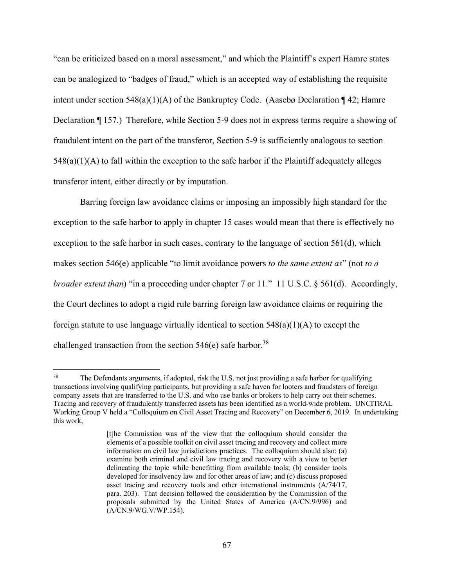"can be criticized based on a moral assessment," and which the Plaintiff's expert Hamre states can be analogized to "badges of fraud," which is an accepted way of establishing the requisite intent under section 548(a)(1)(A) of the Bankruptcy Code. (Aasebø Declaration  $\P$  42; Hamre Declaration ¶ 157.) Therefore, while Section 5-9 does not in express terms require a showing of fraudulent intent on the part of the transferor, Section 5-9 is sufficiently analogous to section  $548(a)(1)(A)$  to fall within the exception to the safe harbor if the Plaintiff adequately alleges transferor intent, either directly or by imputation.

Barring foreign law avoidance claims or imposing an impossibly high standard for the exception to the safe harbor to apply in chapter 15 cases would mean that there is effectively no exception to the safe harbor in such cases, contrary to the language of section 561(d), which makes section 546(e) applicable "to limit avoidance powers *to the same extent as*" (not *to a broader extent than*) "in a proceeding under chapter 7 or 11." 11 U.S.C. § 561(d). Accordingly, the Court declines to adopt a rigid rule barring foreign law avoidance claims or requiring the foreign statute to use language virtually identical to section  $548(a)(1)(A)$  to except the challenged transaction from the section  $546(e)$  safe harbor.<sup>38</sup>

<sup>&</sup>lt;sup>38</sup> The Defendants arguments, if adopted, risk the U.S. not just providing a safe harbor for qualifying transactions involving qualifying participants, but providing a safe haven for looters and fraudsters of foreign company assets that are transferred to the U.S. and who use banks or brokers to help carry out their schemes. Tracing and recovery of fraudulently transferred assets has been identified as a world-wide problem. UNCITRAL Working Group V held a "Colloquium on Civil Asset Tracing and Recovery" on December 6, 2019. In undertaking this work,

<sup>[</sup>t]he Commission was of the view that the colloquium should consider the elements of a possible toolkit on civil asset tracing and recovery and collect more information on civil law jurisdictions practices. The colloquium should also: (a) examine both criminal and civil law tracing and recovery with a view to better delineating the topic while benefitting from available tools; (b) consider tools developed for insolvency law and for other areas of law; and (c) discuss proposed asset tracing and recovery tools and other international instruments (A/74/17, para. 203). That decision followed the consideration by the Commission of the proposals submitted by the United States of America (A/CN.9/996) and (A/CN.9/WG.V/WP.154).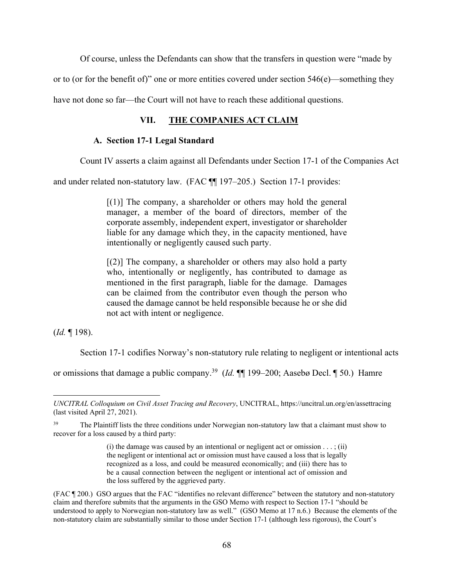Of course, unless the Defendants can show that the transfers in question were "made by

or to (or for the benefit of)" one or more entities covered under section  $546(e)$ —something they

have not done so far—the Court will not have to reach these additional questions.

# **VII. THE COMPANIES ACT CLAIM**

#### **A. Section 17-1 Legal Standard**

Count IV asserts a claim against all Defendants under Section 17-1 of the Companies Act

and under related non-statutory law. (FAC ¶¶ 197–205.) Section 17-1 provides:

 $[(1)]$  The company, a shareholder or others may hold the general manager, a member of the board of directors, member of the corporate assembly, independent expert, investigator or shareholder liable for any damage which they, in the capacity mentioned, have intentionally or negligently caused such party.

 $[(2)]$  The company, a shareholder or others may also hold a party who, intentionally or negligently, has contributed to damage as mentioned in the first paragraph, liable for the damage. Damages can be claimed from the contributor even though the person who caused the damage cannot be held responsible because he or she did not act with intent or negligence.

(*Id.* ¶ 198).

Section 17-1 codifies Norway's non-statutory rule relating to negligent or intentional acts

or omissions that damage a public company.39 (*Id.* ¶¶ 199–200; Aasebø Decl. ¶ 50.) Hamre

*UNCITRAL Colloquium on Civil Asset Tracing and Recovery*, UNCITRAL, https://uncitral.un.org/en/assettracing (last visited April 27, 2021).

<sup>&</sup>lt;sup>39</sup> The Plaintiff lists the three conditions under Norwegian non-statutory law that a claimant must show to recover for a loss caused by a third party:

<sup>(</sup>i) the damage was caused by an intentional or negligent act or omission  $\dots$ ; (ii) the negligent or intentional act or omission must have caused a loss that is legally recognized as a loss, and could be measured economically; and (iii) there has to be a causal connection between the negligent or intentional act of omission and the loss suffered by the aggrieved party.

<sup>(</sup>FAC ¶ 200.) GSO argues that the FAC "identifies no relevant difference" between the statutory and non-statutory claim and therefore submits that the arguments in the GSO Memo with respect to Section 17-1 "should be understood to apply to Norwegian non-statutory law as well." (GSO Memo at 17 n.6.) Because the elements of the non-statutory claim are substantially similar to those under Section 17-1 (although less rigorous), the Court's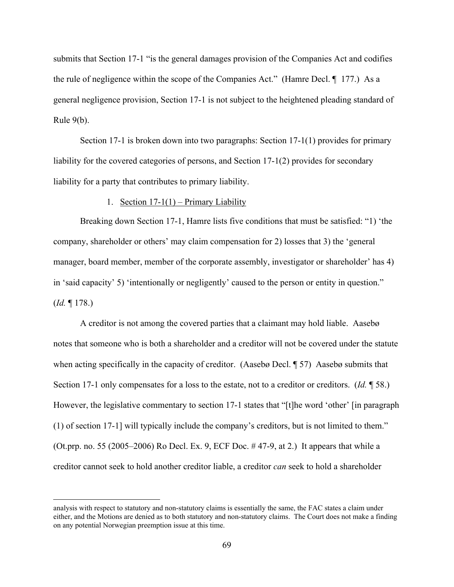submits that Section 17-1 "is the general damages provision of the Companies Act and codifies the rule of negligence within the scope of the Companies Act." (Hamre Decl. ¶ 177.) As a general negligence provision, Section 17-1 is not subject to the heightened pleading standard of Rule 9(b).

Section 17-1 is broken down into two paragraphs: Section 17-1(1) provides for primary liability for the covered categories of persons, and Section 17-1(2) provides for secondary liability for a party that contributes to primary liability.

1. Section  $17-1(1)$  – Primary Liability

Breaking down Section 17-1, Hamre lists five conditions that must be satisfied: "1) 'the company, shareholder or others' may claim compensation for 2) losses that 3) the 'general manager, board member, member of the corporate assembly, investigator or shareholder' has 4) in 'said capacity' 5) 'intentionally or negligently' caused to the person or entity in question." (*Id.* ¶ 178.)

A creditor is not among the covered parties that a claimant may hold liable. Aasebø notes that someone who is both a shareholder and a creditor will not be covered under the statute when acting specifically in the capacity of creditor. (Aasebø Decl. ¶ 57) Aasebø submits that Section 17-1 only compensates for a loss to the estate, not to a creditor or creditors. (*Id.* ¶ 58.) However, the legislative commentary to section 17-1 states that "[t]he word 'other' [in paragraph (1) of section 17-1] will typically include the company's creditors, but is not limited to them." (Ot.prp. no. 55 (2005–2006) Ro Decl. Ex. 9, ECF Doc.  $\#$  47-9, at 2.) It appears that while a creditor cannot seek to hold another creditor liable, a creditor *can* seek to hold a shareholder

analysis with respect to statutory and non-statutory claims is essentially the same, the FAC states a claim under either, and the Motions are denied as to both statutory and non-statutory claims. The Court does not make a finding on any potential Norwegian preemption issue at this time.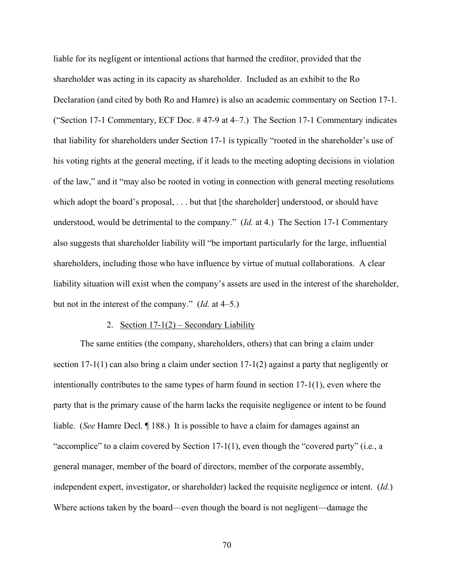liable for its negligent or intentional actions that harmed the creditor, provided that the shareholder was acting in its capacity as shareholder. Included as an exhibit to the Ro Declaration (and cited by both Ro and Hamre) is also an academic commentary on Section 17-1. ("Section 17-1 Commentary, ECF Doc. # 47-9 at 4–7.) The Section 17-1 Commentary indicates that liability for shareholders under Section 17-1 is typically "rooted in the shareholder's use of his voting rights at the general meeting, if it leads to the meeting adopting decisions in violation of the law," and it "may also be rooted in voting in connection with general meeting resolutions which adopt the board's proposal, ... but that [the shareholder] understood, or should have understood, would be detrimental to the company." (*Id.* at 4.) The Section 17-1 Commentary also suggests that shareholder liability will "be important particularly for the large, influential shareholders, including those who have influence by virtue of mutual collaborations. A clear liability situation will exist when the company's assets are used in the interest of the shareholder, but not in the interest of the company." (*Id.* at 4–5.)

### 2. Section  $17-1(2)$  – Secondary Liability

The same entities (the company, shareholders, others) that can bring a claim under section 17-1(1) can also bring a claim under section 17-1(2) against a party that negligently or intentionally contributes to the same types of harm found in section 17-1(1), even where the party that is the primary cause of the harm lacks the requisite negligence or intent to be found liable. (*See* Hamre Decl. ¶ 188.) It is possible to have a claim for damages against an "accomplice" to a claim covered by Section 17-1(1), even though the "covered party" (i.e*.*, a general manager, member of the board of directors, member of the corporate assembly, independent expert, investigator, or shareholder) lacked the requisite negligence or intent. (*Id.*) Where actions taken by the board—even though the board is not negligent—damage the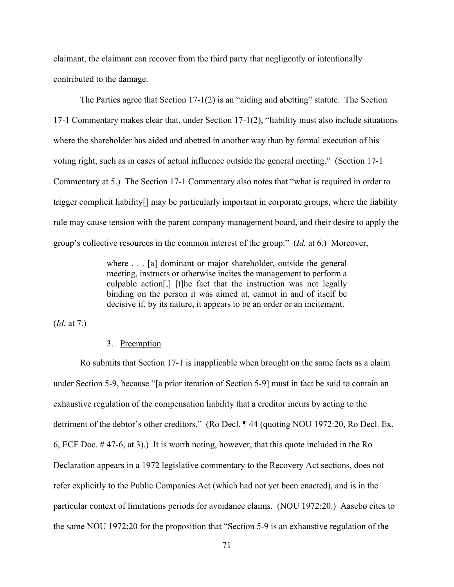claimant, the claimant can recover from the third party that negligently or intentionally contributed to the damage.

The Parties agree that Section  $17-1(2)$  is an "aiding and abetting" statute. The Section 17-1 Commentary makes clear that, under Section 17-1(2), "liability must also include situations where the shareholder has aided and abetted in another way than by formal execution of his voting right, such as in cases of actual influence outside the general meeting." (Section 17-1 Commentary at 5.) The Section 17-1 Commentary also notes that "what is required in order to trigger complicit liability[] may be particularly important in corporate groups, where the liability rule may cause tension with the parent company management board, and their desire to apply the group's collective resources in the common interest of the group." (*Id.* at 6.) Moreover,

> where . . . [a] dominant or major shareholder, outside the general meeting, instructs or otherwise incites the management to perform a culpable action[,] [t]he fact that the instruction was not legally binding on the person it was aimed at, cannot in and of itself be decisive if, by its nature, it appears to be an order or an incitement.

(*Id.* at 7.)

# 3. Preemption

Ro submits that Section 17-1 is inapplicable when brought on the same facts as a claim under Section 5-9, because "[a prior iteration of Section 5-9] must in fact be said to contain an exhaustive regulation of the compensation liability that a creditor incurs by acting to the detriment of the debtor's other creditors." (Ro Decl. ¶ 44 (quoting NOU 1972:20, Ro Decl. Ex. 6, ECF Doc. # 47-6, at 3).) It is worth noting, however, that this quote included in the Ro Declaration appears in a 1972 legislative commentary to the Recovery Act sections, does not refer explicitly to the Public Companies Act (which had not yet been enacted), and is in the particular context of limitations periods for avoidance claims. (NOU 1972:20.) Aasebø cites to the same NOU 1972:20 for the proposition that "Section 5-9 is an exhaustive regulation of the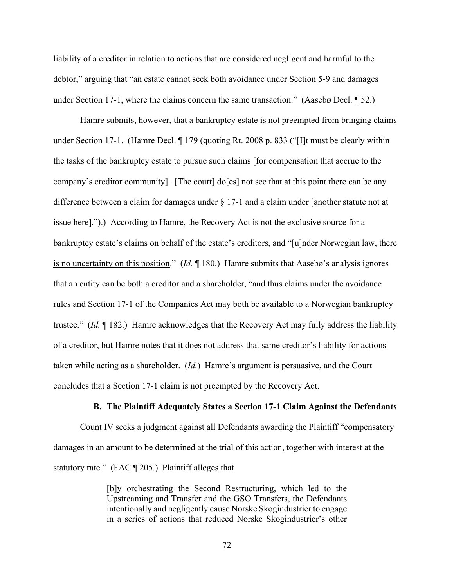liability of a creditor in relation to actions that are considered negligent and harmful to the debtor," arguing that "an estate cannot seek both avoidance under Section 5-9 and damages under Section 17-1, where the claims concern the same transaction." (Aasebø Decl. ¶ 52.)

Hamre submits, however, that a bankruptcy estate is not preempted from bringing claims under Section 17-1. (Hamre Decl. ¶ 179 (quoting Rt. 2008 p. 833 ("[I]t must be clearly within the tasks of the bankruptcy estate to pursue such claims [for compensation that accrue to the company's creditor community]. [The court] do[es] not see that at this point there can be any difference between a claim for damages under § 17-1 and a claim under [another statute not at issue here].").) According to Hamre, the Recovery Act is not the exclusive source for a bankruptcy estate's claims on behalf of the estate's creditors, and "[u]nder Norwegian law, there is no uncertainty on this position." (*Id.* ¶ 180.) Hamre submits that Aasebø's analysis ignores that an entity can be both a creditor and a shareholder, "and thus claims under the avoidance rules and Section 17-1 of the Companies Act may both be available to a Norwegian bankruptcy trustee." (*Id.* ¶ 182.) Hamre acknowledges that the Recovery Act may fully address the liability of a creditor, but Hamre notes that it does not address that same creditor's liability for actions taken while acting as a shareholder. (*Id.*) Hamre's argument is persuasive, and the Court concludes that a Section 17-1 claim is not preempted by the Recovery Act.

#### **B. The Plaintiff Adequately States a Section 17-1 Claim Against the Defendants**

Count IV seeks a judgment against all Defendants awarding the Plaintiff "compensatory damages in an amount to be determined at the trial of this action, together with interest at the statutory rate." (FAC ¶ 205.) Plaintiff alleges that

> [b]y orchestrating the Second Restructuring, which led to the Upstreaming and Transfer and the GSO Transfers, the Defendants intentionally and negligently cause Norske Skogindustrier to engage in a series of actions that reduced Norske Skogindustrier's other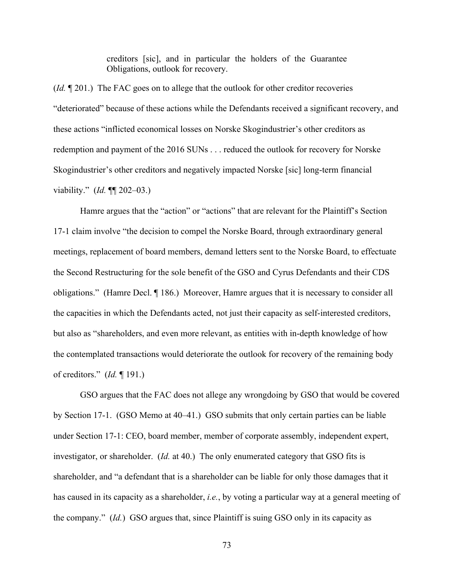creditors [sic], and in particular the holders of the Guarantee Obligations, outlook for recovery.

(*Id.* ¶ 201.) The FAC goes on to allege that the outlook for other creditor recoveries "deteriorated" because of these actions while the Defendants received a significant recovery, and these actions "inflicted economical losses on Norske Skogindustrier's other creditors as redemption and payment of the 2016 SUNs . . . reduced the outlook for recovery for Norske Skogindustrier's other creditors and negatively impacted Norske [sic] long-term financial viability." (*Id.* ¶¶ 202–03.)

 Hamre argues that the "action" or "actions" that are relevant for the Plaintiff's Section 17-1 claim involve "the decision to compel the Norske Board, through extraordinary general meetings, replacement of board members, demand letters sent to the Norske Board, to effectuate the Second Restructuring for the sole benefit of the GSO and Cyrus Defendants and their CDS obligations." (Hamre Decl. ¶ 186.) Moreover, Hamre argues that it is necessary to consider all the capacities in which the Defendants acted, not just their capacity as self-interested creditors, but also as "shareholders, and even more relevant, as entities with in-depth knowledge of how the contemplated transactions would deteriorate the outlook for recovery of the remaining body of creditors." (*Id.* ¶ 191.)

 GSO argues that the FAC does not allege any wrongdoing by GSO that would be covered by Section 17-1. (GSO Memo at 40–41.) GSO submits that only certain parties can be liable under Section 17-1: CEO, board member, member of corporate assembly, independent expert, investigator, or shareholder. (*Id.* at 40.) The only enumerated category that GSO fits is shareholder, and "a defendant that is a shareholder can be liable for only those damages that it has caused in its capacity as a shareholder, *i.e.*, by voting a particular way at a general meeting of the company." (*Id.*) GSO argues that, since Plaintiff is suing GSO only in its capacity as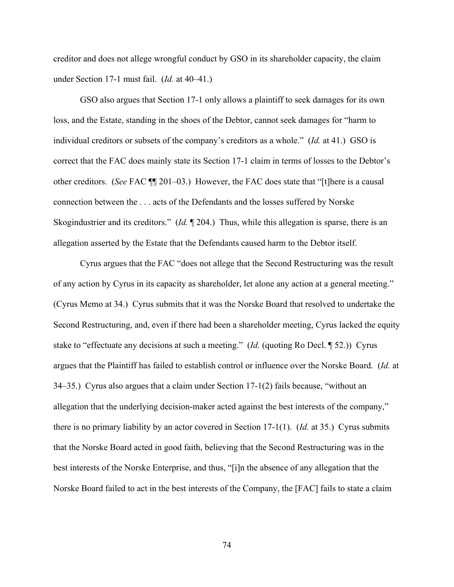creditor and does not allege wrongful conduct by GSO in its shareholder capacity, the claim under Section 17-1 must fail. (*Id.* at 40–41.)

 GSO also argues that Section 17-1 only allows a plaintiff to seek damages for its own loss, and the Estate, standing in the shoes of the Debtor, cannot seek damages for "harm to individual creditors or subsets of the company's creditors as a whole." (*Id.* at 41.) GSO is correct that the FAC does mainly state its Section 17-1 claim in terms of losses to the Debtor's other creditors. (*See* FAC ¶¶ 201–03.) However, the FAC does state that "[t]here is a causal connection between the . . . acts of the Defendants and the losses suffered by Norske Skogindustrier and its creditors." (*Id.* ¶ 204.) Thus, while this allegation is sparse, there is an allegation asserted by the Estate that the Defendants caused harm to the Debtor itself.

 Cyrus argues that the FAC "does not allege that the Second Restructuring was the result of any action by Cyrus in its capacity as shareholder, let alone any action at a general meeting." (Cyrus Memo at 34.) Cyrus submits that it was the Norske Board that resolved to undertake the Second Restructuring, and, even if there had been a shareholder meeting, Cyrus lacked the equity stake to "effectuate any decisions at such a meeting." (*Id.* (quoting Ro Decl. ¶ 52.)) Cyrus argues that the Plaintiff has failed to establish control or influence over the Norske Board. (*Id.* at 34–35.) Cyrus also argues that a claim under Section 17-1(2) fails because, "without an allegation that the underlying decision-maker acted against the best interests of the company," there is no primary liability by an actor covered in Section 17-1(1). (*Id.* at 35.) Cyrus submits that the Norske Board acted in good faith, believing that the Second Restructuring was in the best interests of the Norske Enterprise, and thus, "[i]n the absence of any allegation that the Norske Board failed to act in the best interests of the Company, the [FAC] fails to state a claim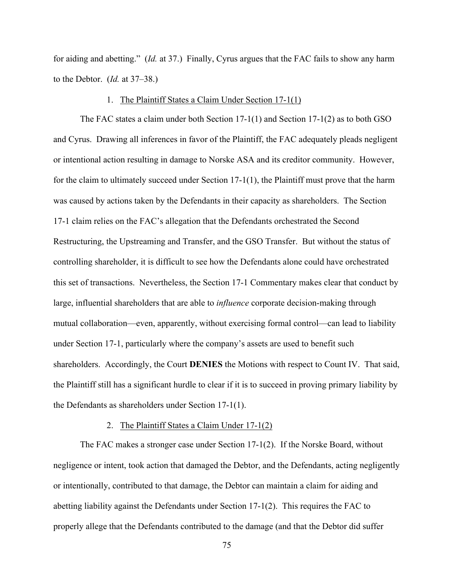for aiding and abetting." (*Id.* at 37.) Finally, Cyrus argues that the FAC fails to show any harm to the Debtor. (*Id.* at 37–38.)

### 1. The Plaintiff States a Claim Under Section 17-1(1)

The FAC states a claim under both Section 17-1(1) and Section 17-1(2) as to both GSO and Cyrus. Drawing all inferences in favor of the Plaintiff, the FAC adequately pleads negligent or intentional action resulting in damage to Norske ASA and its creditor community. However, for the claim to ultimately succeed under Section 17-1(1), the Plaintiff must prove that the harm was caused by actions taken by the Defendants in their capacity as shareholders. The Section 17-1 claim relies on the FAC's allegation that the Defendants orchestrated the Second Restructuring, the Upstreaming and Transfer, and the GSO Transfer. But without the status of controlling shareholder, it is difficult to see how the Defendants alone could have orchestrated this set of transactions. Nevertheless, the Section 17-1 Commentary makes clear that conduct by large, influential shareholders that are able to *influence* corporate decision-making through mutual collaboration—even, apparently, without exercising formal control—can lead to liability under Section 17-1, particularly where the company's assets are used to benefit such shareholders. Accordingly, the Court **DENIES** the Motions with respect to Count IV. That said, the Plaintiff still has a significant hurdle to clear if it is to succeed in proving primary liability by the Defendants as shareholders under Section 17-1(1).

### 2. The Plaintiff States a Claim Under 17-1(2)

The FAC makes a stronger case under Section 17-1(2). If the Norske Board, without negligence or intent, took action that damaged the Debtor, and the Defendants, acting negligently or intentionally, contributed to that damage, the Debtor can maintain a claim for aiding and abetting liability against the Defendants under Section 17-1(2). This requires the FAC to properly allege that the Defendants contributed to the damage (and that the Debtor did suffer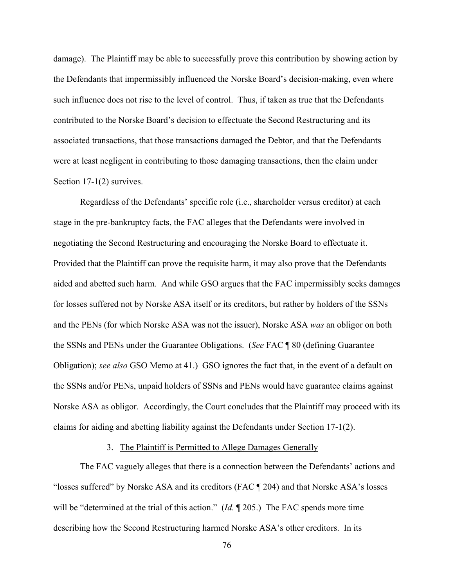damage). The Plaintiff may be able to successfully prove this contribution by showing action by the Defendants that impermissibly influenced the Norske Board's decision-making, even where such influence does not rise to the level of control. Thus, if taken as true that the Defendants contributed to the Norske Board's decision to effectuate the Second Restructuring and its associated transactions, that those transactions damaged the Debtor, and that the Defendants were at least negligent in contributing to those damaging transactions, then the claim under Section 17-1(2) survives.

Regardless of the Defendants' specific role (i.e., shareholder versus creditor) at each stage in the pre-bankruptcy facts, the FAC alleges that the Defendants were involved in negotiating the Second Restructuring and encouraging the Norske Board to effectuate it. Provided that the Plaintiff can prove the requisite harm, it may also prove that the Defendants aided and abetted such harm. And while GSO argues that the FAC impermissibly seeks damages for losses suffered not by Norske ASA itself or its creditors, but rather by holders of the SSNs and the PENs (for which Norske ASA was not the issuer), Norske ASA *was* an obligor on both the SSNs and PENs under the Guarantee Obligations. (*See* FAC ¶ 80 (defining Guarantee Obligation); *see also* GSO Memo at 41.) GSO ignores the fact that, in the event of a default on the SSNs and/or PENs, unpaid holders of SSNs and PENs would have guarantee claims against Norske ASA as obligor. Accordingly, the Court concludes that the Plaintiff may proceed with its claims for aiding and abetting liability against the Defendants under Section 17-1(2).

## 3. The Plaintiff is Permitted to Allege Damages Generally

The FAC vaguely alleges that there is a connection between the Defendants' actions and "losses suffered" by Norske ASA and its creditors (FAC ¶ 204) and that Norske ASA's losses will be "determined at the trial of this action." (*Id.* ¶ 205.) The FAC spends more time describing how the Second Restructuring harmed Norske ASA's other creditors. In its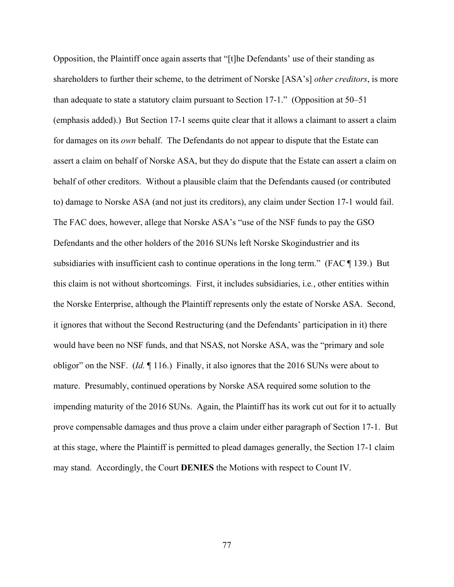Opposition, the Plaintiff once again asserts that "[t]he Defendants' use of their standing as shareholders to further their scheme, to the detriment of Norske [ASA's] *other creditors*, is more than adequate to state a statutory claim pursuant to Section 17-1." (Opposition at 50–51 (emphasis added).) But Section 17-1 seems quite clear that it allows a claimant to assert a claim for damages on its *own* behalf. The Defendants do not appear to dispute that the Estate can assert a claim on behalf of Norske ASA, but they do dispute that the Estate can assert a claim on behalf of other creditors. Without a plausible claim that the Defendants caused (or contributed to) damage to Norske ASA (and not just its creditors), any claim under Section 17-1 would fail. The FAC does, however, allege that Norske ASA's "use of the NSF funds to pay the GSO Defendants and the other holders of the 2016 SUNs left Norske Skogindustrier and its subsidiaries with insufficient cash to continue operations in the long term." (FAC ¶ 139.) But this claim is not without shortcomings. First, it includes subsidiaries, i.e*.*, other entities within the Norske Enterprise, although the Plaintiff represents only the estate of Norske ASA. Second, it ignores that without the Second Restructuring (and the Defendants' participation in it) there would have been no NSF funds, and that NSAS, not Norske ASA, was the "primary and sole obligor" on the NSF. (*Id.* ¶ 116.) Finally, it also ignores that the 2016 SUNs were about to mature. Presumably, continued operations by Norske ASA required some solution to the impending maturity of the 2016 SUNs. Again, the Plaintiff has its work cut out for it to actually prove compensable damages and thus prove a claim under either paragraph of Section 17-1. But at this stage, where the Plaintiff is permitted to plead damages generally, the Section 17-1 claim may stand. Accordingly, the Court **DENIES** the Motions with respect to Count IV.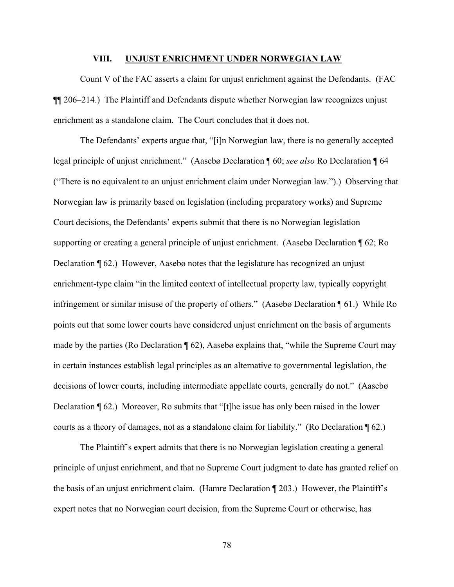#### **VIII. UNJUST ENRICHMENT UNDER NORWEGIAN LAW**

Count V of the FAC asserts a claim for unjust enrichment against the Defendants. (FAC ¶¶ 206–214.) The Plaintiff and Defendants dispute whether Norwegian law recognizes unjust enrichment as a standalone claim. The Court concludes that it does not.

The Defendants' experts argue that, "[i]n Norwegian law, there is no generally accepted legal principle of unjust enrichment." (Aasebø Declaration ¶ 60; *see also* Ro Declaration ¶ 64 ("There is no equivalent to an unjust enrichment claim under Norwegian law.").) Observing that Norwegian law is primarily based on legislation (including preparatory works) and Supreme Court decisions, the Defendants' experts submit that there is no Norwegian legislation supporting or creating a general principle of unjust enrichment. (Aasebø Declaration ¶ 62; Ro Declaration ¶ 62.) However, Aasebø notes that the legislature has recognized an unjust enrichment-type claim "in the limited context of intellectual property law, typically copyright infringement or similar misuse of the property of others." (Aasebø Declaration ¶ 61.) While Ro points out that some lower courts have considered unjust enrichment on the basis of arguments made by the parties (Ro Declaration ¶ 62), Aasebø explains that, "while the Supreme Court may in certain instances establish legal principles as an alternative to governmental legislation, the decisions of lower courts, including intermediate appellate courts, generally do not." (Aasebø Declaration ¶ 62.) Moreover, Ro submits that "[t]he issue has only been raised in the lower courts as a theory of damages, not as a standalone claim for liability." (Ro Declaration ¶ 62.)

The Plaintiff's expert admits that there is no Norwegian legislation creating a general principle of unjust enrichment, and that no Supreme Court judgment to date has granted relief on the basis of an unjust enrichment claim. (Hamre Declaration ¶ 203.) However, the Plaintiff's expert notes that no Norwegian court decision, from the Supreme Court or otherwise, has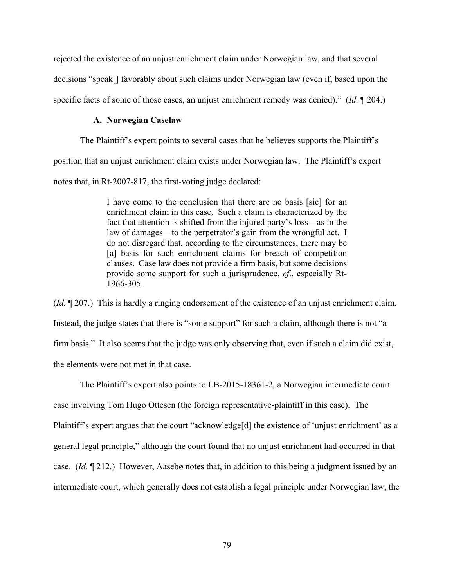rejected the existence of an unjust enrichment claim under Norwegian law, and that several decisions "speak[] favorably about such claims under Norwegian law (even if, based upon the specific facts of some of those cases, an unjust enrichment remedy was denied)." (*Id.* ¶ 204.)

### **A. Norwegian Caselaw**

The Plaintiff's expert points to several cases that he believes supports the Plaintiff's position that an unjust enrichment claim exists under Norwegian law. The Plaintiff's expert notes that, in Rt-2007-817, the first-voting judge declared:

> I have come to the conclusion that there are no basis [sic] for an enrichment claim in this case. Such a claim is characterized by the fact that attention is shifted from the injured party's loss—as in the law of damages—to the perpetrator's gain from the wrongful act. I do not disregard that, according to the circumstances, there may be [a] basis for such enrichment claims for breach of competition clauses. Case law does not provide a firm basis, but some decisions provide some support for such a jurisprudence, *cf*., especially Rt-1966-305.

(*Id.* ¶ 207.) This is hardly a ringing endorsement of the existence of an unjust enrichment claim. Instead, the judge states that there is "some support" for such a claim, although there is not "a firm basis." It also seems that the judge was only observing that, even if such a claim did exist, the elements were not met in that case.

 The Plaintiff's expert also points to LB-2015-18361-2, a Norwegian intermediate court case involving Tom Hugo Ottesen (the foreign representative-plaintiff in this case). The Plaintiff's expert argues that the court "acknowledge[d] the existence of 'unjust enrichment' as a general legal principle," although the court found that no unjust enrichment had occurred in that case. (*Id.* ¶ 212.) However, Aasebø notes that, in addition to this being a judgment issued by an intermediate court, which generally does not establish a legal principle under Norwegian law, the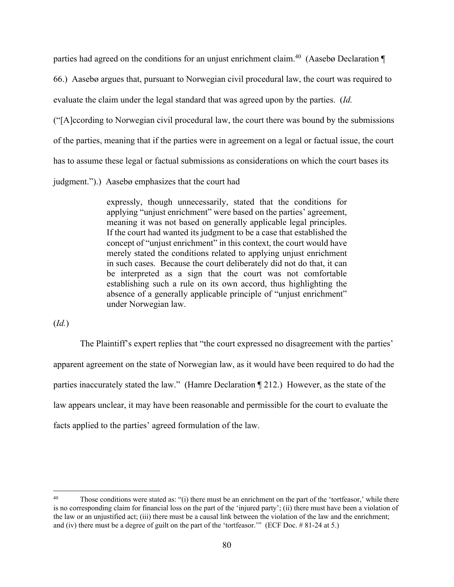parties had agreed on the conditions for an unjust enrichment claim.<sup>40</sup> (Aasebø Declaration  $\P$ 66.) Aasebø argues that, pursuant to Norwegian civil procedural law, the court was required to evaluate the claim under the legal standard that was agreed upon by the parties. (*Id.* ("[A]ccording to Norwegian civil procedural law, the court there was bound by the submissions of the parties, meaning that if the parties were in agreement on a legal or factual issue, the court has to assume these legal or factual submissions as considerations on which the court bases its judgment.").) Aasebø emphasizes that the court had

> expressly, though unnecessarily, stated that the conditions for applying "unjust enrichment" were based on the parties' agreement, meaning it was not based on generally applicable legal principles. If the court had wanted its judgment to be a case that established the concept of "unjust enrichment" in this context, the court would have merely stated the conditions related to applying unjust enrichment in such cases. Because the court deliberately did not do that, it can be interpreted as a sign that the court was not comfortable establishing such a rule on its own accord, thus highlighting the absence of a generally applicable principle of "unjust enrichment" under Norwegian law.

(*Id.*)

The Plaintiff's expert replies that "the court expressed no disagreement with the parties' apparent agreement on the state of Norwegian law, as it would have been required to do had the parties inaccurately stated the law." (Hamre Declaration ¶ 212.) However, as the state of the law appears unclear, it may have been reasonable and permissible for the court to evaluate the facts applied to the parties' agreed formulation of the law.

<sup>&</sup>lt;sup>40</sup> Those conditions were stated as: "(i) there must be an enrichment on the part of the 'tortfeasor,' while there is no corresponding claim for financial loss on the part of the 'injured party'; (ii) there must have been a violation of the law or an unjustified act; (iii) there must be a causal link between the violation of the law and the enrichment; and (iv) there must be a degree of guilt on the part of the 'tortfeasor.'" (ECF Doc. # 81-24 at 5.)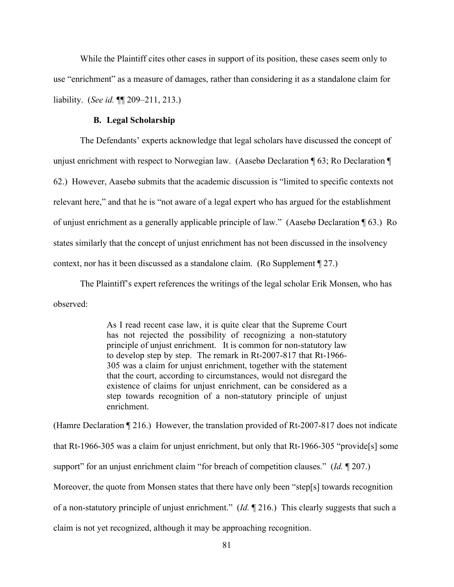While the Plaintiff cites other cases in support of its position, these cases seem only to use "enrichment" as a measure of damages, rather than considering it as a standalone claim for liability. (*See id.* ¶¶ 209–211, 213.)

## **B. Legal Scholarship**

The Defendants' experts acknowledge that legal scholars have discussed the concept of unjust enrichment with respect to Norwegian law. (Aasebø Declaration ¶ 63; Ro Declaration ¶ 62.) However, Aasebø submits that the academic discussion is "limited to specific contexts not relevant here," and that he is "not aware of a legal expert who has argued for the establishment of unjust enrichment as a generally applicable principle of law." (Aasebø Declaration ¶ 63.) Ro states similarly that the concept of unjust enrichment has not been discussed in the insolvency context, nor has it been discussed as a standalone claim. (Ro Supplement ¶ 27.)

The Plaintiff's expert references the writings of the legal scholar Erik Monsen, who has observed:

> As I read recent case law, it is quite clear that the Supreme Court has not rejected the possibility of recognizing a non-statutory principle of unjust enrichment. It is common for non-statutory law to develop step by step. The remark in Rt-2007-817 that Rt-1966- 305 was a claim for unjust enrichment, together with the statement that the court, according to circumstances, would not disregard the existence of claims for unjust enrichment, can be considered as a step towards recognition of a non-statutory principle of unjust enrichment.

(Hamre Declaration ¶ 216.) However, the translation provided of Rt-2007-817 does not indicate that Rt-1966-305 was a claim for unjust enrichment, but only that Rt-1966-305 "provide[s] some support" for an unjust enrichment claim "for breach of competition clauses." (*Id.* ¶ 207.) Moreover, the quote from Monsen states that there have only been "step[s] towards recognition of a non-statutory principle of unjust enrichment." (*Id.* ¶ 216.) This clearly suggests that such a claim is not yet recognized, although it may be approaching recognition.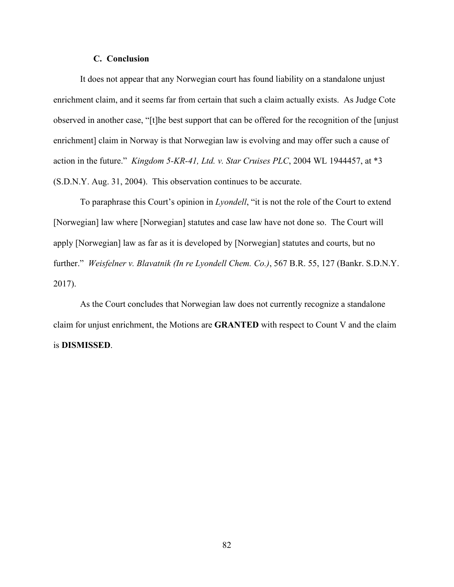#### **C. Conclusion**

It does not appear that any Norwegian court has found liability on a standalone unjust enrichment claim, and it seems far from certain that such a claim actually exists. As Judge Cote observed in another case, "[t]he best support that can be offered for the recognition of the [unjust enrichment] claim in Norway is that Norwegian law is evolving and may offer such a cause of action in the future." *Kingdom 5-KR-41, Ltd. v. Star Cruises PLC*, 2004 WL 1944457, at \*3 (S.D.N.Y. Aug. 31, 2004). This observation continues to be accurate.

To paraphrase this Court's opinion in *Lyondell*, "it is not the role of the Court to extend [Norwegian] law where [Norwegian] statutes and case law have not done so. The Court will apply [Norwegian] law as far as it is developed by [Norwegian] statutes and courts, but no further." *Weisfelner v. Blavatnik (In re Lyondell Chem. Co.)*, 567 B.R. 55, 127 (Bankr. S.D.N.Y. 2017).

As the Court concludes that Norwegian law does not currently recognize a standalone claim for unjust enrichment, the Motions are **GRANTED** with respect to Count V and the claim is **DISMISSED**.